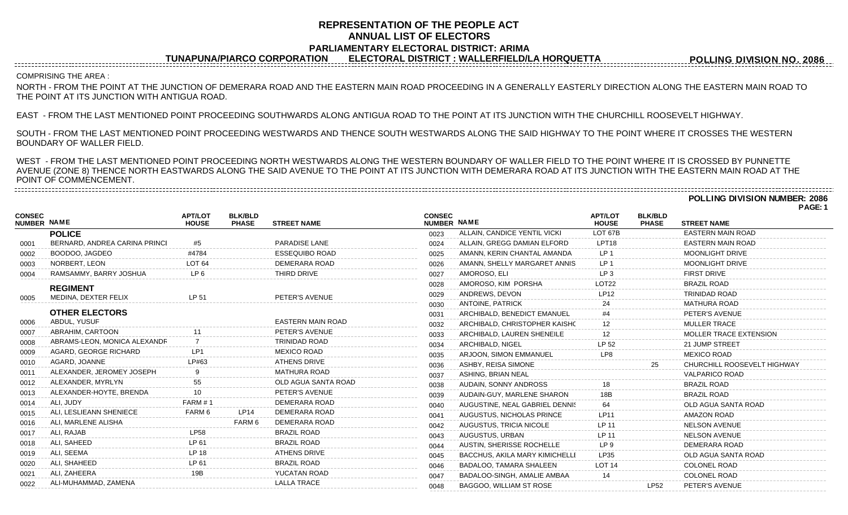# **REPRESENTATION OF THE PEOPLE ACT ANNUAL LIST OF ELECTORS PARLIAMENTARY ELECTORAL DISTRICT: ARIMA**

**TUNAPUNA/PIARCO CORPORATION ELECTORAL DISTRICT : WALLERFIELD/LA HORQUETTA**

**POLLING DIVISION NO. 2086**

## COMPRISING THE AREA :

NORTH - FROM THE POINT AT THE JUNCTION OF DEMERARA ROAD AND THE EASTERN MAIN ROAD PROCEEDING IN A GENERALLY EASTERLY DIRECTION ALONG THE EASTERN MAIN ROAD TO THE POINT AT ITS JUNCTION WITH ANTIGUA ROAD.

EAST - FROM THE LAST MENTIONED POINT PROCEEDING SOUTHWARDS ALONG ANTIGUA ROAD TO THE POINT AT ITS JUNCTION WITH THE CHURCHILL ROOSEVELT HIGHWAY.

SOUTH - FROM THE LAST MENTIONED POINT PROCEEDING WESTWARDS AND THENCE SOUTH WESTWARDS ALONG THE SAID HIGHWAY TO THE POINT WHERE IT CROSSES THE WESTERN BOUNDARY OF WALLER FIELD.

WEST - FROM THE LAST MENTIONED POINT PROCEEDING NORTH WESTWARDS ALONG THE WESTERN BOUNDARY OF WALLER FIELD TO THE POINT WHERE IT IS CROSSED BY PUNNETTE AVENUE (ZONE 8) THENCE NORTH EASTWARDS ALONG THE SAID AVENUE TO THE POINT AT ITS JUNCTION WITH DEMERARA ROAD AT ITS JUNCTION WITH THE EASTERN MAIN ROAD AT THE POINT OF COMMENCEMENT.

**POLLING DIVISION NUMBER: 2086**

**PAGE: 1**

| <b>CONSEC</b><br><b>NUMBER NAME</b> |                               | <b>APT/LOT</b><br><b>HOUSE</b> | <b>BLK/BLD</b><br><b>PHASE</b> | <b>STREET NAME</b>       | <b>CONSEC</b><br>NUMBER NAME |                                | APT/LOT<br><b>HOUSE</b> | <b>BLK/BLD</b><br><b>PHASE</b> | <b>STREET NAME</b>            |
|-------------------------------------|-------------------------------|--------------------------------|--------------------------------|--------------------------|------------------------------|--------------------------------|-------------------------|--------------------------------|-------------------------------|
|                                     | <b>POLICE</b>                 |                                |                                |                          | 0023                         | ALLAIN, CANDICE YENTIL VICKI   | LOT 67B                 |                                | <b>EASTERN MAIN ROAD</b>      |
| 0001                                | BERNARD, ANDREA CARINA PRINCI | #5                             |                                | PARADISE LANE            | 0024                         | ALLAIN, GREGG DAMIAN ELFORD    | LPT18                   |                                | <b>EASTERN MAIN ROAD</b>      |
| 0002                                | BOODOO, JAGDEO                | #4784                          |                                | <b>ESSEQUIBO ROAD</b>    | 0025                         | AMANN, KERIN CHANTAL AMANDA    | LP <sub>1</sub>         |                                | <b>MOONLIGHT DRIVE</b>        |
| 0003                                | NORBERT, LEON                 | LOT <sub>64</sub>              |                                | DEMERARA ROAD            | 0026                         | AMANN, SHELLY MARGARET ANNIS   | LP <sub>1</sub>         |                                | <b>MOONLIGHT DRIVE</b>        |
| 0004                                | RAMSAMMY, BARRY JOSHUA        | LP <sub>6</sub>                |                                | THIRD DRIVE              | 0027                         | AMOROSO, ELI                   | LP <sub>3</sub>         |                                | <b>FIRST DRIVE</b>            |
|                                     | <b>REGIMENT</b>               |                                |                                |                          | 0028                         | AMOROSO, KIM PORSHA            | LOT <sub>22</sub>       |                                | <b>BRAZIL ROAD</b>            |
| 0005                                | MEDINA, DEXTER FELIX          | LP 51                          |                                | PETER'S AVENUE           | 0029                         | ANDREWS, DEVON                 | <b>LP12</b>             |                                | TRINIDAD ROAD                 |
|                                     |                               |                                |                                |                          | 0030                         | <b>ANTOINE, PATRICK</b>        | 24                      |                                | <b>MATHURA ROAD</b>           |
|                                     | <b>OTHER ELECTORS</b>         |                                |                                |                          | 0031                         | ARCHIBALD, BENEDICT EMANUEL    |                         |                                | PETER'S AVENUE                |
| 0006                                | ABDUL, YUSUF                  |                                |                                | <b>EASTERN MAIN ROAD</b> | 0032                         | ARCHIBALD, CHRISTOPHER KAISHC  |                         |                                | <b>MULLER TRACE</b>           |
| 0007                                | ABRAHIM, CARTOON              |                                |                                | PETER'S AVENUE           | 0033                         | ARCHIBALD, LAUREN SHENEILE     | 12                      |                                | <b>MOLLER TRACE EXTENSION</b> |
| 0008                                | ABRAMS-LEON, MONICA ALEXANDR  |                                |                                | <b>TRINIDAD ROAD</b>     | 0034                         | ARCHIBALD, NIGEL               | LP 52                   |                                | 21 JUMP STREET                |
| 0009                                | AGARD, GEORGE RICHARD         |                                |                                | <b>MEXICO ROAD</b>       | 0035                         | ARJOON, SIMON EMMANUEL         | LP8                     |                                | <b>MEXICO ROAD</b>            |
| 0010                                | AGARD, JOANNE                 | I P#63                         |                                | <b>ATHENS DRIVE</b>      | 0036                         | ASHBY, REISA SIMONE            |                         |                                | CHURCHILL ROOSEVELT HIGHWAY   |
| 0011                                | ALEXANDER, JEROMEY JOSEPH     |                                |                                | <b>MATHURA ROAD</b>      | 0037                         | ASHING, BRIAN NEAL             |                         |                                | <b>VALPARICO ROAD</b>         |
| 0012                                | ALEXANDER, MYRLYN             | 55                             |                                | OLD AGUA SANTA ROAD      | 0038                         | <b>AUDAIN, SONNY ANDROSS</b>   |                         |                                | <b>BRAZIL ROAD</b>            |
| 0013                                | ALEXANDER-HOYTE, BRENDA       |                                |                                | PETER'S AVENUE           | 0039                         | AUDAIN-GUY, MARLENE SHARON     | 18B                     |                                | <b>BRAZIL ROAD</b>            |
| 0014                                | ALI, JUDY                     | FARM # 1                       |                                | DEMERARA ROAD            | 0040                         | AUGUSTINE, NEAL GABRIEL DENNIS | 64                      |                                | OLD AGUA SANTA ROAD           |
| 0015                                | ALI, LESLIEANN SHENIECE       | FARM 6                         | LP14                           | DEMERARA ROAD            | 0041                         | AUGUSTUS, NICHOLAS PRINCE      | <b>LP11</b>             |                                | <b>AMAZON ROAD</b>            |
| 0016                                | ALI, MARLENE ALISHA           |                                | FARM 6                         | DEMERARA ROAD            | 0042                         | AUGUSTUS, TRICIA NICOLE        | LP 11                   |                                | <b>NELSON AVENUE</b>          |
| 0017                                | ALI, RAJAB                    | <b>LP58</b>                    |                                | <b>BRAZIL ROAD</b>       | 0043                         | AUGUSTUS, URBAN                | LP 11                   |                                | <b>NELSON AVENUE</b>          |
| 0018                                | ALI, SAHEED                   | LP 61                          |                                | <b>BRAZIL ROAD</b>       | 0044                         | AUSTIN, SHERISSE ROCHELLE      | LP <sub>9</sub>         |                                | DEMERARA ROAD                 |
| 0019                                | ALI, SEEMA                    | <b>LP 18</b>                   |                                | <b>ATHENS DRIVE</b>      | 0045                         | BACCHUS, AKILA MARY KIMICHELLI | LP35                    |                                | OLD AGUA SANTA ROAD           |
| 0020                                | ALI, SHAHEED                  | LP 61                          |                                | <b>BRAZIL ROAD</b>       | 0046                         | BADALOO, TAMARA SHALEEN        | <b>LOT 14</b>           |                                | <b>COLONEL ROAD</b>           |
| 0021                                | ALI, ZAHEERA                  | 19B                            |                                | YUCATAN ROAD             | 0047                         | BADALOO-SINGH, AMALIE AMBAA    |                         |                                | <b>COLONEL ROAD</b>           |
| 0022                                | ALI-MUHAMMAD, ZAMENA          |                                |                                | <b>LALLA TRACE</b>       | 0048                         | BAGGOO, WILLIAM ST ROSE        |                         | <b>LP52</b>                    | PETER'S AVENUE                |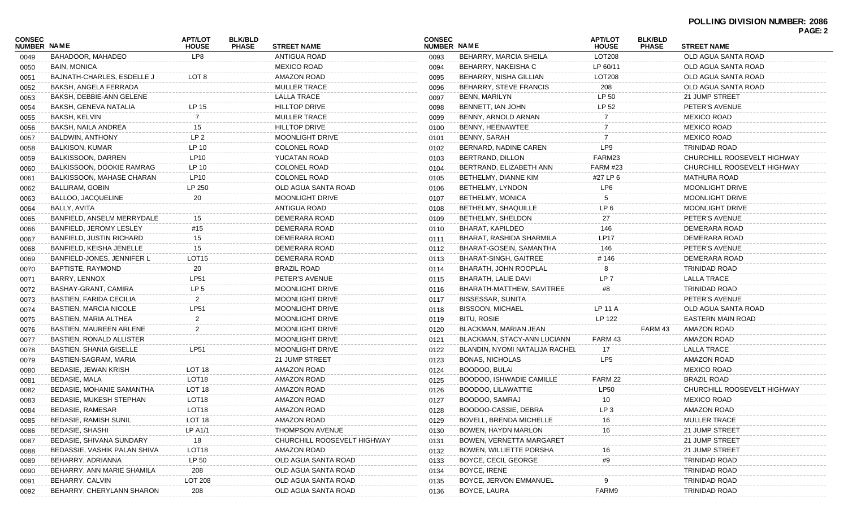| <b>CONSEC</b><br>NUMBER NAME |                                 | <b>APT/LOT</b><br><b>HOUSE</b> | <b>BLK/BLD</b><br><b>PHASE</b> | <b>STREET NAME</b>          | <b>CONSEC</b><br><b>NUMBER NAME</b> |                                 | <b>APT/LOT</b><br><b>HOUSE</b> | <b>BLK/BLD</b><br><b>PHASE</b> | <b>FAGE.Z</b><br><b>STREET NAME</b> |
|------------------------------|---------------------------------|--------------------------------|--------------------------------|-----------------------------|-------------------------------------|---------------------------------|--------------------------------|--------------------------------|-------------------------------------|
| 0049                         | BAHADOOR. MAHADEO               | LP8                            |                                | ANTIGUA ROAD                | 0093                                | BEHARRY, MARCIA SHEILA          | LOT208                         |                                | OLD AGUA SANTA ROAD                 |
| 0050                         | BAIN, MONICA                    |                                |                                | <b>MEXICO ROAD</b>          | 0094                                | BEHARRY, NAKEISHA C             | LP 60/11                       |                                | OLD AGUA SANTA ROAD                 |
| 0051                         | BAJNATH-CHARLES, ESDELLE J      | LOT 8                          |                                | AMAZON ROAD                 | 0095                                | BEHARRY, NISHA GILLIAN          | LOT208                         |                                | OLD AGUA SANTA ROAD                 |
| 0052                         | BAKSH, ANGELA FERRADA           |                                |                                | <b>MULLER TRACE</b>         | 0096                                | BEHARRY, STEVE FRANCIS          | 208                            |                                | OLD AGUA SANTA ROAD                 |
| 0053                         | BAKSH, DEBBIE-ANN GELENE        |                                |                                | LALLA TRACE                 | 0097                                | <b>BENN, MARILYN</b>            | LP 50                          |                                | 21 JUMP STREET                      |
| 0054                         | BAKSH, GENEVA NATALIA           | LP 15                          |                                | <b>HILLTOP DRIVE</b>        | 0098                                | BENNETT, IAN JOHN               | LP 52                          |                                | PETER'S AVENUE                      |
| 0055                         | BAKSH, KELVIN                   |                                |                                | <b>MULLER TRACE</b>         | 0099                                | BENNY, ARNOLD ARNAN             |                                |                                | <b>MEXICO ROAD</b>                  |
| 0056                         | BAKSH, NAILA ANDREA             | 15                             |                                | <b>HILLTOP DRIVE</b>        | 0100                                | BENNY, HEENAWTEE                |                                |                                | <b>MEXICO ROAD</b>                  |
| 0057                         | BALDWIN, ANTHONY                | LP <sub>2</sub>                |                                | <b>MOONLIGHT DRIVE</b>      | 0101                                | BENNY, SARAH                    |                                |                                | <b>MEXICO ROAD</b>                  |
| 0058                         | BALKISON, KUMAR                 | LP 10                          |                                | COLONEL ROAD                | 0102                                | BERNARD, NADINE CAREN           | LP9                            |                                | <b>TRINIDAD ROAD</b>                |
| 0059                         | BALKISSOON, DARREN              | LP10                           |                                | YUCATAN ROAD                | 0103                                | BERTRAND, DILLON                | FARM23                         |                                | CHURCHILL ROOSEVELT HIGHWAY         |
| 0060                         | BALKISSOON, DOOKIE RAMRAG       | LP 10                          |                                | <b>COLONEL ROAD</b>         | 0104                                | BERTRAND, ELIZABETH ANN         | FARM #23                       |                                | CHURCHILL ROOSEVELT HIGHWAY         |
| 0061                         | BALKISSOON, MAHASE CHARAN       | LP10                           |                                | COLONEL ROAD                | 0105                                | BETHELMY, DIANNE KIM            | #27 LP 6                       |                                | MATHURA ROAD                        |
| 0062                         | BALLIRAM, GOBIN                 | LP 250                         |                                | OLD AGUA SANTA ROAD         | 0106                                | BETHELMY, LYNDON                | LP6                            |                                | <b>MOONLIGHT DRIVE</b>              |
| 0063                         | BALLOO, JACQUELINE              | 20                             |                                | <b>MOONLIGHT DRIVE</b>      | 0107                                | BETHELMY, MONICA                |                                |                                | MOONLIGHT DRIVE                     |
| 0064                         | BALLY, AVITA                    |                                |                                | <b>ANTIGUA ROAD</b>         | 0108                                | BETHELMY, SHAQUILLE             | LP <sub>6</sub>                |                                | <b>MOONLIGHT DRIVE</b>              |
| 0065                         | BANFIELD, ANSELM MERRYDALE      | 15                             |                                | DEMERARA ROAD               | 0109                                | BETHELMY, SHELDON               | 27                             |                                | PETER'S AVENUE                      |
| 0066                         | BANFIELD, JEROMY LESLEY         | #15                            |                                | DEMERARA ROAD               | 0110                                | <b>BHARAT, KAPILDEO</b>         | 146                            |                                | DEMERARA ROAD                       |
| 0067                         | BANFIELD, JUSTIN RICHARD        | 15                             |                                | DEMERARA ROAD               | 0111                                | BHARAT, RASHIDA SHARMILA        | <b>LP17</b>                    |                                | DEMERARA ROAD                       |
| 0068                         | BANFIELD, KEISHA JENELLE        | 15                             |                                | DEMERARA ROAD               | 0112                                | BHARAT-GOSEIN, SAMANTHA         | 146                            |                                | PETER'S AVENUE                      |
| 0069                         | BANFIELD-JONES, JENNIFER L      | LOT <sub>15</sub>              |                                | DEMERARA ROAD               | 0113                                | BHARAT-SINGH, GAITREE           | # 146                          |                                | DEMERARA ROAD                       |
| 0070                         | BAPTISTE, RAYMOND               | 20                             |                                | <b>BRAZIL ROAD</b>          | 0114                                | BHARATH, JOHN ROOPLAL           |                                |                                | TRINIDAD ROAD                       |
| 0071                         | BARRY, LENNOX                   | <b>LP51</b>                    |                                | PETER'S AVENUE              | 0115                                | BHARATH, LALIE DAVI             | LP <sub>7</sub>                |                                | <b>LALLA TRACE</b>                  |
| 0072                         | BASHAY-GRANT, CAMIRA            | LP <sub>5</sub>                |                                | <b>MOONLIGHT DRIVE</b>      | 0116                                | BHARATH-MATTHEW, SAVITREE       | #8                             |                                | <b>TRINIDAD ROAD</b>                |
| 0073                         | BASTIEN, FARIDA CECILIA         | $\overline{2}$                 |                                | <b>MOONLIGHT DRIVE</b>      | 0117                                | BISSESSAR, SUNITA               |                                |                                | PETER'S AVENUE                      |
| 0074                         | <b>BASTIEN, MARCIA NICOLE</b>   | LP51                           |                                | <b>MOONLIGHT DRIVE</b>      | 0118                                | <b>BISSOON, MICHAEL</b>         | LP 11 A                        |                                | OLD AGUA SANTA ROAD                 |
| 0075                         | BASTIEN, MARIA ALTHEA           | 2                              |                                | <b>MOONLIGHT DRIVE</b>      | 0119                                | <b>BITU, ROSIE</b>              | LP 122                         |                                | EASTERN MAIN ROAD                   |
| 0076                         | BASTIEN, MAUREEN ARLENE         |                                |                                | <b>MOONLIGHT DRIVE</b>      | 0120                                | BLACKMAN, MARIAN JEAN           |                                | FARM 43                        | AMAZON ROAD                         |
| 0077                         | <b>BASTIEN, RONALD ALLISTER</b> |                                |                                | <b>MOONLIGHT DRIVE</b>      | 0121                                | BLACKMAN, STACY-ANN LUCIANN     | FARM 43                        |                                | AMAZON ROAD                         |
| 0078                         | <b>BASTIEN, SHANIA GISELLE</b>  | <b>LP51</b>                    |                                | <b>MOONLIGHT DRIVE</b>      | 0122                                | BLANDIN, NYOMI NATALIJA RACHEL  | 17                             |                                | <b>LALLA TRACE</b>                  |
| 0079                         | BASTIEN-SAGRAM, MARIA           |                                |                                | 21 JUMP STREET              | 0123                                | BONAS, NICHOLAS                 | LP <sub>5</sub>                |                                | AMAZON ROAD                         |
| 0080                         | BEDASIE, JEWAN KRISH            | LOT 18                         |                                | AMAZON ROAD                 | 0124                                | BOODOO, BULAI                   |                                |                                | <b>MEXICO ROAD</b>                  |
| 0081                         | BEDASIE, MALA                   | LOT <sub>18</sub>              |                                | AMAZON ROAD                 | 0125                                | BOODOO, ISHWADIE CAMILLE        | FARM 22                        |                                | <b>BRAZIL ROAD</b>                  |
| 0082                         | BEDASIE, MOHANIE SAMANTHA       | LOT 18                         |                                | AMAZON ROAD                 | 0126                                | BOODOO, LILAWATTIE              | <b>LP50</b>                    |                                | CHURCHILL ROOSEVELT HIGHWAY         |
| 0083                         | BEDASIE, MUKESH STEPHAN         | LOT <sub>18</sub>              |                                | AMAZON ROAD                 | 0127                                | BOODOO, SAMRAJ                  | 10                             |                                | <b>MEXICO ROAD</b>                  |
| 0084                         | <b>BEDASIE, RAMESAR</b>         | LOT <sub>18</sub>              |                                | AMAZON ROAD                 | 0128                                | BOODOO-CASSIE, DEBRA            | LP <sub>3</sub>                |                                | AMAZON ROAD                         |
| 0085                         | <b>BEDASIE, RAMISH SUNIL</b>    | LOT 18                         |                                | AMAZON ROAD                 | 0129                                | BOVELL, BRENDA MICHELLE         |                                |                                | <b>MULLER TRACE</b>                 |
| 0086                         | BEDASIE, SHASHI                 | LP A1/1                        |                                | <b>THOMPSON AVENUE</b>      | 0130                                | BOWEN, HAYDN MARLON             | 16                             |                                | 21 JUMP STREET                      |
| 0087                         | BEDASIE, SHIVANA SUNDARY        | 18                             |                                | CHURCHILL ROOSEVELT HIGHWAY | 0131                                | <b>BOWEN, VERNETTA MARGARET</b> |                                |                                | 21 JUMP STREET                      |
| 0088                         | BEDASSIE, VASHIK PALAN SHIVA    | LOT <sub>18</sub>              |                                | AMAZON ROAD                 | 0132                                | <b>BOWEN, WILLIETTE PORSHA</b>  |                                |                                | 21 JUMP STREET                      |
| 0089                         | BEHARRY, ADRIANNA               | LP 50                          |                                | OLD AGUA SANTA ROAD         | 0133                                | BOYCE, CECIL GEORGE             |                                |                                | <b>TRINIDAD ROAD</b>                |
| 0090                         | BEHARRY, ANN MARIE SHAMILA      | 208                            |                                | OLD AGUA SANTA ROAD         | 0134                                | BOYCE, IRENE                    |                                |                                | TRINIDAD ROAD                       |
| 0091                         | BEHARRY, CALVIN                 | <b>LOT 208</b>                 |                                | OLD AGUA SANTA ROAD         | 0135                                | BOYCE, JERVON EMMANUEL          |                                |                                | <b>TRINIDAD ROAD</b>                |
| 0092                         | BEHARRY, CHERYLANN SHARON       | 208                            |                                | OLD AGUA SANTA ROAD         | 0136                                | BOYCE, LAURA                    | FARM9                          |                                | <b>TRINIDAD ROAD</b>                |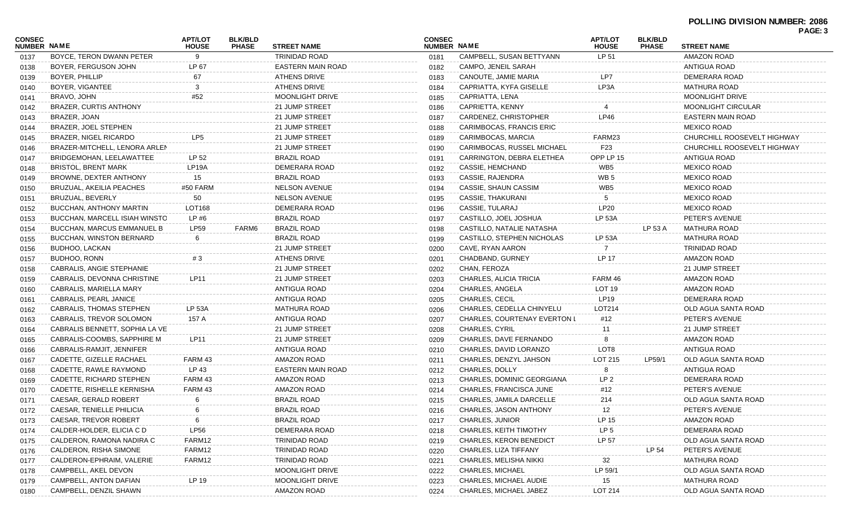|                              |                                 |                                |                                |                          |                              |                                     |                                |                                | PAGE: 3                     |  |  |
|------------------------------|---------------------------------|--------------------------------|--------------------------------|--------------------------|------------------------------|-------------------------------------|--------------------------------|--------------------------------|-----------------------------|--|--|
| <b>CONSEC</b><br>NUMBER NAME |                                 | <b>APT/LOT</b><br><b>HOUSE</b> | <b>BLK/BLD</b><br><b>PHASE</b> | <b>STREET NAME</b>       | <b>CONSEC</b><br>NUMBER NAME |                                     | <b>APT/LOT</b><br><b>HOUSE</b> | <b>BLK/BLD</b><br><b>PHASE</b> | <b>STREET NAME</b>          |  |  |
| 0137                         | BOYCE, TERON DWANN PETER        | $\mathbf{Q}$                   |                                | <b>TRINIDAD ROAD</b>     | 0181                         | CAMPBELL, SUSAN BETTYANN            | LP 51                          |                                | <b>AMAZON ROAD</b>          |  |  |
| 0138                         | BOYER, FERGUSON JOHN            | LP 67                          |                                | <b>EASTERN MAIN ROAD</b> | 0182                         | CAMPO, JENEIL SARAH                 |                                |                                | <b>ANTIGUA ROAD</b>         |  |  |
| 0139                         | BOYER, PHILLIP                  | 67                             |                                | <b>ATHENS DRIVE</b>      | 0183                         | CANOUTE, JAMIE MARIA                | LP7                            |                                | DEMERARA ROAD               |  |  |
| 0140                         | BOYER, VIGANTEE                 | 3                              |                                | <b>ATHENS DRIVE</b>      | 0184                         | CAPRIATTA, KYFA GISELLE             | LP3A                           |                                | <b>MATHURA ROAD</b>         |  |  |
| 0141                         | BRAVO, JOHN                     | #52                            |                                | MOONLIGHT DRIVE          | 0185                         | CAPRIATTA, LENA                     |                                |                                | <b>MOONLIGHT DRIVE</b>      |  |  |
| 0142                         | <b>BRAZER, CURTIS ANTHONY</b>   |                                |                                | 21 JUMP STREET           | 0186                         | CAPRIETTA, KENNY                    |                                |                                | <b>MOONLIGHT CIRCULAR</b>   |  |  |
| 0143                         | BRAZER, JOAN                    |                                |                                | 21 JUMP STREET           | 0187                         | CARDENEZ, CHRISTOPHER               | <b>LP46</b>                    |                                | EASTERN MAIN ROAD           |  |  |
| 0144                         | BRAZER, JOEL STEPHEN            |                                |                                | 21 JUMP STREET           | 0188                         | CARIMBOCAS, FRANCIS ERIC            |                                |                                | <b>MEXICO ROAD</b>          |  |  |
| 0145                         | BRAZER, NIGEL RICARDO           | LP <sub>5</sub>                |                                | 21 JUMP STREET           | 0189                         | CARIMBOCAS, MARCIA                  | FARM23                         |                                | CHURCHILL ROOSEVELT HIGHWAY |  |  |
| 0146                         | BRAZER-MITCHELL, LENORA ARLEN   |                                |                                | 21 JUMP STREET           | 0190                         | CARIMBOCAS, RUSSEL MICHAEL          | F <sub>23</sub>                |                                | CHURCHILL ROOSEVELT HIGHWAY |  |  |
| 0147                         | BRIDGEMOHAN, LEELAWATTEE        | LP 52                          |                                | <b>BRAZIL ROAD</b>       | 0191                         | CARRINGTON, DEBRA ELETHEA           | OPP LP 15                      |                                | <b>ANTIGUA ROAD</b>         |  |  |
| 0148                         | <b>BRISTOL, BRENT MARK</b>      | LP <sub>19</sub> A             |                                | DEMERARA ROAD            | 0192                         | CASSIE, HEMCHAND                    | WB <sub>5</sub>                |                                | <b>MEXICO ROAD</b>          |  |  |
| 0149                         | BROWNE, DEXTER ANTHONY          | 15                             |                                | <b>BRAZIL ROAD</b>       | 0193                         | CASSIE, RAJENDRA                    | WB <sub>5</sub>                |                                | <b>MEXICO ROAD</b>          |  |  |
| 0150                         | BRUZUAL, AKEILIA PEACHES        | #50 FARM                       |                                | <b>NELSON AVENUE</b>     | 0194                         | CASSIE, SHAUN CASSIM                | WB <sub>5</sub>                |                                | <b>MEXICO ROAD</b>          |  |  |
| 0151                         | BRUZUAL, BEVERLY                | 50                             |                                | <b>NELSON AVENUE</b>     | 0195                         | <b>CASSIE, THAKURANI</b>            | 5                              |                                | <b>MEXICO ROAD</b>          |  |  |
| 0152                         | <b>BUCCHAN, ANTHONY MARTIN</b>  | LOT168                         |                                | DEMERARA ROAD            | 0196                         | CASSIE, TULARAJ                     | <b>LP20</b>                    |                                | <b>MEXICO ROAD</b>          |  |  |
| 0153                         | BUCCHAN, MARCELL ISIAH WINSTO   | LP#6                           |                                | <b>BRAZIL ROAD</b>       | 0197                         | CASTILLO, JOEL JOSHUA               | <b>LP 53A</b>                  |                                | PETER'S AVENUE              |  |  |
| 0154                         | BUCCHAN, MARCUS EMMANUEL B      | LP59                           | FARM6                          | <b>BRAZIL ROAD</b>       | 0198                         | CASTILLO, NATALIE NATASHA           |                                | LP 53 A                        | MATHURA ROAD                |  |  |
| 0155                         | <b>BUCCHAN, WINSTON BERNARD</b> | 6                              |                                | <b>BRAZIL ROAD</b>       | 0199                         | CASTILLO, STEPHEN NICHOLAS          | <b>LP 53A</b>                  |                                | <b>MATHURA ROAD</b>         |  |  |
| 0156                         | BUDHOO, LACKAN                  |                                |                                | 21 JUMP STREET           | 0200                         | CAVE, RYAN AARON                    |                                |                                | <b>TRINIDAD ROAD</b>        |  |  |
| 0157                         | BUDHOO, RONN                    | #3                             |                                | <b>ATHENS DRIVE</b>      | 0201                         | CHADBAND, GURNEY                    | LP 17                          |                                | <b>AMAZON ROAD</b>          |  |  |
| 0158                         | CABRALIS, ANGIE STEPHANIE       |                                |                                | 21 JUMP STREET           | 0202                         | CHAN, FEROZA                        |                                |                                | 21 JUMP STREET              |  |  |
| 0159                         | CABRALIS, DEVONNA CHRISTINE     | LP11                           |                                | 21 JUMP STREET           | 0203                         | CHARLES, ALICIA TRICIA              | FARM 46                        |                                | <b>AMAZON ROAD</b>          |  |  |
| 0160                         | CABRALIS, MARIELLA MARY         |                                |                                | ANTIGUA ROAD             | 0204                         | CHARLES, ANGELA                     | LOT 19                         |                                | <b>AMAZON ROAD</b>          |  |  |
| 0161                         | CABRALIS, PEARL JANICE          |                                |                                | ANTIGUA ROAD             | 0205                         | <b>CHARLES, CECIL</b>               | <b>LP19</b>                    |                                | DEMERARA ROAD               |  |  |
| 0162                         | CABRALIS, THOMAS STEPHEN        | <b>LP 53A</b>                  |                                | <b>MATHURA ROAD</b>      | 0206                         | CHARLES, CEDELLA CHINYELU           | LOT214                         |                                | OLD AGUA SANTA ROAD         |  |  |
| 0163                         | CABRALIS, TREVOR SOLOMON        | 157 A                          |                                | ANTIGUA ROAD             | 0207                         | <b>CHARLES, COURTENAY EVERTON L</b> | #12                            |                                | PETER'S AVENUE              |  |  |
| 0164                         | CABRALIS BENNETT, SOPHIA LA VE  |                                |                                | 21 JUMP STREET           | 0208                         | <b>CHARLES, CYRIL</b>               | 11                             |                                | 21 JUMP STREET              |  |  |
| 0165                         | CABRALIS-COOMBS, SAPPHIRE M     | LP11                           |                                | 21 JUMP STREET           | 0209                         | CHARLES, DAVE FERNANDO              | 8                              |                                | <b>AMAZON ROAD</b>          |  |  |
| 0166                         | CABRALIS-RAMJIT, JENNIFER       |                                |                                | ANTIGUA ROAD             | 0210                         | CHARLES, DAVID LORANZO              | LOT8                           |                                | ANTIGUA ROAD                |  |  |
| 0167                         | CADETTE, GIZELLE RACHAEL        | FARM 43                        |                                | AMAZON ROAD              | 0211                         | CHARLES, DENZYL JAHSON              | LOT 215                        | LP59/1                         | OLD AGUA SANTA ROAD         |  |  |
| 0168                         | CADETTE, RAWLE RAYMOND          | LP 43                          |                                | EASTERN MAIN ROAD        | 0212                         | CHARLES, DOLLY                      | 8                              |                                | ANTIGUA ROAD                |  |  |
| 0169                         | CADETTE, RICHARD STEPHEN        | FARM 43                        |                                | AMAZON ROAD              | 0213                         | CHARLES, DOMINIC GEORGIANA          | LP <sub>2</sub>                |                                | DEMERARA ROAD               |  |  |
| 0170                         | CADETTE, RISHELLE KERNISHA      | FARM 43                        |                                | AMAZON ROAD              | 0214                         | CHARLES, FRANCISCA JUNE             | #12                            |                                | PETER'S AVENUE              |  |  |
| 0171                         | CAESAR, GERALD ROBERT           | -6                             |                                | <b>BRAZIL ROAD</b>       | 0215                         | CHARLES, JAMILA DARCELLE            | 214                            |                                | OLD AGUA SANTA ROAD         |  |  |
| 0172                         | CAESAR, TENIELLE PHILICIA       | 6                              |                                | <b>BRAZIL ROAD</b>       | 0216                         | CHARLES, JASON ANTHONY              | 12                             |                                | PETER'S AVENUE              |  |  |
| 0173                         | CAESAR, TREVOR ROBERT           |                                |                                | <b>BRAZIL ROAD</b>       | 0217                         | <b>CHARLES, JUNIOR</b>              | LP 15                          |                                | <b>AMAZON ROAD</b>          |  |  |
| 0174                         | CALDER-HOLDER, ELICIA C D       | <b>LP56</b>                    |                                | DEMERARA ROAD            | 0218                         | CHARLES, KEITH TIMOTHY              | LP <sub>5</sub>                |                                | DEMERARA ROAD               |  |  |
| 0175                         | CALDERON, RAMONA NADIRA C       | FARM12                         |                                | <b>TRINIDAD ROAD</b>     | 0219                         | <b>CHARLES, KERON BENEDICT</b>      | LP 57                          |                                | OLD AGUA SANTA ROAD         |  |  |
| 0176                         | CALDERON, RISHA SIMONE          | FARM12                         |                                | <b>TRINIDAD ROAD</b>     | 0220                         | CHARLES, LIZA TIFFANY               |                                | LP 54                          | PETER'S AVENUE              |  |  |
| 0177                         | CALDERON-EPHRAIM, VALERIE       | FARM12                         |                                | <b>TRINIDAD ROAD</b>     | 0221                         | CHARLES, MELISHA NIKKI              | 32                             |                                | <b>MATHURA ROAD</b>         |  |  |
| 0178                         | CAMPBELL, AKEL DEVON            |                                |                                | MOONLIGHT DRIVE          | 0222                         | <b>CHARLES, MICHAEL</b>             | LP 59/1                        |                                | OLD AGUA SANTA ROAD         |  |  |
| 0179                         | CAMPBELL, ANTON DAFIAN          | LP 19                          |                                | MOONLIGHT DRIVE          | 0223                         | CHARLES, MICHAEL AUDIE              | 15                             |                                | <b>MATHURA ROAD</b>         |  |  |
| 0180                         | CAMPBELL, DENZIL SHAWN          |                                |                                | AMAZON ROAD              | 0224                         | CHARLES, MICHAEL JABEZ              | LOT 214                        |                                | OLD AGUA SANTA ROAD         |  |  |
|                              |                                 |                                |                                |                          |                              |                                     |                                |                                |                             |  |  |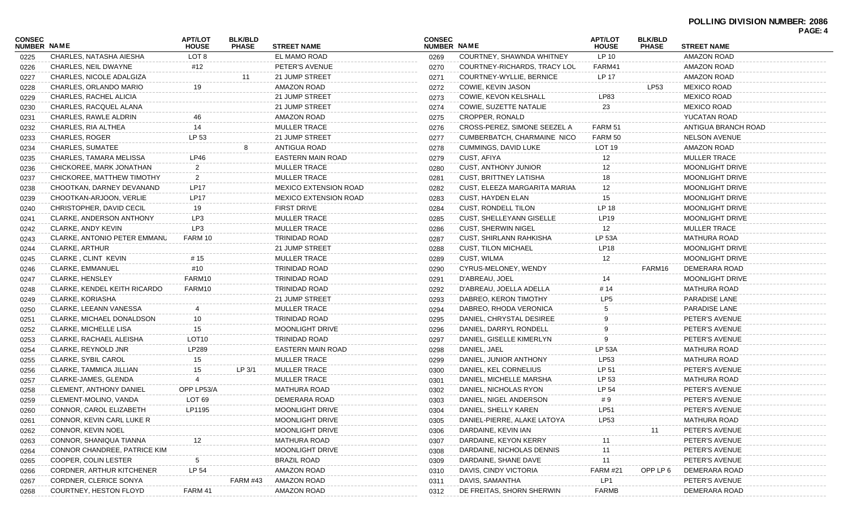| NUMBER NAME<br>NUMBER NAME<br><b>STREET NAME</b><br><b>PHASE</b><br><b>PHASE</b><br><b>STREET NAME</b><br><b>HOUSE</b><br><b>HOUSE</b><br>LOT 8<br>EL MAMO ROAD<br>COURTNEY, SHAWNDA WHITNEY<br>LP 10<br>AMAZON ROAD<br>CHARLES, NATASHA AIESHA<br>0269<br>0225<br>FARM41<br>CHARLES, NEIL DWAYNE<br>PETER'S AVENUE<br>COURTNEY-RICHARDS, TRACY LOU<br>AMAZON ROAD<br>#12<br>0226<br>0270<br>LP 17<br><b>AMAZON ROAD</b><br>CHARLES, NICOLE ADALGIZA<br>21 JUMP STREET<br>COURTNEY-WYLLIE, BERNICE<br>0271<br>0227<br><b>AMAZON ROAD</b><br><b>MEXICO ROAD</b><br>CHARLES, ORLANDO MARIO<br>COWIE, KEVIN JASON<br>LP53<br>19<br>0272<br>0228<br>LP83<br><b>MEXICO ROAD</b><br>CHARLES, RACHEL ALICIA<br>21 JUMP STREET<br>COWIE, KEVON KELSHALL<br>0273<br>0229<br>23<br><b>MEXICO ROAD</b><br>CHARLES, RACQUEL ALANA<br>21 JUMP STREET<br>COWIE, SUZETTE NATALIE<br>0274<br>0230<br><b>AMAZON ROAD</b><br><b>CROPPER, RONALD</b><br>YUCATAN ROAD<br>CHARLES, RAWLE ALDRIN<br>46<br>0275<br>0231<br>14<br>FARM 51<br>CHARLES, RIA ALTHEA<br><b>MULLER TRACE</b><br>CROSS-PEREZ, SIMONE SEEZEL A<br>ANTIGUA BRANCH ROAD<br>0232<br>0276<br>LP 53<br>FARM 50<br><b>NELSON AVENUE</b><br><b>CHARLES, ROGER</b><br>21 JUMP STREET<br>CUMBERBATCH, CHARMAINE NICO<br>0277<br>0233<br><b>ANTIGUA ROAD</b><br>LOT <sub>19</sub><br>AMAZON ROAD<br>CHARLES, SUMATEE<br>CUMMINGS, DAVID LUKE<br>0278<br>0234<br>EASTERN MAIN ROAD<br>CUST, AFIYA<br>MULLER TRACE<br>CHARLES, TAMARA MELISSA<br>LP46<br>12<br>0279<br>0235<br>12<br>CHICKOREE, MARK JONATHAN<br>$\overline{2}$<br><b>MULLER TRACE</b><br><b>CUST, ANTHONY JUNIOR</b><br>MOONLIGHT DRIVE<br>0280<br>0236<br><b>MULLER TRACE</b><br>CHICKOREE, MATTHEW TIMOTHY<br>2<br>CUST, BRITTNEY LATISHA<br>18<br>MOONLIGHT DRIVE<br>0281<br>0237<br><b>LP17</b><br>12<br>CHOOTKAN, DARNEY DEVANAND<br><b>MEXICO EXTENSION ROAD</b><br>CUST, ELEEZA MARGARITA MARIAM<br>MOONLIGHT DRIVE<br>0282<br>0238<br><b>LP17</b><br>15<br>CHOOTKAN-ARJOON, VERLIE<br><b>MEXICO EXTENSION ROAD</b><br>CUST, HAYDEN ELAN<br>MOONLIGHT DRIVE<br>0283<br>0239<br>LP 18<br><b>FIRST DRIVE</b><br><b>CUST, RONDELL TILON</b><br>CHRISTOPHER, DAVID CECIL<br>19<br>MOONLIGHT DRIVE<br>0284<br>0240<br>LP3<br><b>LP19</b><br>CLARKE, ANDERSON ANTHONY<br><b>MULLER TRACE</b><br><b>CUST, SHELLEYANN GISELLE</b><br>MOONLIGHT DRIVE<br>0285<br>0241<br>LP3<br>MULLER TRACE<br>CLARKE, ANDY KEVIN<br><b>MULLER TRACE</b><br><b>CUST, SHERWIN NIGEL</b><br>12<br>0286<br>0242<br><b>LP 53A</b><br>FARM 10<br><b>TRINIDAD ROAD</b><br><b>MATHURA ROAD</b><br>CLARKE, ANTONIO PETER EMMANU<br><b>CUST, SHIRLANN RAHKISHA</b><br>0287<br>0243<br>LP18<br><b>CLARKE, ARTHUR</b><br>21 JUMP STREET<br><b>CUST, TILON MICHAEL</b><br><b>MOONLIGHT DRIVE</b><br>0288<br>0244<br><b>CUST, WILMA</b><br>12<br>CLARKE, CLINT KEVIN<br># 15<br><b>MULLER TRACE</b><br>MOONLIGHT DRIVE<br>0289<br>0245<br>#10<br><b>TRINIDAD ROAD</b><br>DEMERARA ROAD<br><b>CLARKE, EMMANUEL</b><br>CYRUS-MELONEY, WENDY<br>FARM16<br>0290<br>0246<br>FARM10<br><b>TRINIDAD ROAD</b><br>D'ABREAU, JOEL<br><b>CLARKE, HENSLEY</b><br>MOONLIGHT DRIVE<br>0291<br>14<br>0247<br># 14<br>CLARKE, KENDEL KEITH RICARDO<br>FARM10<br>TRINIDAD ROAD<br>D'ABREAU, JOELLA ADELLA<br>MATHURA ROAD<br>0292<br>0248<br>LP <sub>5</sub><br>CLARKE, KORIASHA<br>21 JUMP STREET<br>DABREO, KERON TIMOTHY<br>PARADISE LANE<br>0293<br>0249<br>PARADISE LANE<br>CLARKE, LEEANN VANESSA<br><b>MULLER TRACE</b><br>DABREO, RHODA VERONICA<br>0294<br>0250<br>10<br>CLARKE, MICHAEL DONALDSON<br>TRINIDAD ROAD<br>DANIEL, CHRYSTAL DESIREE<br>PETER'S AVENUE<br>0295<br>0251<br>PETER'S AVENUE<br><b>CLARKE, MICHELLE LISA</b><br>15<br>MOONLIGHT DRIVE<br>DANIEL, DARRYL RONDELL<br>0296<br>0252<br>LOT <sub>10</sub><br><b>TRINIDAD ROAD</b><br>PETER'S AVENUE<br>CLARKE, RACHAEL ALEISHA<br>DANIEL, GISELLE KIMERLYN<br>0297<br>0253<br><b>LP 53A</b><br>LP289<br>EASTERN MAIN ROAD<br>DANIEL, JAEL<br><b>MATHURA ROAD</b><br>CLARKE, REYNOLD JNR<br>0298<br>0254<br>LP53<br>CLARKE, SYBIL CAROL<br>15<br><b>MULLER TRACE</b><br>DANIEL, JUNIOR ANTHONY<br><b>MATHURA ROAD</b><br>0299<br>0255<br>LP 51<br>LP 3/1<br><b>MULLER TRACE</b><br>PETER'S AVENUE<br>CLARKE, TAMMICA JILLIAN<br>15<br>DANIEL, KEL CORNELIUS<br>0300<br>0256<br>LP 53<br>MATHURA ROAD<br>CLARKE-JAMES, GLENDA<br><b>MULLER TRACE</b><br>DANIEL, MICHELLE MARSHA<br>0301<br>0257<br>LP 54<br>OPP LP53/A<br><b>CLEMENT, ANTHONY DANIEL</b><br>MATHURA ROAD<br>DANIEL, NICHOLAS RYON<br>PETER'S AVENUE<br>0302<br>0258<br>LOT <sub>69</sub><br>PETER'S AVENUE<br>CLEMENT-MOLINO, VANDA<br>DEMERARA ROAD<br>DANIEL, NIGEL ANDERSON<br>#9<br>0303<br>0259<br>DANIEL, SHELLY KAREN<br>MOONLIGHT DRIVE<br>PETER'S AVENUE<br>CONNOR, CAROL ELIZABETH<br><b>LP51</b><br>0260<br>LP1195<br>0304<br>LP53<br>CONNOR, KEVIN CARL LUKE R<br>MOONLIGHT DRIVE<br>DANIEL-PIERRE, ALAKE LATOYA<br><b>MATHURA ROAD</b><br>0261<br>0305<br>CONNOR, KEVIN NOEL<br>MOONLIGHT DRIVE<br>DARDAINE, KEVIN IAN<br>PETER'S AVENUE<br>0262<br>0306<br>11<br>MATHURA ROAD<br>PETER'S AVENUE<br>CONNOR, SHANIQUA TIANNA<br>DARDAINE, KEYON KERRY<br>0307<br>0263<br>CONNOR CHANDREE, PATRICE KIM<br>MOONLIGHT DRIVE<br>DARDAINE, NICHOLAS DENNIS<br>PETER'S AVENUE<br>11<br>0264<br>0308<br>COOPER, COLIN LESTER<br><b>BRAZIL ROAD</b><br>DARDAINE, SHANE DAVE<br>11<br>PETER'S AVENUE<br>0265<br>0309<br>AMAZON ROAD<br><b>FARM #21</b><br>DEMERARA ROAD<br>CORDNER, ARTHUR KITCHENER<br>LP 54<br>DAVIS, CINDY VICTORIA<br>OPP LP 6<br>0266<br>0310<br><b>AMAZON ROAD</b><br>LP1<br>PETER'S AVENUE<br>CORDNER, CLERICE SONYA<br>FARM #43<br>DAVIS, SAMANTHA<br>0311<br>0267 |               |                        |                |                |                    |               |                           |                |                |               | PAGE: 4 |
|-----------------------------------------------------------------------------------------------------------------------------------------------------------------------------------------------------------------------------------------------------------------------------------------------------------------------------------------------------------------------------------------------------------------------------------------------------------------------------------------------------------------------------------------------------------------------------------------------------------------------------------------------------------------------------------------------------------------------------------------------------------------------------------------------------------------------------------------------------------------------------------------------------------------------------------------------------------------------------------------------------------------------------------------------------------------------------------------------------------------------------------------------------------------------------------------------------------------------------------------------------------------------------------------------------------------------------------------------------------------------------------------------------------------------------------------------------------------------------------------------------------------------------------------------------------------------------------------------------------------------------------------------------------------------------------------------------------------------------------------------------------------------------------------------------------------------------------------------------------------------------------------------------------------------------------------------------------------------------------------------------------------------------------------------------------------------------------------------------------------------------------------------------------------------------------------------------------------------------------------------------------------------------------------------------------------------------------------------------------------------------------------------------------------------------------------------------------------------------------------------------------------------------------------------------------------------------------------------------------------------------------------------------------------------------------------------------------------------------------------------------------------------------------------------------------------------------------------------------------------------------------------------------------------------------------------------------------------------------------------------------------------------------------------------------------------------------------------------------------------------------------------------------------------------------------------------------------------------------------------------------------------------------------------------------------------------------------------------------------------------------------------------------------------------------------------------------------------------------------------------------------------------------------------------------------------------------------------------------------------------------------------------------------------------------------------------------------------------------------------------------------------------------------------------------------------------------------------------------------------------------------------------------------------------------------------------------------------------------------------------------------------------------------------------------------------------------------------------------------------------------------------------------------------------------------------------------------------------------------------------------------------------------------------------------------------------------------------------------------------------------------------------------------------------------------------------------------------------------------------------------------------------------------------------------------------------------------------------------------------------------------------------------------------------------------------------------------------------------------------------------------------------------------------------------------------------------------------------------------------------------------------------------------------------------------------------------------------------------------------------------------------------------------------------------------------------------------------------------------------------------------------------------------------------------------------------------------------------------------------------------------------------------------------------------------------------------------------------------------------------------------------------------------------------------------------------------------------------------------------------------------------------------------------------------------------------------------------------------------------------------------------------------------------------------------------------|---------------|------------------------|----------------|----------------|--------------------|---------------|---------------------------|----------------|----------------|---------------|---------|
|                                                                                                                                                                                                                                                                                                                                                                                                                                                                                                                                                                                                                                                                                                                                                                                                                                                                                                                                                                                                                                                                                                                                                                                                                                                                                                                                                                                                                                                                                                                                                                                                                                                                                                                                                                                                                                                                                                                                                                                                                                                                                                                                                                                                                                                                                                                                                                                                                                                                                                                                                                                                                                                                                                                                                                                                                                                                                                                                                                                                                                                                                                                                                                                                                                                                                                                                                                                                                                                                                                                                                                                                                                                                                                                                                                                                                                                                                                                                                                                                                                                                                                                                                                                                                                                                                                                                                                                                                                                                                                                                                                                                                                                                                                                                                                                                                                                                                                                                                                                                                                                                                                                                                                                                                                                                                                                                                                                                                                                                                                                                                                                                                                                                                               | <b>CONSEC</b> |                        | <b>APT/LOT</b> | <b>BLK/BLD</b> |                    | <b>CONSEC</b> |                           | <b>APT/LOT</b> | <b>BLK/BLD</b> |               |         |
|                                                                                                                                                                                                                                                                                                                                                                                                                                                                                                                                                                                                                                                                                                                                                                                                                                                                                                                                                                                                                                                                                                                                                                                                                                                                                                                                                                                                                                                                                                                                                                                                                                                                                                                                                                                                                                                                                                                                                                                                                                                                                                                                                                                                                                                                                                                                                                                                                                                                                                                                                                                                                                                                                                                                                                                                                                                                                                                                                                                                                                                                                                                                                                                                                                                                                                                                                                                                                                                                                                                                                                                                                                                                                                                                                                                                                                                                                                                                                                                                                                                                                                                                                                                                                                                                                                                                                                                                                                                                                                                                                                                                                                                                                                                                                                                                                                                                                                                                                                                                                                                                                                                                                                                                                                                                                                                                                                                                                                                                                                                                                                                                                                                                                               |               |                        |                |                |                    |               |                           |                |                |               |         |
|                                                                                                                                                                                                                                                                                                                                                                                                                                                                                                                                                                                                                                                                                                                                                                                                                                                                                                                                                                                                                                                                                                                                                                                                                                                                                                                                                                                                                                                                                                                                                                                                                                                                                                                                                                                                                                                                                                                                                                                                                                                                                                                                                                                                                                                                                                                                                                                                                                                                                                                                                                                                                                                                                                                                                                                                                                                                                                                                                                                                                                                                                                                                                                                                                                                                                                                                                                                                                                                                                                                                                                                                                                                                                                                                                                                                                                                                                                                                                                                                                                                                                                                                                                                                                                                                                                                                                                                                                                                                                                                                                                                                                                                                                                                                                                                                                                                                                                                                                                                                                                                                                                                                                                                                                                                                                                                                                                                                                                                                                                                                                                                                                                                                                               |               |                        |                |                |                    |               |                           |                |                |               |         |
|                                                                                                                                                                                                                                                                                                                                                                                                                                                                                                                                                                                                                                                                                                                                                                                                                                                                                                                                                                                                                                                                                                                                                                                                                                                                                                                                                                                                                                                                                                                                                                                                                                                                                                                                                                                                                                                                                                                                                                                                                                                                                                                                                                                                                                                                                                                                                                                                                                                                                                                                                                                                                                                                                                                                                                                                                                                                                                                                                                                                                                                                                                                                                                                                                                                                                                                                                                                                                                                                                                                                                                                                                                                                                                                                                                                                                                                                                                                                                                                                                                                                                                                                                                                                                                                                                                                                                                                                                                                                                                                                                                                                                                                                                                                                                                                                                                                                                                                                                                                                                                                                                                                                                                                                                                                                                                                                                                                                                                                                                                                                                                                                                                                                                               |               |                        |                |                |                    |               |                           |                |                |               |         |
|                                                                                                                                                                                                                                                                                                                                                                                                                                                                                                                                                                                                                                                                                                                                                                                                                                                                                                                                                                                                                                                                                                                                                                                                                                                                                                                                                                                                                                                                                                                                                                                                                                                                                                                                                                                                                                                                                                                                                                                                                                                                                                                                                                                                                                                                                                                                                                                                                                                                                                                                                                                                                                                                                                                                                                                                                                                                                                                                                                                                                                                                                                                                                                                                                                                                                                                                                                                                                                                                                                                                                                                                                                                                                                                                                                                                                                                                                                                                                                                                                                                                                                                                                                                                                                                                                                                                                                                                                                                                                                                                                                                                                                                                                                                                                                                                                                                                                                                                                                                                                                                                                                                                                                                                                                                                                                                                                                                                                                                                                                                                                                                                                                                                                               |               |                        |                |                |                    |               |                           |                |                |               |         |
|                                                                                                                                                                                                                                                                                                                                                                                                                                                                                                                                                                                                                                                                                                                                                                                                                                                                                                                                                                                                                                                                                                                                                                                                                                                                                                                                                                                                                                                                                                                                                                                                                                                                                                                                                                                                                                                                                                                                                                                                                                                                                                                                                                                                                                                                                                                                                                                                                                                                                                                                                                                                                                                                                                                                                                                                                                                                                                                                                                                                                                                                                                                                                                                                                                                                                                                                                                                                                                                                                                                                                                                                                                                                                                                                                                                                                                                                                                                                                                                                                                                                                                                                                                                                                                                                                                                                                                                                                                                                                                                                                                                                                                                                                                                                                                                                                                                                                                                                                                                                                                                                                                                                                                                                                                                                                                                                                                                                                                                                                                                                                                                                                                                                                               |               |                        |                |                |                    |               |                           |                |                |               |         |
|                                                                                                                                                                                                                                                                                                                                                                                                                                                                                                                                                                                                                                                                                                                                                                                                                                                                                                                                                                                                                                                                                                                                                                                                                                                                                                                                                                                                                                                                                                                                                                                                                                                                                                                                                                                                                                                                                                                                                                                                                                                                                                                                                                                                                                                                                                                                                                                                                                                                                                                                                                                                                                                                                                                                                                                                                                                                                                                                                                                                                                                                                                                                                                                                                                                                                                                                                                                                                                                                                                                                                                                                                                                                                                                                                                                                                                                                                                                                                                                                                                                                                                                                                                                                                                                                                                                                                                                                                                                                                                                                                                                                                                                                                                                                                                                                                                                                                                                                                                                                                                                                                                                                                                                                                                                                                                                                                                                                                                                                                                                                                                                                                                                                                               |               |                        |                |                |                    |               |                           |                |                |               |         |
|                                                                                                                                                                                                                                                                                                                                                                                                                                                                                                                                                                                                                                                                                                                                                                                                                                                                                                                                                                                                                                                                                                                                                                                                                                                                                                                                                                                                                                                                                                                                                                                                                                                                                                                                                                                                                                                                                                                                                                                                                                                                                                                                                                                                                                                                                                                                                                                                                                                                                                                                                                                                                                                                                                                                                                                                                                                                                                                                                                                                                                                                                                                                                                                                                                                                                                                                                                                                                                                                                                                                                                                                                                                                                                                                                                                                                                                                                                                                                                                                                                                                                                                                                                                                                                                                                                                                                                                                                                                                                                                                                                                                                                                                                                                                                                                                                                                                                                                                                                                                                                                                                                                                                                                                                                                                                                                                                                                                                                                                                                                                                                                                                                                                                               |               |                        |                |                |                    |               |                           |                |                |               |         |
|                                                                                                                                                                                                                                                                                                                                                                                                                                                                                                                                                                                                                                                                                                                                                                                                                                                                                                                                                                                                                                                                                                                                                                                                                                                                                                                                                                                                                                                                                                                                                                                                                                                                                                                                                                                                                                                                                                                                                                                                                                                                                                                                                                                                                                                                                                                                                                                                                                                                                                                                                                                                                                                                                                                                                                                                                                                                                                                                                                                                                                                                                                                                                                                                                                                                                                                                                                                                                                                                                                                                                                                                                                                                                                                                                                                                                                                                                                                                                                                                                                                                                                                                                                                                                                                                                                                                                                                                                                                                                                                                                                                                                                                                                                                                                                                                                                                                                                                                                                                                                                                                                                                                                                                                                                                                                                                                                                                                                                                                                                                                                                                                                                                                                               |               |                        |                |                |                    |               |                           |                |                |               |         |
|                                                                                                                                                                                                                                                                                                                                                                                                                                                                                                                                                                                                                                                                                                                                                                                                                                                                                                                                                                                                                                                                                                                                                                                                                                                                                                                                                                                                                                                                                                                                                                                                                                                                                                                                                                                                                                                                                                                                                                                                                                                                                                                                                                                                                                                                                                                                                                                                                                                                                                                                                                                                                                                                                                                                                                                                                                                                                                                                                                                                                                                                                                                                                                                                                                                                                                                                                                                                                                                                                                                                                                                                                                                                                                                                                                                                                                                                                                                                                                                                                                                                                                                                                                                                                                                                                                                                                                                                                                                                                                                                                                                                                                                                                                                                                                                                                                                                                                                                                                                                                                                                                                                                                                                                                                                                                                                                                                                                                                                                                                                                                                                                                                                                                               |               |                        |                |                |                    |               |                           |                |                |               |         |
|                                                                                                                                                                                                                                                                                                                                                                                                                                                                                                                                                                                                                                                                                                                                                                                                                                                                                                                                                                                                                                                                                                                                                                                                                                                                                                                                                                                                                                                                                                                                                                                                                                                                                                                                                                                                                                                                                                                                                                                                                                                                                                                                                                                                                                                                                                                                                                                                                                                                                                                                                                                                                                                                                                                                                                                                                                                                                                                                                                                                                                                                                                                                                                                                                                                                                                                                                                                                                                                                                                                                                                                                                                                                                                                                                                                                                                                                                                                                                                                                                                                                                                                                                                                                                                                                                                                                                                                                                                                                                                                                                                                                                                                                                                                                                                                                                                                                                                                                                                                                                                                                                                                                                                                                                                                                                                                                                                                                                                                                                                                                                                                                                                                                                               |               |                        |                |                |                    |               |                           |                |                |               |         |
|                                                                                                                                                                                                                                                                                                                                                                                                                                                                                                                                                                                                                                                                                                                                                                                                                                                                                                                                                                                                                                                                                                                                                                                                                                                                                                                                                                                                                                                                                                                                                                                                                                                                                                                                                                                                                                                                                                                                                                                                                                                                                                                                                                                                                                                                                                                                                                                                                                                                                                                                                                                                                                                                                                                                                                                                                                                                                                                                                                                                                                                                                                                                                                                                                                                                                                                                                                                                                                                                                                                                                                                                                                                                                                                                                                                                                                                                                                                                                                                                                                                                                                                                                                                                                                                                                                                                                                                                                                                                                                                                                                                                                                                                                                                                                                                                                                                                                                                                                                                                                                                                                                                                                                                                                                                                                                                                                                                                                                                                                                                                                                                                                                                                                               |               |                        |                |                |                    |               |                           |                |                |               |         |
|                                                                                                                                                                                                                                                                                                                                                                                                                                                                                                                                                                                                                                                                                                                                                                                                                                                                                                                                                                                                                                                                                                                                                                                                                                                                                                                                                                                                                                                                                                                                                                                                                                                                                                                                                                                                                                                                                                                                                                                                                                                                                                                                                                                                                                                                                                                                                                                                                                                                                                                                                                                                                                                                                                                                                                                                                                                                                                                                                                                                                                                                                                                                                                                                                                                                                                                                                                                                                                                                                                                                                                                                                                                                                                                                                                                                                                                                                                                                                                                                                                                                                                                                                                                                                                                                                                                                                                                                                                                                                                                                                                                                                                                                                                                                                                                                                                                                                                                                                                                                                                                                                                                                                                                                                                                                                                                                                                                                                                                                                                                                                                                                                                                                                               |               |                        |                |                |                    |               |                           |                |                |               |         |
|                                                                                                                                                                                                                                                                                                                                                                                                                                                                                                                                                                                                                                                                                                                                                                                                                                                                                                                                                                                                                                                                                                                                                                                                                                                                                                                                                                                                                                                                                                                                                                                                                                                                                                                                                                                                                                                                                                                                                                                                                                                                                                                                                                                                                                                                                                                                                                                                                                                                                                                                                                                                                                                                                                                                                                                                                                                                                                                                                                                                                                                                                                                                                                                                                                                                                                                                                                                                                                                                                                                                                                                                                                                                                                                                                                                                                                                                                                                                                                                                                                                                                                                                                                                                                                                                                                                                                                                                                                                                                                                                                                                                                                                                                                                                                                                                                                                                                                                                                                                                                                                                                                                                                                                                                                                                                                                                                                                                                                                                                                                                                                                                                                                                                               |               |                        |                |                |                    |               |                           |                |                |               |         |
|                                                                                                                                                                                                                                                                                                                                                                                                                                                                                                                                                                                                                                                                                                                                                                                                                                                                                                                                                                                                                                                                                                                                                                                                                                                                                                                                                                                                                                                                                                                                                                                                                                                                                                                                                                                                                                                                                                                                                                                                                                                                                                                                                                                                                                                                                                                                                                                                                                                                                                                                                                                                                                                                                                                                                                                                                                                                                                                                                                                                                                                                                                                                                                                                                                                                                                                                                                                                                                                                                                                                                                                                                                                                                                                                                                                                                                                                                                                                                                                                                                                                                                                                                                                                                                                                                                                                                                                                                                                                                                                                                                                                                                                                                                                                                                                                                                                                                                                                                                                                                                                                                                                                                                                                                                                                                                                                                                                                                                                                                                                                                                                                                                                                                               |               |                        |                |                |                    |               |                           |                |                |               |         |
|                                                                                                                                                                                                                                                                                                                                                                                                                                                                                                                                                                                                                                                                                                                                                                                                                                                                                                                                                                                                                                                                                                                                                                                                                                                                                                                                                                                                                                                                                                                                                                                                                                                                                                                                                                                                                                                                                                                                                                                                                                                                                                                                                                                                                                                                                                                                                                                                                                                                                                                                                                                                                                                                                                                                                                                                                                                                                                                                                                                                                                                                                                                                                                                                                                                                                                                                                                                                                                                                                                                                                                                                                                                                                                                                                                                                                                                                                                                                                                                                                                                                                                                                                                                                                                                                                                                                                                                                                                                                                                                                                                                                                                                                                                                                                                                                                                                                                                                                                                                                                                                                                                                                                                                                                                                                                                                                                                                                                                                                                                                                                                                                                                                                                               |               |                        |                |                |                    |               |                           |                |                |               |         |
|                                                                                                                                                                                                                                                                                                                                                                                                                                                                                                                                                                                                                                                                                                                                                                                                                                                                                                                                                                                                                                                                                                                                                                                                                                                                                                                                                                                                                                                                                                                                                                                                                                                                                                                                                                                                                                                                                                                                                                                                                                                                                                                                                                                                                                                                                                                                                                                                                                                                                                                                                                                                                                                                                                                                                                                                                                                                                                                                                                                                                                                                                                                                                                                                                                                                                                                                                                                                                                                                                                                                                                                                                                                                                                                                                                                                                                                                                                                                                                                                                                                                                                                                                                                                                                                                                                                                                                                                                                                                                                                                                                                                                                                                                                                                                                                                                                                                                                                                                                                                                                                                                                                                                                                                                                                                                                                                                                                                                                                                                                                                                                                                                                                                                               |               |                        |                |                |                    |               |                           |                |                |               |         |
|                                                                                                                                                                                                                                                                                                                                                                                                                                                                                                                                                                                                                                                                                                                                                                                                                                                                                                                                                                                                                                                                                                                                                                                                                                                                                                                                                                                                                                                                                                                                                                                                                                                                                                                                                                                                                                                                                                                                                                                                                                                                                                                                                                                                                                                                                                                                                                                                                                                                                                                                                                                                                                                                                                                                                                                                                                                                                                                                                                                                                                                                                                                                                                                                                                                                                                                                                                                                                                                                                                                                                                                                                                                                                                                                                                                                                                                                                                                                                                                                                                                                                                                                                                                                                                                                                                                                                                                                                                                                                                                                                                                                                                                                                                                                                                                                                                                                                                                                                                                                                                                                                                                                                                                                                                                                                                                                                                                                                                                                                                                                                                                                                                                                                               |               |                        |                |                |                    |               |                           |                |                |               |         |
|                                                                                                                                                                                                                                                                                                                                                                                                                                                                                                                                                                                                                                                                                                                                                                                                                                                                                                                                                                                                                                                                                                                                                                                                                                                                                                                                                                                                                                                                                                                                                                                                                                                                                                                                                                                                                                                                                                                                                                                                                                                                                                                                                                                                                                                                                                                                                                                                                                                                                                                                                                                                                                                                                                                                                                                                                                                                                                                                                                                                                                                                                                                                                                                                                                                                                                                                                                                                                                                                                                                                                                                                                                                                                                                                                                                                                                                                                                                                                                                                                                                                                                                                                                                                                                                                                                                                                                                                                                                                                                                                                                                                                                                                                                                                                                                                                                                                                                                                                                                                                                                                                                                                                                                                                                                                                                                                                                                                                                                                                                                                                                                                                                                                                               |               |                        |                |                |                    |               |                           |                |                |               |         |
|                                                                                                                                                                                                                                                                                                                                                                                                                                                                                                                                                                                                                                                                                                                                                                                                                                                                                                                                                                                                                                                                                                                                                                                                                                                                                                                                                                                                                                                                                                                                                                                                                                                                                                                                                                                                                                                                                                                                                                                                                                                                                                                                                                                                                                                                                                                                                                                                                                                                                                                                                                                                                                                                                                                                                                                                                                                                                                                                                                                                                                                                                                                                                                                                                                                                                                                                                                                                                                                                                                                                                                                                                                                                                                                                                                                                                                                                                                                                                                                                                                                                                                                                                                                                                                                                                                                                                                                                                                                                                                                                                                                                                                                                                                                                                                                                                                                                                                                                                                                                                                                                                                                                                                                                                                                                                                                                                                                                                                                                                                                                                                                                                                                                                               |               |                        |                |                |                    |               |                           |                |                |               |         |
|                                                                                                                                                                                                                                                                                                                                                                                                                                                                                                                                                                                                                                                                                                                                                                                                                                                                                                                                                                                                                                                                                                                                                                                                                                                                                                                                                                                                                                                                                                                                                                                                                                                                                                                                                                                                                                                                                                                                                                                                                                                                                                                                                                                                                                                                                                                                                                                                                                                                                                                                                                                                                                                                                                                                                                                                                                                                                                                                                                                                                                                                                                                                                                                                                                                                                                                                                                                                                                                                                                                                                                                                                                                                                                                                                                                                                                                                                                                                                                                                                                                                                                                                                                                                                                                                                                                                                                                                                                                                                                                                                                                                                                                                                                                                                                                                                                                                                                                                                                                                                                                                                                                                                                                                                                                                                                                                                                                                                                                                                                                                                                                                                                                                                               |               |                        |                |                |                    |               |                           |                |                |               |         |
|                                                                                                                                                                                                                                                                                                                                                                                                                                                                                                                                                                                                                                                                                                                                                                                                                                                                                                                                                                                                                                                                                                                                                                                                                                                                                                                                                                                                                                                                                                                                                                                                                                                                                                                                                                                                                                                                                                                                                                                                                                                                                                                                                                                                                                                                                                                                                                                                                                                                                                                                                                                                                                                                                                                                                                                                                                                                                                                                                                                                                                                                                                                                                                                                                                                                                                                                                                                                                                                                                                                                                                                                                                                                                                                                                                                                                                                                                                                                                                                                                                                                                                                                                                                                                                                                                                                                                                                                                                                                                                                                                                                                                                                                                                                                                                                                                                                                                                                                                                                                                                                                                                                                                                                                                                                                                                                                                                                                                                                                                                                                                                                                                                                                                               |               |                        |                |                |                    |               |                           |                |                |               |         |
|                                                                                                                                                                                                                                                                                                                                                                                                                                                                                                                                                                                                                                                                                                                                                                                                                                                                                                                                                                                                                                                                                                                                                                                                                                                                                                                                                                                                                                                                                                                                                                                                                                                                                                                                                                                                                                                                                                                                                                                                                                                                                                                                                                                                                                                                                                                                                                                                                                                                                                                                                                                                                                                                                                                                                                                                                                                                                                                                                                                                                                                                                                                                                                                                                                                                                                                                                                                                                                                                                                                                                                                                                                                                                                                                                                                                                                                                                                                                                                                                                                                                                                                                                                                                                                                                                                                                                                                                                                                                                                                                                                                                                                                                                                                                                                                                                                                                                                                                                                                                                                                                                                                                                                                                                                                                                                                                                                                                                                                                                                                                                                                                                                                                                               |               |                        |                |                |                    |               |                           |                |                |               |         |
|                                                                                                                                                                                                                                                                                                                                                                                                                                                                                                                                                                                                                                                                                                                                                                                                                                                                                                                                                                                                                                                                                                                                                                                                                                                                                                                                                                                                                                                                                                                                                                                                                                                                                                                                                                                                                                                                                                                                                                                                                                                                                                                                                                                                                                                                                                                                                                                                                                                                                                                                                                                                                                                                                                                                                                                                                                                                                                                                                                                                                                                                                                                                                                                                                                                                                                                                                                                                                                                                                                                                                                                                                                                                                                                                                                                                                                                                                                                                                                                                                                                                                                                                                                                                                                                                                                                                                                                                                                                                                                                                                                                                                                                                                                                                                                                                                                                                                                                                                                                                                                                                                                                                                                                                                                                                                                                                                                                                                                                                                                                                                                                                                                                                                               |               |                        |                |                |                    |               |                           |                |                |               |         |
|                                                                                                                                                                                                                                                                                                                                                                                                                                                                                                                                                                                                                                                                                                                                                                                                                                                                                                                                                                                                                                                                                                                                                                                                                                                                                                                                                                                                                                                                                                                                                                                                                                                                                                                                                                                                                                                                                                                                                                                                                                                                                                                                                                                                                                                                                                                                                                                                                                                                                                                                                                                                                                                                                                                                                                                                                                                                                                                                                                                                                                                                                                                                                                                                                                                                                                                                                                                                                                                                                                                                                                                                                                                                                                                                                                                                                                                                                                                                                                                                                                                                                                                                                                                                                                                                                                                                                                                                                                                                                                                                                                                                                                                                                                                                                                                                                                                                                                                                                                                                                                                                                                                                                                                                                                                                                                                                                                                                                                                                                                                                                                                                                                                                                               |               |                        |                |                |                    |               |                           |                |                |               |         |
|                                                                                                                                                                                                                                                                                                                                                                                                                                                                                                                                                                                                                                                                                                                                                                                                                                                                                                                                                                                                                                                                                                                                                                                                                                                                                                                                                                                                                                                                                                                                                                                                                                                                                                                                                                                                                                                                                                                                                                                                                                                                                                                                                                                                                                                                                                                                                                                                                                                                                                                                                                                                                                                                                                                                                                                                                                                                                                                                                                                                                                                                                                                                                                                                                                                                                                                                                                                                                                                                                                                                                                                                                                                                                                                                                                                                                                                                                                                                                                                                                                                                                                                                                                                                                                                                                                                                                                                                                                                                                                                                                                                                                                                                                                                                                                                                                                                                                                                                                                                                                                                                                                                                                                                                                                                                                                                                                                                                                                                                                                                                                                                                                                                                                               |               |                        |                |                |                    |               |                           |                |                |               |         |
|                                                                                                                                                                                                                                                                                                                                                                                                                                                                                                                                                                                                                                                                                                                                                                                                                                                                                                                                                                                                                                                                                                                                                                                                                                                                                                                                                                                                                                                                                                                                                                                                                                                                                                                                                                                                                                                                                                                                                                                                                                                                                                                                                                                                                                                                                                                                                                                                                                                                                                                                                                                                                                                                                                                                                                                                                                                                                                                                                                                                                                                                                                                                                                                                                                                                                                                                                                                                                                                                                                                                                                                                                                                                                                                                                                                                                                                                                                                                                                                                                                                                                                                                                                                                                                                                                                                                                                                                                                                                                                                                                                                                                                                                                                                                                                                                                                                                                                                                                                                                                                                                                                                                                                                                                                                                                                                                                                                                                                                                                                                                                                                                                                                                                               |               |                        |                |                |                    |               |                           |                |                |               |         |
|                                                                                                                                                                                                                                                                                                                                                                                                                                                                                                                                                                                                                                                                                                                                                                                                                                                                                                                                                                                                                                                                                                                                                                                                                                                                                                                                                                                                                                                                                                                                                                                                                                                                                                                                                                                                                                                                                                                                                                                                                                                                                                                                                                                                                                                                                                                                                                                                                                                                                                                                                                                                                                                                                                                                                                                                                                                                                                                                                                                                                                                                                                                                                                                                                                                                                                                                                                                                                                                                                                                                                                                                                                                                                                                                                                                                                                                                                                                                                                                                                                                                                                                                                                                                                                                                                                                                                                                                                                                                                                                                                                                                                                                                                                                                                                                                                                                                                                                                                                                                                                                                                                                                                                                                                                                                                                                                                                                                                                                                                                                                                                                                                                                                                               |               |                        |                |                |                    |               |                           |                |                |               |         |
|                                                                                                                                                                                                                                                                                                                                                                                                                                                                                                                                                                                                                                                                                                                                                                                                                                                                                                                                                                                                                                                                                                                                                                                                                                                                                                                                                                                                                                                                                                                                                                                                                                                                                                                                                                                                                                                                                                                                                                                                                                                                                                                                                                                                                                                                                                                                                                                                                                                                                                                                                                                                                                                                                                                                                                                                                                                                                                                                                                                                                                                                                                                                                                                                                                                                                                                                                                                                                                                                                                                                                                                                                                                                                                                                                                                                                                                                                                                                                                                                                                                                                                                                                                                                                                                                                                                                                                                                                                                                                                                                                                                                                                                                                                                                                                                                                                                                                                                                                                                                                                                                                                                                                                                                                                                                                                                                                                                                                                                                                                                                                                                                                                                                                               |               |                        |                |                |                    |               |                           |                |                |               |         |
|                                                                                                                                                                                                                                                                                                                                                                                                                                                                                                                                                                                                                                                                                                                                                                                                                                                                                                                                                                                                                                                                                                                                                                                                                                                                                                                                                                                                                                                                                                                                                                                                                                                                                                                                                                                                                                                                                                                                                                                                                                                                                                                                                                                                                                                                                                                                                                                                                                                                                                                                                                                                                                                                                                                                                                                                                                                                                                                                                                                                                                                                                                                                                                                                                                                                                                                                                                                                                                                                                                                                                                                                                                                                                                                                                                                                                                                                                                                                                                                                                                                                                                                                                                                                                                                                                                                                                                                                                                                                                                                                                                                                                                                                                                                                                                                                                                                                                                                                                                                                                                                                                                                                                                                                                                                                                                                                                                                                                                                                                                                                                                                                                                                                                               |               |                        |                |                |                    |               |                           |                |                |               |         |
|                                                                                                                                                                                                                                                                                                                                                                                                                                                                                                                                                                                                                                                                                                                                                                                                                                                                                                                                                                                                                                                                                                                                                                                                                                                                                                                                                                                                                                                                                                                                                                                                                                                                                                                                                                                                                                                                                                                                                                                                                                                                                                                                                                                                                                                                                                                                                                                                                                                                                                                                                                                                                                                                                                                                                                                                                                                                                                                                                                                                                                                                                                                                                                                                                                                                                                                                                                                                                                                                                                                                                                                                                                                                                                                                                                                                                                                                                                                                                                                                                                                                                                                                                                                                                                                                                                                                                                                                                                                                                                                                                                                                                                                                                                                                                                                                                                                                                                                                                                                                                                                                                                                                                                                                                                                                                                                                                                                                                                                                                                                                                                                                                                                                                               |               |                        |                |                |                    |               |                           |                |                |               |         |
|                                                                                                                                                                                                                                                                                                                                                                                                                                                                                                                                                                                                                                                                                                                                                                                                                                                                                                                                                                                                                                                                                                                                                                                                                                                                                                                                                                                                                                                                                                                                                                                                                                                                                                                                                                                                                                                                                                                                                                                                                                                                                                                                                                                                                                                                                                                                                                                                                                                                                                                                                                                                                                                                                                                                                                                                                                                                                                                                                                                                                                                                                                                                                                                                                                                                                                                                                                                                                                                                                                                                                                                                                                                                                                                                                                                                                                                                                                                                                                                                                                                                                                                                                                                                                                                                                                                                                                                                                                                                                                                                                                                                                                                                                                                                                                                                                                                                                                                                                                                                                                                                                                                                                                                                                                                                                                                                                                                                                                                                                                                                                                                                                                                                                               |               |                        |                |                |                    |               |                           |                |                |               |         |
|                                                                                                                                                                                                                                                                                                                                                                                                                                                                                                                                                                                                                                                                                                                                                                                                                                                                                                                                                                                                                                                                                                                                                                                                                                                                                                                                                                                                                                                                                                                                                                                                                                                                                                                                                                                                                                                                                                                                                                                                                                                                                                                                                                                                                                                                                                                                                                                                                                                                                                                                                                                                                                                                                                                                                                                                                                                                                                                                                                                                                                                                                                                                                                                                                                                                                                                                                                                                                                                                                                                                                                                                                                                                                                                                                                                                                                                                                                                                                                                                                                                                                                                                                                                                                                                                                                                                                                                                                                                                                                                                                                                                                                                                                                                                                                                                                                                                                                                                                                                                                                                                                                                                                                                                                                                                                                                                                                                                                                                                                                                                                                                                                                                                                               |               |                        |                |                |                    |               |                           |                |                |               |         |
|                                                                                                                                                                                                                                                                                                                                                                                                                                                                                                                                                                                                                                                                                                                                                                                                                                                                                                                                                                                                                                                                                                                                                                                                                                                                                                                                                                                                                                                                                                                                                                                                                                                                                                                                                                                                                                                                                                                                                                                                                                                                                                                                                                                                                                                                                                                                                                                                                                                                                                                                                                                                                                                                                                                                                                                                                                                                                                                                                                                                                                                                                                                                                                                                                                                                                                                                                                                                                                                                                                                                                                                                                                                                                                                                                                                                                                                                                                                                                                                                                                                                                                                                                                                                                                                                                                                                                                                                                                                                                                                                                                                                                                                                                                                                                                                                                                                                                                                                                                                                                                                                                                                                                                                                                                                                                                                                                                                                                                                                                                                                                                                                                                                                                               |               |                        |                |                |                    |               |                           |                |                |               |         |
|                                                                                                                                                                                                                                                                                                                                                                                                                                                                                                                                                                                                                                                                                                                                                                                                                                                                                                                                                                                                                                                                                                                                                                                                                                                                                                                                                                                                                                                                                                                                                                                                                                                                                                                                                                                                                                                                                                                                                                                                                                                                                                                                                                                                                                                                                                                                                                                                                                                                                                                                                                                                                                                                                                                                                                                                                                                                                                                                                                                                                                                                                                                                                                                                                                                                                                                                                                                                                                                                                                                                                                                                                                                                                                                                                                                                                                                                                                                                                                                                                                                                                                                                                                                                                                                                                                                                                                                                                                                                                                                                                                                                                                                                                                                                                                                                                                                                                                                                                                                                                                                                                                                                                                                                                                                                                                                                                                                                                                                                                                                                                                                                                                                                                               |               |                        |                |                |                    |               |                           |                |                |               |         |
|                                                                                                                                                                                                                                                                                                                                                                                                                                                                                                                                                                                                                                                                                                                                                                                                                                                                                                                                                                                                                                                                                                                                                                                                                                                                                                                                                                                                                                                                                                                                                                                                                                                                                                                                                                                                                                                                                                                                                                                                                                                                                                                                                                                                                                                                                                                                                                                                                                                                                                                                                                                                                                                                                                                                                                                                                                                                                                                                                                                                                                                                                                                                                                                                                                                                                                                                                                                                                                                                                                                                                                                                                                                                                                                                                                                                                                                                                                                                                                                                                                                                                                                                                                                                                                                                                                                                                                                                                                                                                                                                                                                                                                                                                                                                                                                                                                                                                                                                                                                                                                                                                                                                                                                                                                                                                                                                                                                                                                                                                                                                                                                                                                                                                               |               |                        |                |                |                    |               |                           |                |                |               |         |
|                                                                                                                                                                                                                                                                                                                                                                                                                                                                                                                                                                                                                                                                                                                                                                                                                                                                                                                                                                                                                                                                                                                                                                                                                                                                                                                                                                                                                                                                                                                                                                                                                                                                                                                                                                                                                                                                                                                                                                                                                                                                                                                                                                                                                                                                                                                                                                                                                                                                                                                                                                                                                                                                                                                                                                                                                                                                                                                                                                                                                                                                                                                                                                                                                                                                                                                                                                                                                                                                                                                                                                                                                                                                                                                                                                                                                                                                                                                                                                                                                                                                                                                                                                                                                                                                                                                                                                                                                                                                                                                                                                                                                                                                                                                                                                                                                                                                                                                                                                                                                                                                                                                                                                                                                                                                                                                                                                                                                                                                                                                                                                                                                                                                                               |               |                        |                |                |                    |               |                           |                |                |               |         |
|                                                                                                                                                                                                                                                                                                                                                                                                                                                                                                                                                                                                                                                                                                                                                                                                                                                                                                                                                                                                                                                                                                                                                                                                                                                                                                                                                                                                                                                                                                                                                                                                                                                                                                                                                                                                                                                                                                                                                                                                                                                                                                                                                                                                                                                                                                                                                                                                                                                                                                                                                                                                                                                                                                                                                                                                                                                                                                                                                                                                                                                                                                                                                                                                                                                                                                                                                                                                                                                                                                                                                                                                                                                                                                                                                                                                                                                                                                                                                                                                                                                                                                                                                                                                                                                                                                                                                                                                                                                                                                                                                                                                                                                                                                                                                                                                                                                                                                                                                                                                                                                                                                                                                                                                                                                                                                                                                                                                                                                                                                                                                                                                                                                                                               |               |                        |                |                |                    |               |                           |                |                |               |         |
|                                                                                                                                                                                                                                                                                                                                                                                                                                                                                                                                                                                                                                                                                                                                                                                                                                                                                                                                                                                                                                                                                                                                                                                                                                                                                                                                                                                                                                                                                                                                                                                                                                                                                                                                                                                                                                                                                                                                                                                                                                                                                                                                                                                                                                                                                                                                                                                                                                                                                                                                                                                                                                                                                                                                                                                                                                                                                                                                                                                                                                                                                                                                                                                                                                                                                                                                                                                                                                                                                                                                                                                                                                                                                                                                                                                                                                                                                                                                                                                                                                                                                                                                                                                                                                                                                                                                                                                                                                                                                                                                                                                                                                                                                                                                                                                                                                                                                                                                                                                                                                                                                                                                                                                                                                                                                                                                                                                                                                                                                                                                                                                                                                                                                               |               |                        |                |                |                    |               |                           |                |                |               |         |
|                                                                                                                                                                                                                                                                                                                                                                                                                                                                                                                                                                                                                                                                                                                                                                                                                                                                                                                                                                                                                                                                                                                                                                                                                                                                                                                                                                                                                                                                                                                                                                                                                                                                                                                                                                                                                                                                                                                                                                                                                                                                                                                                                                                                                                                                                                                                                                                                                                                                                                                                                                                                                                                                                                                                                                                                                                                                                                                                                                                                                                                                                                                                                                                                                                                                                                                                                                                                                                                                                                                                                                                                                                                                                                                                                                                                                                                                                                                                                                                                                                                                                                                                                                                                                                                                                                                                                                                                                                                                                                                                                                                                                                                                                                                                                                                                                                                                                                                                                                                                                                                                                                                                                                                                                                                                                                                                                                                                                                                                                                                                                                                                                                                                                               |               |                        |                |                |                    |               |                           |                |                |               |         |
|                                                                                                                                                                                                                                                                                                                                                                                                                                                                                                                                                                                                                                                                                                                                                                                                                                                                                                                                                                                                                                                                                                                                                                                                                                                                                                                                                                                                                                                                                                                                                                                                                                                                                                                                                                                                                                                                                                                                                                                                                                                                                                                                                                                                                                                                                                                                                                                                                                                                                                                                                                                                                                                                                                                                                                                                                                                                                                                                                                                                                                                                                                                                                                                                                                                                                                                                                                                                                                                                                                                                                                                                                                                                                                                                                                                                                                                                                                                                                                                                                                                                                                                                                                                                                                                                                                                                                                                                                                                                                                                                                                                                                                                                                                                                                                                                                                                                                                                                                                                                                                                                                                                                                                                                                                                                                                                                                                                                                                                                                                                                                                                                                                                                                               |               |                        |                |                |                    |               |                           |                |                |               |         |
|                                                                                                                                                                                                                                                                                                                                                                                                                                                                                                                                                                                                                                                                                                                                                                                                                                                                                                                                                                                                                                                                                                                                                                                                                                                                                                                                                                                                                                                                                                                                                                                                                                                                                                                                                                                                                                                                                                                                                                                                                                                                                                                                                                                                                                                                                                                                                                                                                                                                                                                                                                                                                                                                                                                                                                                                                                                                                                                                                                                                                                                                                                                                                                                                                                                                                                                                                                                                                                                                                                                                                                                                                                                                                                                                                                                                                                                                                                                                                                                                                                                                                                                                                                                                                                                                                                                                                                                                                                                                                                                                                                                                                                                                                                                                                                                                                                                                                                                                                                                                                                                                                                                                                                                                                                                                                                                                                                                                                                                                                                                                                                                                                                                                                               |               |                        |                |                |                    |               |                           |                |                |               |         |
|                                                                                                                                                                                                                                                                                                                                                                                                                                                                                                                                                                                                                                                                                                                                                                                                                                                                                                                                                                                                                                                                                                                                                                                                                                                                                                                                                                                                                                                                                                                                                                                                                                                                                                                                                                                                                                                                                                                                                                                                                                                                                                                                                                                                                                                                                                                                                                                                                                                                                                                                                                                                                                                                                                                                                                                                                                                                                                                                                                                                                                                                                                                                                                                                                                                                                                                                                                                                                                                                                                                                                                                                                                                                                                                                                                                                                                                                                                                                                                                                                                                                                                                                                                                                                                                                                                                                                                                                                                                                                                                                                                                                                                                                                                                                                                                                                                                                                                                                                                                                                                                                                                                                                                                                                                                                                                                                                                                                                                                                                                                                                                                                                                                                                               |               |                        |                |                |                    |               |                           |                |                |               |         |
|                                                                                                                                                                                                                                                                                                                                                                                                                                                                                                                                                                                                                                                                                                                                                                                                                                                                                                                                                                                                                                                                                                                                                                                                                                                                                                                                                                                                                                                                                                                                                                                                                                                                                                                                                                                                                                                                                                                                                                                                                                                                                                                                                                                                                                                                                                                                                                                                                                                                                                                                                                                                                                                                                                                                                                                                                                                                                                                                                                                                                                                                                                                                                                                                                                                                                                                                                                                                                                                                                                                                                                                                                                                                                                                                                                                                                                                                                                                                                                                                                                                                                                                                                                                                                                                                                                                                                                                                                                                                                                                                                                                                                                                                                                                                                                                                                                                                                                                                                                                                                                                                                                                                                                                                                                                                                                                                                                                                                                                                                                                                                                                                                                                                                               |               |                        |                |                |                    |               |                           |                |                |               |         |
| 0268                                                                                                                                                                                                                                                                                                                                                                                                                                                                                                                                                                                                                                                                                                                                                                                                                                                                                                                                                                                                                                                                                                                                                                                                                                                                                                                                                                                                                                                                                                                                                                                                                                                                                                                                                                                                                                                                                                                                                                                                                                                                                                                                                                                                                                                                                                                                                                                                                                                                                                                                                                                                                                                                                                                                                                                                                                                                                                                                                                                                                                                                                                                                                                                                                                                                                                                                                                                                                                                                                                                                                                                                                                                                                                                                                                                                                                                                                                                                                                                                                                                                                                                                                                                                                                                                                                                                                                                                                                                                                                                                                                                                                                                                                                                                                                                                                                                                                                                                                                                                                                                                                                                                                                                                                                                                                                                                                                                                                                                                                                                                                                                                                                                                                          |               | COURTNEY, HESTON FLOYD | FARM 41        |                | <b>AMAZON ROAD</b> | 0312          | DE FREITAS, SHORN SHERWIN | FARMB          |                | DEMERARA ROAD |         |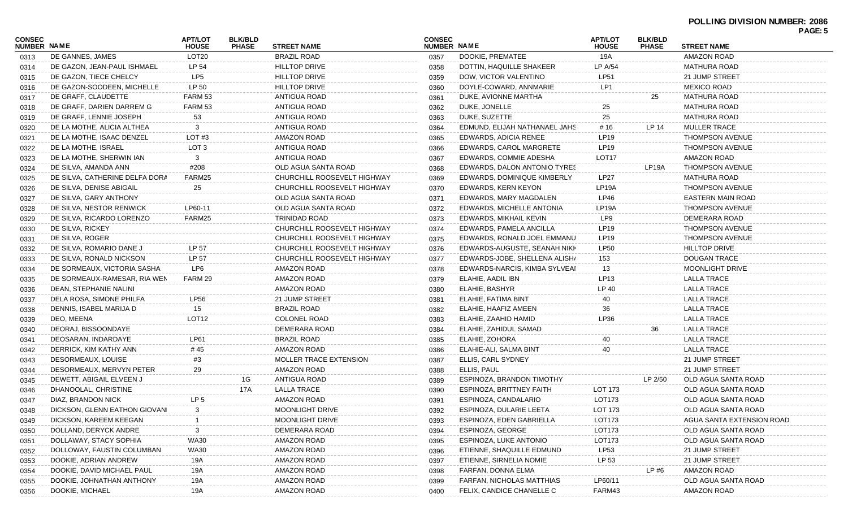| CONSEC             |                                | <b>APT/LOT</b>    | <b>BLK/BLD</b> |                             | <b>CONSEC</b> |                               | <b>APT/LOT</b>     | <b>BLK/BLD</b> |                           | гачь. Э |
|--------------------|--------------------------------|-------------------|----------------|-----------------------------|---------------|-------------------------------|--------------------|----------------|---------------------------|---------|
| <b>NUMBER NAME</b> |                                | <b>HOUSE</b>      | <b>PHASE</b>   | <b>STREET NAME</b>          | NUMBER NAME   |                               | <b>HOUSE</b>       | <b>PHASE</b>   | <b>STREET NAME</b>        |         |
| 0313               | DE GANNES, JAMES               | LOT <sub>20</sub> |                | <b>BRAZIL ROAD</b>          | 0357          | DOOKIE, PREMATEE              | 19A                |                | AMAZON ROAD               |         |
| 0314               | DE GAZON, JEAN-PAUL ISHMAEL    | LP 54             |                | <b>HILLTOP DRIVE</b>        | 0358          | DOTTIN, HAQUILLE SHAKEER      | LP A/54            |                | MATHURA ROAD              |         |
| 0315               | DE GAZON, TIECE CHELCY         | LP5               |                | <b>HILLTOP DRIVE</b>        | 0359          | DOW, VICTOR VALENTINO         | LP51               |                | 21 JUMP STREET            |         |
| 0316               | DE GAZON-SOODEEN, MICHELLE     | LP 50             |                | <b>HILLTOP DRIVE</b>        | 0360          | DOYLE-COWARD, ANNMARIE        | LP1                |                | <b>MEXICO ROAD</b>        |         |
| 0317               | DE GRAFF, CLAUDETTE            | FARM 53           |                | ANTIGUA ROAD                | 0361          | DUKE, AVIONNE MARTHA          |                    | 25             | <b>MATHURA ROAD</b>       |         |
| 0318               | DE GRAFF, DARIEN DARREM G      | FARM 53           |                | ANTIGUA ROAD                | 0362          | DUKE, JONELLE                 | 25                 |                | MATHURA ROAD              |         |
| 0319               | DE GRAFF, LENNIE JOSEPH        | 53                |                | ANTIGUA ROAD                | 0363          | DUKE, SUZETTE                 | 25                 |                | MATHURA ROAD              |         |
| 0320               | DE LA MOTHE, ALICIA ALTHEA     | 3                 |                | ANTIGUA ROAD                | 0364          | EDMUND, ELIJAH NATHANAEL JAHS | # 16               | LP 14          | <b>MULLER TRACE</b>       |         |
| 0321               | DE LA MOTHE, ISAAC DENZEL      | LOT #3            |                | <b>AMAZON ROAD</b>          | 0365          | EDWARDS, ADICIA RENEE         | LP <sub>19</sub>   |                | <b>THOMPSON AVENUE</b>    |         |
| 0322               | DE LA MOTHE, ISRAEL            | LOT 3             |                | ANTIGUA ROAD                | 0366          | EDWARDS, CAROL MARGRETE       | LP <sub>19</sub>   |                | <b>THOMPSON AVENUE</b>    |         |
| 0323               | DE LA MOTHE, SHERWIN IAN       | 3                 |                | ANTIGUA ROAD                | 0367          | EDWARDS, COMMIE ADESHA        | LOT <sub>17</sub>  |                | <b>AMAZON ROAD</b>        |         |
| 0324               | DE SILVA, AMANDA ANN           | #208              |                | OLD AGUA SANTA ROAD         | 0368          | EDWARDS, DALON ANTONIO TYRES  |                    | LP19A          | <b>THOMPSON AVENUE</b>    |         |
| 0325               | DE SILVA, CATHERINE DELFA DORA | FARM25            |                | CHURCHILL ROOSEVELT HIGHWAY | 0369          | EDWARDS, DOMINIQUE KIMBERLY   | LP27               |                | MATHURA ROAD              |         |
| 0326               | DE SILVA, DENISE ABIGAIL       | 25                |                | CHURCHILL ROOSEVELT HIGHWAY | 0370          | EDWARDS, KERN KEYON           | LP19A              |                | <b>THOMPSON AVENUE</b>    |         |
| 0327               | DE SILVA, GARY ANTHONY         |                   |                | OLD AGUA SANTA ROAD         | 0371          | EDWARDS, MARY MAGDALEN        | LP46               |                | EASTERN MAIN ROAD         |         |
| 0328               | DE SILVA, NESTOR RENWICK       | LP60-11           |                | OLD AGUA SANTA ROAD         | 0372          | EDWARDS, MICHELLE ANTONIA     | LP19A              |                | <b>THOMPSON AVENUE</b>    |         |
| 0329               | DE SILVA, RICARDO LORENZO      | FARM25            |                | TRINIDAD ROAD               | 0373          | EDWARDS, MIKHAIL KEVIN        | LP9                |                | DEMERARA ROAD             |         |
| 0330               | DE SILVA, RICKEY               |                   |                | CHURCHILL ROOSEVELT HIGHWAY | 0374          | EDWARDS, PAMELA ANCILLA       | LP <sub>19</sub>   |                | <b>THOMPSON AVENUE</b>    |         |
| 0331               | DE SILVA, ROGER                |                   |                | CHURCHILL ROOSEVELT HIGHWAY | 0375          | EDWARDS, RONALD JOEL EMMANU   | LP <sub>19</sub>   |                | <b>THOMPSON AVENUE</b>    |         |
| 0332               | DE SILVA, ROMARIO DANE J       | LP 57             |                | CHURCHILL ROOSEVELT HIGHWAY | 0376          | EDWARDS-AUGUSTE, SEANAH NIKK  | <b>LP50</b>        |                | <b>HILLTOP DRIVE</b>      |         |
| 0333               | DE SILVA, RONALD NICKSON       | LP 57             |                | CHURCHILL ROOSEVELT HIGHWAY | 0377          | EDWARDS-JOBE, SHELLENA ALISH/ | 153                |                | DOUGAN TRACE              |         |
| 0334               | DE SORMEAUX, VICTORIA SASHA    | LP6               |                | <b>AMAZON ROAD</b>          | 0378          | EDWARDS-NARCIS, KIMBA SYLVEAI | 13                 |                | <b>MOONLIGHT DRIVE</b>    |         |
| 0335               | DE SORMEAUX-RAMESAR, RIA WEN   | FARM 29           |                | <b>AMAZON ROAD</b>          | 0379          | ELAHIE, AADIL IBN             | LP <sub>13</sub>   |                | LALLA TRACE               |         |
| 0336               | DEAN, STEPHANIE NALINI         |                   |                | AMAZON ROAD                 | 0380          | ELAHIE, BASHYR                | LP 40              |                | LALLA TRACE               |         |
| 0337               | DELA ROSA, SIMONE PHILFA       | LP56              |                | 21 JUMP STREET              | 0381          | ELAHIE, FATIMA BINT           | 40                 |                | LALLA TRACE               |         |
| 0338               | DENNIS, ISABEL MARIJA D        | 15                |                | <b>BRAZIL ROAD</b>          | 0382          | ELAHIE, HAAFIZ AMEEN          | 36                 |                | LALLA TRACE               |         |
| 0339               | DEO, MEENA                     | LOT <sub>12</sub> |                | <b>COLONEL ROAD</b>         | 0383          | ELAHIE, ZAAHID HAMID          | LP36               |                | LALLA TRACE               |         |
| 0340               | DEORAJ, BISSOONDAYE            |                   |                | DEMERARA ROAD               | 0384          | ELAHIE, ZAHIDUL SAMAD         |                    | 36             | LALLA TRACE               |         |
| 0341               | DEOSARAN, INDARDAYE            | LP61              |                | <b>BRAZIL ROAD</b>          | 0385          | ELAHIE, ZOHORA                | 40                 |                | LALLA TRACE               |         |
| 0342               | DERRICK, KIM KATHY ANN         | # 45              |                | AMAZON ROAD                 | 0386          | ELAHIE-ALI, SALMA BINT        | 40                 |                | LALLA TRACE               |         |
| 0343               | DESORMEAUX, LOUISE             | #3                |                | MOLLER TRACE EXTENSION      | 0387          | ELLIS, CARL SYDNEY            |                    |                | 21 JUMP STREET            |         |
| 0344               | DESORMEAUX, MERVYN PETER       | 29                |                | AMAZON ROAD                 | 0388          | ELLIS, PAUL                   |                    |                | 21 JUMP STREET            |         |
| 0345               | DEWETT, ABIGAIL ELVEEN J       |                   | 1G             | <b>ANTIGUA ROAD</b>         | 0389          | ESPINOZA, BRANDON TIMOTHY     |                    | LP 2/50        | OLD AGUA SANTA ROAD       |         |
| 0346               | DHANOOLAL, CHRISTINE           |                   | 17A            | <b>LALLA TRACE</b>          | 0390          | ESPINOZA, BRITTNEY FAITH      | LOT 173            |                | OLD AGUA SANTA ROAD       |         |
| 0347               | DIAZ, BRANDON NICK             | LP <sub>5</sub>   |                | AMAZON ROAD                 | 0391          | ESPINOZA, CANDALARIO          | LOT173             |                | OLD AGUA SANTA ROAD       |         |
| 0348               | DICKSON, GLENN EATHON GIOVANI  |                   |                | MOONLIGHT DRIVE             | 0392          | ESPINOZA, DULARIE LEETA       | LOT 173            |                | OLD AGUA SANTA ROAD       |         |
| 0349               | DICKSON, KAREEM KEEGAN         |                   |                | MOONLIGHT DRIVE             | 0393          | ESPINOZA, EDEN GABRIELLA      | LOT173             |                | AGUA SANTA EXTENSION ROAD |         |
| 0350               | DOLLAND, DERYCK ANDRE          |                   |                | DEMERARA ROAD               | 0394          | ESPINOZA, GEORGE              | LOT <sub>173</sub> |                | OLD AGUA SANTA ROAD       |         |
| 0351               | DOLLAWAY, STACY SOPHIA         | <b>WA30</b>       |                | <b>AMAZON ROAD</b>          | 0395          | ESPINOZA, LUKE ANTONIO        | LOT <sub>173</sub> |                | OLD AGUA SANTA ROAD       |         |
| 0352               | DOLLOWAY, FAUSTIN COLUMBAN     | WA30              |                | AMAZON ROAD                 | 0396          | ETIENNE, SHAQUILLE EDMUND     | LP <sub>53</sub>   |                | 21 JUMP STREET            |         |
| 0353               | DOOKIE, ADRIAN ANDREW          | 19A               |                | AMAZON ROAD                 | 0397          | ETIENNE, SIRNELIA NOMIE       | LP 53              |                | 21 JUMP STREET            |         |
| 0354               | DOOKIE, DAVID MICHAEL PAUL     | 19A               |                | AMAZON ROAD                 | 0398          | FARFAN, DONNA ELMA            |                    | LP#6           | AMAZON ROAD               |         |
| 0355               | DOOKIE, JOHNATHAN ANTHONY      | 19A               |                | AMAZON ROAD                 | 0399          | FARFAN, NICHOLAS MATTHIAS     | LP60/11            |                | OLD AGUA SANTA ROAD       |         |
| 0356               | DOOKIE, MICHAEL                | 19A               |                | AMAZON ROAD                 | 0400          | FELIX, CANDICE CHANELLE C     | FARM43             |                | AMAZON ROAD               |         |
|                    |                                |                   |                |                             |               |                               |                    |                |                           |         |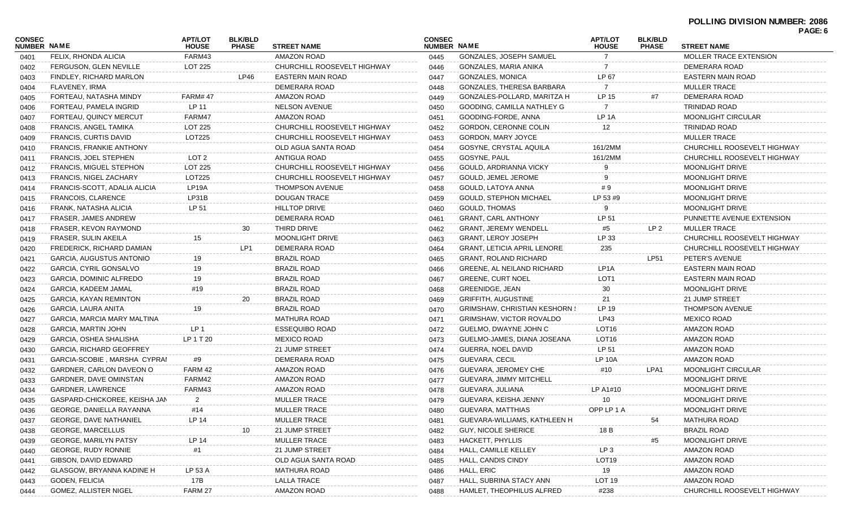| <b>CONSEC</b><br>NUMBER NAME |                                  | <b>APT/LOT</b><br><b>HOUSE</b> | <b>BLK/BLD</b><br><b>PHASE</b> | <b>STREET NAME</b>          | <b>CONSEC</b><br>NUMBER NAME |                                      | <b>APT/LOT</b><br><b>HOUSE</b> | <b>BLK/BLD</b><br><b>PHASE</b> | PAGE: 6<br><b>STREET NAME</b> |
|------------------------------|----------------------------------|--------------------------------|--------------------------------|-----------------------------|------------------------------|--------------------------------------|--------------------------------|--------------------------------|-------------------------------|
| 0401                         | FELIX, RHONDA ALICIA             | FARM43                         |                                | <b>AMAZON ROAD</b>          | 0445                         | GONZALES, JOSEPH SAMUEL              | $\overline{7}$                 |                                | MOLLER TRACE EXTENSION        |
| 0402                         | FERGUSON, GLEN NEVILLE           | LOT 225                        |                                | CHURCHILL ROOSEVELT HIGHWAY | 0446                         | GONZALES, MARIA ANIKA                | 7                              |                                | DEMERARA ROAD                 |
| 0403                         | FINDLEY, RICHARD MARLON          |                                | LP46                           | <b>EASTERN MAIN ROAD</b>    | 0447                         | <b>GONZALES, MONICA</b>              | LP 67                          |                                | <b>EASTERN MAIN ROAD</b>      |
| 0404                         | FLAVENEY, IRMA                   |                                |                                | DEMERARA ROAD               | 0448                         | GONZALES, THERESA BARBARA            | 7                              |                                | <b>MULLER TRACE</b>           |
| 0405                         | FORTEAU, NATASHA MINDY           | <b>FARM#47</b>                 |                                | <b>AMAZON ROAD</b>          | 0449                         | GONZALES-POLLARD, MARITZA H          | LP 15                          | #7                             | DEMERARA ROAD                 |
| 0406                         | FORTEAU, PAMELA INGRID           | LP 11                          |                                | <b>NELSON AVENUE</b>        | 0450                         | GOODING, CAMILLA NATHLEY G           | $\overline{7}$                 |                                | <b>TRINIDAD ROAD</b>          |
| 0407                         | FORTEAU, QUINCY MERCUT           | FARM47                         |                                | <b>AMAZON ROAD</b>          | 0451                         | GOODING-FORDE, ANNA                  | LP 1A                          |                                | <b>MOONLIGHT CIRCULAR</b>     |
| 0408                         | <b>FRANCIS, ANGEL TAMIKA</b>     | LOT 225                        |                                | CHURCHILL ROOSEVELT HIGHWAY | 0452                         | GORDON, CERONNE COLIN                | 12                             |                                | <b>TRINIDAD ROAD</b>          |
| 0409                         | FRANCIS, CURTIS DAVID            | LOT225                         |                                | CHURCHILL ROOSEVELT HIGHWAY | 0453                         | GORDON, MARY JOYCE                   |                                |                                | <b>MULLER TRACE</b>           |
| 0410                         | <b>FRANCIS, FRANKIE ANTHONY</b>  |                                |                                | OLD AGUA SANTA ROAD         | 0454                         | GOSYNE, CRYSTAL AQUILA               | 161/2MM                        |                                | CHURCHILL ROOSEVELT HIGHWAY   |
| 0411                         | FRANCIS, JOEL STEPHEN            | LOT <sub>2</sub>               |                                | ANTIGUA ROAD                | 0455                         | GOSYNE, PAUL                         | 161/2MM                        |                                | CHURCHILL ROOSEVELT HIGHWAY   |
| 0412                         | <b>FRANCIS, MIGUEL STEPHON</b>   | LOT 225                        |                                | CHURCHILL ROOSEVELT HIGHWAY | 0456                         | GOULD, ARDRIANNA VICKY               |                                |                                | MOONLIGHT DRIVE               |
| 0413                         | FRANCIS, NIGEL ZACHARY           | LOT225                         |                                | CHURCHILL ROOSEVELT HIGHWAY | 0457                         | GOULD, JEMEL JEROME                  |                                |                                | MOONLIGHT DRIVE               |
| 0414                         | FRANCIS-SCOTT, ADALIA ALICIA     | LP19A                          |                                | <b>THOMPSON AVENUE</b>      | 0458                         | GOULD, LATOYA ANNA                   | #9                             |                                | <b>MOONLIGHT DRIVE</b>        |
| 0415                         | FRANCOIS, CLARENCE               | LP31B                          |                                | <b>DOUGAN TRACE</b>         | 0459                         | <b>GOULD, STEPHON MICHAEL</b>        | LP 53 #9                       |                                | <b>MOONLIGHT DRIVE</b>        |
| 0416                         | FRANK, NATASHA ALICIA            | LP 51                          |                                | <b>HILLTOP DRIVE</b>        | 0460                         | <b>GOULD, THOMAS</b>                 |                                |                                | MOONLIGHT DRIVE               |
| 0417                         | FRASER, JAMES ANDREW             |                                |                                | DEMERARA ROAD               | 0461                         | <b>GRANT, CARL ANTHONY</b>           | LP 51                          |                                | PUNNETTE AVENUE EXTENSION     |
| 0418                         | FRASER, KEVON RAYMOND            |                                | 30                             | THIRD DRIVE                 | 0462                         | <b>GRANT, JEREMY WENDELL</b>         | #5                             | LP 2                           | <b>MULLER TRACE</b>           |
| 0419                         | FRASER, SULIN AKEILA             | 15                             |                                | <b>MOONLIGHT DRIVE</b>      | 0463                         | <b>GRANT, LEROY JOSEPH</b>           | LP 33                          |                                | CHURCHILL ROOSEVELT HIGHWAY   |
| 0420                         | FREDERICK, RICHARD DAMIAN        |                                | LP <sub>1</sub>                | DEMERARA ROAD               | 0464                         | <b>GRANT, LETICIA APRIL LENORE</b>   | 235                            |                                | CHURCHILL ROOSEVELT HIGHWAY   |
| 0421                         | GARCIA, AUGUSTUS ANTONIO         | 19                             |                                | <b>BRAZIL ROAD</b>          | 0465                         | <b>GRANT, ROLAND RICHARD</b>         |                                | <b>LP51</b>                    | PETER'S AVENUE                |
| 0422                         | GARCIA, CYRIL GONSALVO           | 19                             |                                | <b>BRAZIL ROAD</b>          | 0466                         | GREENE, AL NEILAND RICHARD           | LP <sub>1</sub> A              |                                | <b>EASTERN MAIN ROAD</b>      |
| 0423                         | GARCIA, DOMINIC ALFREDO          | 19                             |                                | <b>BRAZIL ROAD</b>          | 0467                         | <b>GREENE, CURT NOEL</b>             | LOT <sub>1</sub>               |                                | EASTERN MAIN ROAD             |
| 0424                         | GARCIA, KADEEM JAMAL             | #19                            |                                | <b>BRAZIL ROAD</b>          | 0468                         | GREENIDGE, JEAN                      | 30                             |                                | MOONLIGHT DRIVE               |
| 0425                         | GARCIA, KAYAN REMINTON           |                                | 20                             | <b>BRAZIL ROAD</b>          | 0469                         | <b>GRIFFITH, AUGUSTINE</b>           | 21                             |                                | 21 JUMP STREET                |
| 0426                         | GARCIA, LAURA ANITA              | 19                             |                                | <b>BRAZIL ROAD</b>          | 0470                         | <b>GRIMSHAW, CHRISTIAN KESHORN 9</b> | LP 19                          |                                | <b>THOMPSON AVENUE</b>        |
| 0427                         | GARCIA, MARCIA MARY MALTINA      |                                |                                | <b>MATHURA ROAD</b>         | 0471                         | <b>GRIMSHAW, VICTOR ROVALDO</b>      | LP43                           |                                | <b>MEXICO ROAD</b>            |
| 0428                         | GARCIA, MARTIN JOHN              | LP 1                           |                                | <b>ESSEQUIBO ROAD</b>       | 0472                         | GUELMO, DWAYNE JOHN C                | LOT <sub>16</sub>              |                                | AMAZON ROAD                   |
| 0429                         | GARCIA, OSHEA SHALISHA           | LP 1 T 20                      |                                | <b>MEXICO ROAD</b>          | 0473                         | GUELMO-JAMES, DIANA JOSEANA          | LOT <sub>16</sub>              |                                | <b>AMAZON ROAD</b>            |
| 0430                         | <b>GARCIA, RICHARD GEOFFREY</b>  |                                |                                | 21 JUMP STREET              | 0474                         | GUERRA, NOEL DAVID                   | LP 51                          |                                | <b>AMAZON ROAD</b>            |
| 0431                         | GARCIA-SCOBIE, MARSHA CYPRAI     | #9                             |                                | DEMERARA ROAD               | 0475                         | <b>GUEVARA, CECIL</b>                | <b>LP 10A</b>                  |                                | <b>AMAZON ROAD</b>            |
| 0432                         | GARDNER, CARLON DAVEON O         | FARM 42                        |                                | <b>AMAZON ROAD</b>          | 0476                         | GUEVARA, JEROMEY CHE                 | #10                            | LPA1                           | <b>MOONLIGHT CIRCULAR</b>     |
| 0433                         | GARDNER, DAVE OMINSTAN           | FARM42                         |                                | <b>AMAZON ROAD</b>          | 0477                         | <b>GUEVARA, JIMMY MITCHELL</b>       |                                |                                | <b>MOONLIGHT DRIVE</b>        |
| 0434                         | GARDNER, LAWRENCE                | FARM43                         |                                | AMAZON ROAD                 | 0478                         | GUEVARA, JULIANA                     | LP A1#10                       |                                | MOONLIGHT DRIVE               |
| 0435                         | GASPARD-CHICKOREE, KEISHA JAN    | 2                              |                                | <b>MULLER TRACE</b>         | 0479                         | GUEVARA, KEISHA JENNY                | 10                             |                                | MOONLIGHT DRIVE               |
| 0436                         | GEORGE, DANIELLA RAYANNA         | #14                            |                                | MULLER TRACE                | 0480                         | <b>GUEVARA, MATTHIAS</b>             | OPP LP 1 A                     |                                | MOONLIGHT DRIVE               |
| 0437                         | <b>GEORGE, DAVE NATHANIEL</b>    | LP 14                          |                                | <b>MULLER TRACE</b>         | 0481                         | GUEVARA-WILLIAMS, KATHLEEN H         |                                | 54                             | <b>MATHURA ROAD</b>           |
| 0438                         | <b>GEORGE, MARCELLUS</b>         |                                | 10                             | 21 JUMP STREET              | 0482                         | <b>GUY, NICOLE SHERICE</b>           | 18B                            |                                | <b>BRAZIL ROAD</b>            |
| 0439                         | <b>GEORGE, MARILYN PATSY</b>     | <b>LP 14</b>                   |                                | <b>MULLER TRACE</b>         | 0483                         | HACKETT, PHYLLIS                     |                                | #5                             | MOONLIGHT DRIVE               |
| 0440                         | GEORGE, RUDY RONNIE              | #1                             |                                | 21 JUMP STREET              | 0484                         | HALL, CAMILLE KELLEY                 | LP <sub>3</sub>                |                                | <b>AMAZON ROAD</b>            |
| 0441                         | GIBSON, DAVID EDWARD             |                                |                                | OLD AGUA SANTA ROAD         | 0485                         | HALL, CANDIS CINDY                   | LOT <sub>19</sub>              |                                | <b>AMAZON ROAD</b>            |
| 0442                         | <b>GLASGOW, BRYANNA KADINE H</b> | LP 53 A                        |                                | <b>MATHURA ROAD</b>         | 0486                         | HALL, ERIC                           | 19                             |                                | <b>AMAZON ROAD</b>            |
| 0443                         | GODEN, FELICIA                   | 17B                            |                                | LALLA TRACE                 | 0487                         | HALL, SUBRINA STACY ANN              | <b>LOT 19</b>                  |                                | <b>AMAZON ROAD</b>            |
| 0444                         | GOMEZ, ALLISTER NIGEL            | FARM 27                        |                                | AMAZON ROAD                 | 0488                         | HAMLET, THEOPHILUS ALFRED            | #238                           |                                | CHURCHILL ROOSEVELT HIGHWAY   |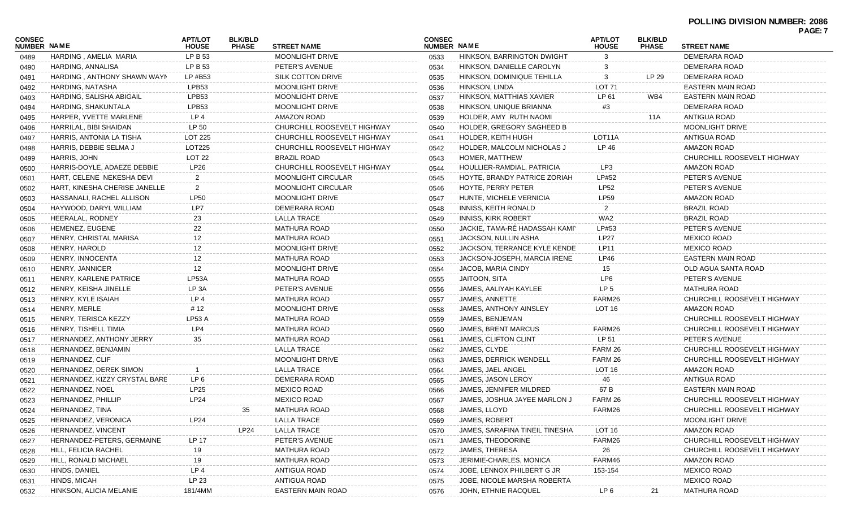## **POLLING DIVISION NUMBER: 2086**

| CONSEC<br><b>NUMBER NAME</b> |                               | <b>APT/LOT</b><br><b>HOUSE</b> | <b>BLK/BLD</b><br><b>PHASE</b> | <b>STREET NAME</b>          | <b>CONSEC</b><br><b>NUMBER NAME</b> |                                | <b>APT/LOT</b><br><b>HOUSE</b> | <b>BLK/BLD</b><br><b>PHASE</b> | <u>ragl. <i>i</i></u><br><b>STREET NAME</b> |
|------------------------------|-------------------------------|--------------------------------|--------------------------------|-----------------------------|-------------------------------------|--------------------------------|--------------------------------|--------------------------------|---------------------------------------------|
|                              | HARDING, AMELIA MARIA         | LP B 53                        |                                | <b>MOONLIGHT DRIVE</b>      | 0533                                | HINKSON, BARRINGTON DWIGHT     | 3                              |                                | DEMERARA ROAD                               |
| 0489<br>0490                 | HARDING, ANNALISA             | LP B 53                        |                                | PETER'S AVENUE              | 0534                                | HINKSON, DANIELLE CAROLYN      |                                |                                | DEMERARA ROAD                               |
|                              | HARDING, ANTHONY SHAWN WAYN   | LP #B53                        |                                | SILK COTTON DRIVE           | 0535                                | HINKSON, DOMINIQUE TEHILLA     | 3                              | LP 29                          | DEMERARA ROAD                               |
| 0491                         | HARDING, NATASHA              | LPB53                          |                                | <b>MOONLIGHT DRIVE</b>      |                                     | HINKSON, LINDA                 | LOT <sub>71</sub>              |                                | EASTERN MAIN ROAD                           |
| 0492                         | HARDING, SALISHA ABIGAIL      | LPB53                          |                                | <b>MOONLIGHT DRIVE</b>      | 0536                                | HINKSON, MATTHIAS XAVIER       | LP 61                          | WB4                            | EASTERN MAIN ROAD                           |
| 0493                         | HARDING, SHAKUNTALA           | LPB53                          |                                | <b>MOONLIGHT DRIVE</b>      | 0537                                | HINKSON, UNIQUE BRIANNA        | #3                             |                                | DEMERARA ROAD                               |
| 0494                         |                               | LP 4                           |                                | <b>AMAZON ROAD</b>          | 0538                                |                                |                                |                                | ANTIGUA ROAD                                |
| 0495                         | HARPER, YVETTE MARLENE        |                                |                                |                             | 0539                                | HOLDER, AMY RUTH NAOMI         |                                | 11A                            |                                             |
| 0496                         | HARRILAL, BIBI SHAIDAN        | LP 50                          |                                | CHURCHILL ROOSEVELT HIGHWAY | 0540                                | HOLDER, GREGORY SAGHEED B      |                                |                                | MOONLIGHT DRIVE                             |
| 0497                         | HARRIS, ANTONIA LA TISHA      | LOT 225                        |                                | CHURCHILL ROOSEVELT HIGHWAY | 0541                                | HOLDER, KEITH HUGH             | LOT11A                         |                                | ANTIGUA ROAD                                |
| 0498                         | HARRIS, DEBBIE SELMA J        | LOT225                         |                                | CHURCHILL ROOSEVELT HIGHWAY | 0542                                | HOLDER, MALCOLM NICHOLAS J     | LP 46                          |                                | AMAZON ROAD                                 |
| 0499                         | HARRIS, JOHN                  | LOT <sub>22</sub>              |                                | BRAZIL ROAD                 | 0543                                | HOMER, MATTHEW                 |                                |                                | CHURCHILL ROOSEVELT HIGHWAY                 |
| 0500                         | HARRIS-DOYLE, ADAEZE DEBBIE   | LP26                           |                                | CHURCHILL ROOSEVELT HIGHWAY | 0544                                | HOULLIER-RAMDIAL, PATRICIA     | LP3                            |                                | AMAZON ROAD                                 |
| 0501                         | HART, CELENE NEKESHA DEVI     | $\overline{2}$                 |                                | <b>MOONLIGHT CIRCULAR</b>   | 0545                                | HOYTE, BRANDY PATRICE ZORIAH   | LP#52                          |                                | PETER'S AVENUE                              |
| 0502                         | HART, KINESHA CHERISE JANELLE | $\overline{2}$                 |                                | <b>MOONLIGHT CIRCULAR</b>   | 0546                                | HOYTE, PERRY PETER             | <b>LP52</b>                    |                                | PETER'S AVENUE                              |
| 0503                         | HASSANALI, RACHEL ALLISON     | <b>LP50</b>                    |                                | MOONLIGHT DRIVE             | 0547                                | HUNTE, MICHELE VERNICIA        | <b>LP59</b>                    |                                | AMAZON ROAD                                 |
| 0504                         | HAYWOOD, DARYL WILLIAM        | LP7                            |                                | DEMERARA ROAD               | 0548                                | INNISS, KEITH RONALD           | $\overline{2}$                 |                                | <b>BRAZIL ROAD</b>                          |
| 0505                         | HEERALAL, RODNEY              | 23                             |                                | LALLA TRACE                 | 0549                                | <b>INNISS, KIRK ROBERT</b>     | WA2                            |                                | <b>BRAZIL ROAD</b>                          |
| 0506                         | HEMENEZ, EUGENE               | 22                             |                                | <b>MATHURA ROAD</b>         | 0550                                | JACKIE, TAMA-RÉ HADASSAH KAMI` | LP#53                          |                                | PETER'S AVENUE                              |
| 0507                         | HENRY, CHRISTAL MARISA        | 12                             |                                | <b>MATHURA ROAD</b>         | 0551                                | JACKSON, NULLIN ASHA           | <b>LP27</b>                    |                                | MEXICO ROAD                                 |
| 0508                         | HENRY, HAROLD                 | 12                             |                                | <b>MOONLIGHT DRIVE</b>      | 0552                                | JACKSON, TERRANCE KYLE KENDE   | LP11                           |                                | MEXICO ROAD                                 |
| 0509                         | HENRY, INNOCENTA              | 12                             |                                | <b>MATHURA ROAD</b>         | 0553                                | JACKSON-JOSEPH, MARCIA IRENE   | <b>LP46</b>                    |                                | EASTERN MAIN ROAD                           |
| 0510                         | HENRY, JANNICER               | 12                             |                                | <b>MOONLIGHT DRIVE</b>      | 0554                                | JACOB, MARIA CINDY             | 15                             |                                | OLD AGUA SANTA ROAD                         |
| 0511                         | HENRY, KARLENE PATRICE        | LP53A                          |                                | <b>MATHURA ROAD</b>         | 0555                                | JAITOON, SITA                  | LP <sub>6</sub>                |                                | PETER'S AVENUE                              |
| 0512                         | HENRY, KEISHA JINELLE         | LP 3A                          |                                | PETER'S AVENUE              | 0556                                | JAMES, AALIYAH KAYLEE          | LP <sub>5</sub>                |                                | MATHURA ROAD                                |
| 0513                         | HENRY, KYLE ISAIAH            | LP4                            |                                | <b>MATHURA ROAD</b>         | 0557                                | JAMES, ANNETTE                 | FARM26                         |                                | CHURCHILL ROOSEVELT HIGHWAY                 |
| 0514                         | HENRY, MERLE                  | # 12                           |                                | MOONLIGHT DRIVE             | 0558                                | JAMES, ANTHONY AINSLEY         | LOT <sub>16</sub>              |                                | AMAZON ROAD                                 |
| 0515                         | HENRY, TERISCA KEZZY          | LP53 A                         |                                | <b>MATHURA ROAD</b>         | 0559                                | JAMES, BENJEMAN                |                                |                                | CHURCHILL ROOSEVELT HIGHWAY                 |
| 0516                         | HENRY, TISHELL TIMIA          | LP4                            |                                | <b>MATHURA ROAD</b>         | 0560                                | JAMES, BRENT MARCUS            | FARM26                         |                                | CHURCHILL ROOSEVELT HIGHWAY                 |
| 0517                         | HERNANDEZ, ANTHONY JERRY      | 35                             |                                | <b>MATHURA ROAD</b>         | 0561                                | JAMES, CLIFTON CLINT           | LP 51                          |                                | PETER'S AVENUE                              |
| 0518                         | HERNANDEZ, BENJAMIN           |                                |                                | <b>LALLA TRACE</b>          | 0562                                | JAMES, CLYDE                   | FARM 26                        |                                | CHURCHILL ROOSEVELT HIGHWAY                 |
| 0519                         | HERNANDEZ, CLIF               |                                |                                | <b>MOONLIGHT DRIVE</b>      | 0563                                | JAMES, DERRICK WENDELL         | FARM 26                        |                                | CHURCHILL ROOSEVELT HIGHWAY                 |
| 0520                         | HERNANDEZ, DEREK SIMON        |                                |                                | <b>LALLA TRACE</b>          | 0564                                | JAMES, JAEL ANGEL              | LOT <sub>16</sub>              |                                | AMAZON ROAD                                 |
| 0521                         | HERNANDEZ, KIZZY CRYSTAL BARE | LP 6                           |                                | DEMERARA ROAD               | 0565                                | JAMES, JASON LEROY             | 46                             |                                | ANTIGUA ROAD                                |
| 0522                         | HERNANDEZ, NOEL               | LP25                           |                                | <b>MEXICO ROAD</b>          | 0566                                | JAMES, JENNIFER MILDRED        | 67 B                           |                                | EASTERN MAIN ROAD                           |
| 0523                         | HERNANDEZ, PHILLIP            | LP24                           |                                | <b>MEXICO ROAD</b>          | 0567                                | JAMES, JOSHUA JAYEE MARLON J   | FARM 26                        |                                | CHURCHILL ROOSEVELT HIGHWAY                 |
| 0524                         | HERNANDEZ, TINA               |                                |                                | <b>MATHURA ROAD</b>         | 0568                                | JAMES, LLOYD                   | FARM26                         |                                | CHURCHILL ROOSEVELT HIGHWAY                 |
| 0525                         | HERNANDEZ, VERONICA           | LP24                           |                                | <b>LALLA TRACE</b>          | 0569                                | <b>JAMES, ROBERT</b>           |                                |                                | MOONLIGHT DRIVE                             |
|                              | HERNANDEZ, VINCENT            |                                | LP24                           | LALLA TRACE                 |                                     | JAMES, SARAFINA TINEIL TINESHA | LOT 16                         |                                | <b>AMAZON ROAD</b>                          |
| 0526                         | HERNANDEZ-PETERS, GERMAINE    |                                |                                | PETER'S AVENUE              | 0570                                |                                |                                |                                | CHURCHILL ROOSEVELT HIGHWAY                 |
| 0527                         |                               | LP 17                          |                                |                             | 0571                                | JAMES, THEODORINE              | FARM26                         |                                |                                             |
| 0528                         | HILL, FELICIA RACHEL          | 19                             |                                | <b>MATHURA ROAD</b>         | 0572                                | JAMES, THERESA                 | 26                             |                                | CHURCHILL ROOSEVELT HIGHWAY                 |
| 0529                         | HILL, RONALD MICHAEL          | 19                             |                                | <b>MATHURA ROAD</b>         | 0573                                | JERIMIE-CHARLES, MONICA        | FARM46                         |                                | <b>AMAZON ROAD</b>                          |
| 0530                         | HINDS, DANIEL                 | LP4                            |                                | ANTIGUA ROAD                | 0574                                | JOBE, LENNOX PHILBERT G JR     | 153-154                        |                                | <b>MEXICO ROAD</b>                          |
| 0531                         | HINDS, MICAH                  | LP 23                          |                                | ANTIGUA ROAD                | 0575                                | JOBE, NICOLE MARSHA ROBERTA    |                                |                                | <b>MEXICO ROAD</b>                          |
| 0532                         | HINKSON, ALICIA MELANIE       | 181/4MM                        |                                | <b>EASTERN MAIN ROAD</b>    | 0576                                | JOHN, ETHNIE RACQUEL           | LP 6                           | 21                             | <b>MATHURA ROAD</b>                         |

**PAGE: 7**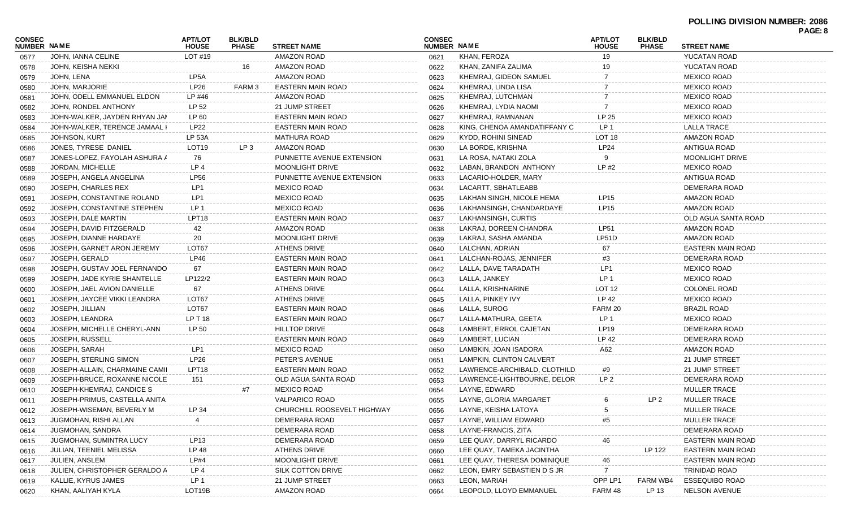|                              |                                |                                |                                |                             |                                     |                               |                                |                                |                          | PAGE: 8 |
|------------------------------|--------------------------------|--------------------------------|--------------------------------|-----------------------------|-------------------------------------|-------------------------------|--------------------------------|--------------------------------|--------------------------|---------|
| <b>CONSEC</b><br>NUMBER NAME |                                | <b>APT/LOT</b><br><b>HOUSE</b> | <b>BLK/BLD</b><br><b>PHASE</b> | <b>STREET NAME</b>          | <b>CONSEC</b><br><b>NUMBER NAME</b> |                               | <b>APT/LOT</b><br><b>HOUSE</b> | <b>BLK/BLD</b><br><b>PHASE</b> | <b>STREET NAME</b>       |         |
| 0577                         | JOHN, IANNA CELINE             | LOT #19                        |                                | <b>AMAZON ROAD</b>          | 0621                                | KHAN, FEROZA                  | 19                             |                                | <b>YUCATAN ROAD</b>      |         |
| 0578                         | JOHN, KEISHA NEKKI             |                                | 16                             | AMAZON ROAD                 | 0622                                | KHAN, ZANIFA ZALIMA           |                                |                                | YUCATAN ROAD             |         |
| 0579                         | JOHN, LENA                     | LP <sub>5</sub> A              |                                | AMAZON ROAD                 | 0623                                | KHEMRAJ, GIDEON SAMUEL        |                                |                                | <b>MEXICO ROAD</b>       |         |
| 0580                         | JOHN. MARJORIE                 | <b>LP26</b>                    | FARM 3                         | <b>EASTERN MAIN ROAD</b>    | 0624                                | KHEMRAJ, LINDA LISA           |                                |                                | <b>MEXICO ROAD</b>       |         |
| 0581                         | JOHN, ODELL EMMANUEL ELDON     | LP #46                         |                                | AMAZON ROAD                 | 0625                                | KHEMRAJ, LUTCHMAN             |                                |                                | <b>MEXICO ROAD</b>       |         |
| 0582                         | JOHN, RONDEL ANTHONY           | LP 52                          |                                | 21 JUMP STREET              | 0626                                | KHEMRAJ, LYDIA NAOMI          |                                |                                | <b>MEXICO ROAD</b>       |         |
| 0583                         | JOHN-WALKER, JAYDEN RHYAN JAM  | LP 60                          |                                | <b>EASTERN MAIN ROAD</b>    | 0627                                | KHEMRAJ, RAMNANAN             | LP 25                          |                                | <b>MEXICO ROAD</b>       |         |
| 0584                         | JOHN-WALKER, TERENCE JAMAAL I  | <b>LP22</b>                    |                                | <b>EASTERN MAIN ROAD</b>    | 0628                                | KING, CHENOA AMANDATIFFANY C  | LP <sub>1</sub>                |                                | <b>LALLA TRACE</b>       |         |
| 0585                         | JOHNSON, KURT                  | <b>LP 53A</b>                  |                                | <b>MATHURA ROAD</b>         | 0629                                | KYDD, ROHINI SINEAD           | LOT <sub>18</sub>              |                                | <b>AMAZON ROAD</b>       |         |
| 0586                         | JONES, TYRESE DANIEL           | LOT <sub>19</sub>              | LP <sub>3</sub>                | AMAZON ROAD                 | 0630                                | LA BORDE, KRISHNA             | LP24                           |                                | ANTIGUA ROAD             |         |
| 0587                         | JONES-LOPEZ, FAYOLAH ASHURA A  | 76                             |                                | PUNNETTE AVENUE EXTENSION   | 0631                                | LA ROSA, NATAKI ZOLA          |                                |                                | <b>MOONLIGHT DRIVE</b>   |         |
| 0588                         | JORDAN, MICHELLE               | LP 4                           |                                | <b>MOONLIGHT DRIVE</b>      | 0632                                | LABAN, BRANDON ANTHONY        | LP#2                           |                                | <b>MEXICO ROAD</b>       |         |
| 0589                         | JOSEPH, ANGELA ANGELINA        | <b>LP56</b>                    |                                | PUNNETTE AVENUE EXTENSION   | 0633                                | LACARIO-HOLDER, MARY          |                                |                                | ANTIGUA ROAD             |         |
| 0590                         | JOSEPH, CHARLES REX            | LP <sub>1</sub>                |                                | <b>MEXICO ROAD</b>          | 0634                                | LACARTT, SBHATLEABB           |                                |                                | DEMERARA ROAD            |         |
| 0591                         | JOSEPH, CONSTANTINE ROLAND     | LP <sub>1</sub>                |                                | <b>MEXICO ROAD</b>          | 0635                                | LAKHAN SINGH, NICOLE HEMA     | <b>LP15</b>                    |                                | <b>AMAZON ROAD</b>       |         |
| 0592                         | JOSEPH, CONSTANTINE STEPHEN    | LP 1                           |                                | <b>MEXICO ROAD</b>          | 0636                                | LAKHANSINGH, CHANDARDAYE      | <b>LP15</b>                    |                                | <b>AMAZON ROAD</b>       |         |
| 0593                         | JOSEPH, DALE MARTIN            | LPT <sub>18</sub>              |                                | <b>EASTERN MAIN ROAD</b>    | 0637                                | LAKHANSINGH, CURTIS           |                                |                                | OLD AGUA SANTA ROAD      |         |
| 0594                         | JOSEPH, DAVID FITZGERALD       | 42                             |                                | AMAZON ROAD                 | 0638                                | LAKRAJ. DOREEN CHANDRA        | <b>LP51</b>                    |                                | <b>AMAZON ROAD</b>       |         |
| 0595                         | JOSEPH, DIANNE HARDAYE         | 20                             |                                | <b>MOONLIGHT DRIVE</b>      | 0639                                | LAKRAJ. SASHA AMANDA          | LP51D                          |                                | <b>AMAZON ROAD</b>       |         |
| 0596                         | JOSEPH, GARNET ARON JEREMY     | LOT67                          |                                | <b>ATHENS DRIVE</b>         | 0640                                | LALCHAN, ADRIAN               | 67                             |                                | <b>EASTERN MAIN ROAD</b> |         |
| 0597                         | JOSEPH, GERALD                 | LP46                           |                                | <b>EASTERN MAIN ROAD</b>    | 0641                                | LALCHAN-ROJAS, JENNIFER       | #3                             |                                | DEMERARA ROAD            |         |
| 0598                         | JOSEPH. GUSTAV JOEL FERNANDO   | 67                             |                                | <b>EASTERN MAIN ROAD</b>    | 0642                                | LALLA, DAVE TARADATH          | LP1                            |                                | <b>MEXICO ROAD</b>       |         |
| 0599                         | JOSEPH, JADE KYRIE SHANTELLE   | LP122/2                        |                                | <b>EASTERN MAIN ROAD</b>    | 0643                                | LALLA, JANKEY                 | LP <sub>1</sub>                |                                | <b>MEXICO ROAD</b>       |         |
| 0600                         | JOSEPH, JAEL AVION DANIELLE    | 67                             |                                | <b>ATHENS DRIVE</b>         | 0644                                | LALLA, KRISHNARINE            | LOT <sub>12</sub>              |                                | <b>COLONEL ROAD</b>      |         |
| 0601                         | JOSEPH, JAYCEE VIKKI LEANDRA   | LOT67                          |                                | <b>ATHENS DRIVE</b>         | 0645                                | LALLA, PINKEY IVY             | LP 42                          |                                | <b>MEXICO ROAD</b>       |         |
| 0602                         | JOSEPH, JILLIAN                | LOT67                          |                                | <b>EASTERN MAIN ROAD</b>    | 0646                                | LALLA, SUROG                  | FARM 20                        |                                | <b>BRAZIL ROAD</b>       |         |
| 0603                         | JOSEPH, LEANDRA                | LP T 18                        |                                | <b>EASTERN MAIN ROAD</b>    | 0647                                | LALLA-MATHURA, GEETA          | LP <sub>1</sub>                |                                | <b>MEXICO ROAD</b>       |         |
| 0604                         | JOSEPH, MICHELLE CHERYL-ANN    | LP 50                          |                                | <b>HILLTOP DRIVE</b>        | 0648                                | LAMBERT, ERROL CAJETAN        | LP19                           |                                | DEMERARA ROAD            |         |
| 0605                         | JOSEPH, RUSSELL                |                                |                                | <b>EASTERN MAIN ROAD</b>    | 0649                                | LAMBERT, LUCIAN               | LP 42                          |                                | DEMERARA ROAD            |         |
| 0606                         | JOSEPH, SARAH                  | LP <sub>1</sub>                |                                | <b>MEXICO ROAD</b>          | 0650                                | LAMBKIN, JOAN ISADORA         | A62                            |                                | AMAZON ROAD              |         |
| 0607                         | JOSEPH, STERLING SIMON         | <b>LP26</b>                    |                                | PETER'S AVENUE              | 0651                                | LAMPKIN, CLINTON CALVERT      |                                |                                | 21 JUMP STREET           |         |
| 0608                         | JOSEPH-ALLAIN, CHARMAINE CAMII | LPT <sub>18</sub>              |                                | EASTERN MAIN ROAD           | 0652                                | LAWRENCE-ARCHIBALD, CLOTHILD. | #9                             |                                | 21 JUMP STREET           |         |
| 0609                         | JOSEPH-BRUCE, ROXANNE NICOLE   | 151                            |                                | OLD AGUA SANTA ROAD         | 0653                                | LAWRENCE-LIGHTBOURNE, DELOR   | LP <sub>2</sub>                |                                | DEMERARA ROAD            |         |
| 0610                         | JOSEPH-KHEMRAJ, CANDICE S      |                                | #7                             | <b>MEXICO ROAD</b>          | 0654                                | LAYNE, EDWARD                 |                                |                                | <b>MULLER TRACE</b>      |         |
| 0611                         | JOSEPH-PRIMUS, CASTELLA ANITA  |                                |                                | <b>VALPARICO ROAD</b>       | 0655                                | LAYNE, GLORIA MARGARET        | 6                              | LP 2                           | <b>MULLER TRACE</b>      |         |
| 0612                         | JOSEPH-WISEMAN, BEVERLY M      | LP 34                          |                                | CHURCHILL ROOSEVELT HIGHWAY | 0656                                | LAYNE, KEISHA LATOYA          | 5                              |                                | <b>MULLER TRACE</b>      |         |
| 0613                         | JUGMOHAN, RISHI ALLAN          |                                |                                | DEMERARA ROAD               | 0657                                | LAYNE, WILLIAM EDWARD         |                                |                                | <b>MULLER TRACE</b>      |         |
| 0614                         | JUGMOHAN, SANDRA               |                                |                                | DEMERARA ROAD               | 0658                                | LAYNE-FRANCIS, ZITA           |                                |                                | DEMERARA ROAD            |         |
| 0615                         | JUGMOHAN, SUMINTRA LUCY        | LP13                           |                                | <b>DEMERARA ROAD</b>        | 0659                                | LEE QUAY, DARRYL RICARDO      |                                |                                | <b>EASTERN MAIN ROAD</b> |         |
| 0616                         | JULIAN, TEENIEL MELISSA        | LP 48                          |                                | ATHENS DRIVE                | 0660                                | LEE QUAY, TAMEKA JACINTHA     |                                | LP 122                         | <b>EASTERN MAIN ROAD</b> |         |
| 0617                         | JULIEN, ANSLEM                 | LP#4                           |                                | <b>MOONLIGHT DRIVE</b>      | 0661                                | LEE QUAY, THERESA DOMINIQUE   | 46                             |                                | <b>EASTERN MAIN ROAD</b> |         |
| 0618                         | JULIEN, CHRISTOPHER GERALDO A  | LP 4                           |                                | SILK COTTON DRIVE           | 0662                                | LEON, EMRY SEBASTIEN D S JR   |                                |                                | TRINIDAD ROAD            |         |
| 0619                         | KALLIE, KYRUS JAMES            | LP 1                           |                                | 21 JUMP STREET              | 0663                                | LEON, MARIAH                  | OPP LP1                        | FARM WB4                       | <b>ESSEQUIBO ROAD</b>    |         |
| 0620                         | KHAN, AALIYAH KYLA             | LOT19B                         |                                | AMAZON ROAD                 | 0664                                | LEOPOLD, LLOYD EMMANUEL       | FARM 48                        | LP 13                          | <b>NELSON AVENUE</b>     |         |
|                              |                                |                                |                                |                             |                                     |                               |                                |                                |                          |         |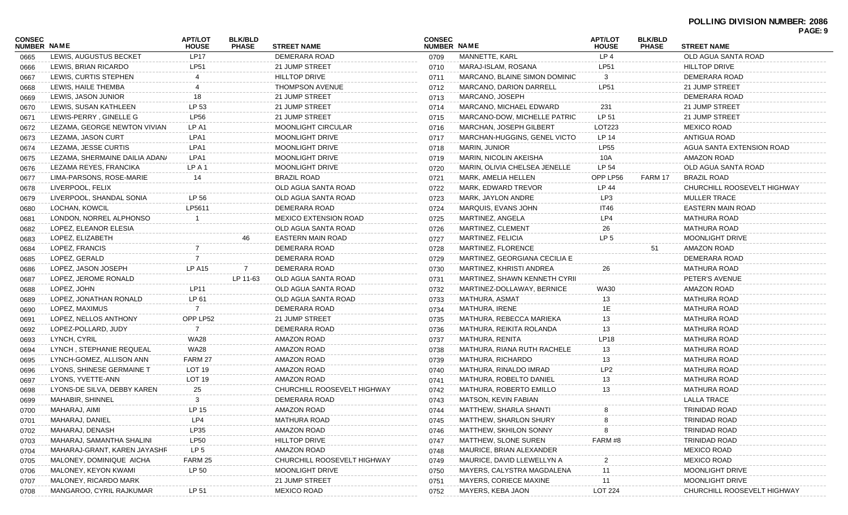| CONSEC<br><b>NUMBER NAME</b> |                                | <b>APT/LOT</b><br><b>HOUSE</b> | <b>BLK/BLD</b><br><b>PHASE</b> | <b>STREET NAME</b>           | <b>CONSEC</b><br><b>NUMBER NAME</b> |                                | <b>APT/LOT</b><br><b>HOUSE</b> | <b>BLK/BLD</b><br><b>PHASE</b> | PAGE: 9<br><b>STREET NAME</b> |
|------------------------------|--------------------------------|--------------------------------|--------------------------------|------------------------------|-------------------------------------|--------------------------------|--------------------------------|--------------------------------|-------------------------------|
| 0665                         | LEWIS, AUGUSTUS BECKET         | <b>LP17</b>                    |                                | DEMERARA ROAD                | 0709                                | MANNETTE, KARL                 | LP <sub>4</sub>                |                                | OLD AGUA SANTA ROAD           |
| 0666                         | LEWIS, BRIAN RICARDO           | LP51                           |                                | 21 JUMP STREET               | 0710                                | MARAJ-ISLAM, ROSANA            | <b>LP51</b>                    |                                | <b>HILLTOP DRIVE</b>          |
| 0667                         | LEWIS, CURTIS STEPHEN          |                                |                                | <b>HILLTOP DRIVE</b>         | 0711                                | MARCANO, BLAINE SIMON DOMINIC  | 3                              |                                | DEMERARA ROAD                 |
| 0668                         | LEWIS, HAILE THEMBA            |                                |                                | <b>THOMPSON AVENUE</b>       | 0712                                | MARCANO, DARION DARRELL        | LP51                           |                                | 21 JUMP STREET                |
| 0669                         | LEWIS, JASON JUNIOR            | 18                             |                                | 21 JUMP STREET               | 0713                                | MARCANO, JOSEPH                |                                |                                | DEMERARA ROAD                 |
| 0670                         | LEWIS, SUSAN KATHLEEN          | LP 53                          |                                | 21 JUMP STREET               | 0714                                | MARCANO, MICHAEL EDWARD        | 231                            |                                | 21 JUMP STREET                |
| 0671                         | LEWIS-PERRY, GINELLE G         | <b>LP56</b>                    |                                | 21 JUMP STREET               | 0715                                | MARCANO-DOW, MICHELLE PATRIC   | LP 51                          |                                | 21 JUMP STREET                |
| 0672                         | LEZAMA, GEORGE NEWTON VIVIAN   | LP A1                          |                                | MOONLIGHT CIRCULAR           | 0716                                | <b>MARCHAN, JOSEPH GILBERT</b> | LOT223                         |                                | <b>MEXICO ROAD</b>            |
| 0673                         | LEZAMA, JASON CURT             | LPA1                           |                                | MOONLIGHT DRIVE              | 0717                                | MARCHAN-HUGGINS, GENEL VICTO   | LP 14                          |                                | ANTIGUA ROAD                  |
| 0674                         | LEZAMA, JESSE CURTIS           | LPA1                           |                                | MOONLIGHT DRIVE              | 0718                                | <b>MARIN, JUNIOR</b>           | <b>LP55</b>                    |                                | AGUA SANTA EXTENSION ROAD     |
| 0675                         | LEZAMA, SHERMAINE DAILIA ADAN/ | LPA1                           |                                | <b>MOONLIGHT DRIVE</b>       | 0719                                | MARIN, NICOLIN AKEISHA         | 10A                            |                                | AMAZON ROAD                   |
| 0676                         | LEZAMA REYES, FRANCIKA         | LP A 1                         |                                | <b>MOONLIGHT DRIVE</b>       | 0720                                | MARIN, OLIVIA CHELSEA JENELLE  | LP 54                          |                                | OLD AGUA SANTA ROAD           |
| 0677                         | LIMA-PARSONS, ROSE-MARIE       | 14                             |                                | <b>BRAZIL ROAD</b>           | 0721                                | MARK, AMELIA HELLEN            | OPP LP56                       | FARM 17                        | BRAZIL ROAD                   |
| 0678                         | LIVERPOOL, FELIX               |                                |                                | OLD AGUA SANTA ROAD          | 0722                                | MARK, EDWARD TREVOR            | LP 44                          |                                | CHURCHILL ROOSEVELT HIGHWAY   |
| 0679                         | LIVERPOOL, SHANDAL SONIA       | LP 56                          |                                | OLD AGUA SANTA ROAD          | 0723                                | MARK, JAYLON ANDRE             | LP3                            |                                | <b>MULLER TRACE</b>           |
| 0680                         | LOCHAN, KOWCIL                 | LP5611                         |                                | DEMERARA ROAD                | 0724                                | MARQUIS, EVANS JOHN            | IT46                           |                                | <b>EASTERN MAIN ROAD</b>      |
| 0681                         | LONDON, NORREL ALPHONSO        |                                |                                | <b>MEXICO EXTENSION ROAD</b> | 0725                                | MARTINEZ, ANGELA               | LP4                            |                                | <b>MATHURA ROAD</b>           |
| 0682                         | LOPEZ, ELEANOR ELESIA          |                                |                                | OLD AGUA SANTA ROAD          | 0726                                | MARTINEZ, CLEMENT              | 26                             |                                | <b>MATHURA ROAD</b>           |
| 0683                         | LOPEZ, ELIZABETH               |                                |                                | <b>EASTERN MAIN ROAD</b>     | 0727                                | MARTINEZ, FELICIA              | LP <sub>5</sub>                |                                | <b>MOONLIGHT DRIVE</b>        |
| 0684                         | LOPEZ, FRANCIS                 |                                |                                | DEMERARA ROAD                | 0728                                | MARTINEZ, FLORENCE             |                                | 51                             | AMAZON ROAD                   |
| 0685                         | LOPEZ, GERALD                  |                                |                                | DEMERARA ROAD                | 0729                                | MARTINEZ, GEORGIANA CECILIA E  |                                |                                | DEMERARA ROAD                 |
| 0686                         | LOPEZ. JASON JOSEPH            | <b>LP A15</b>                  | $7^{\circ}$                    | DEMERARA ROAD                | 0730                                | MARTINEZ, KHRISTI ANDREA       | 26                             |                                | <b>MATHURA ROAD</b>           |
| 0687                         | LOPEZ, JEROME RONALD           |                                | LP 11-63                       | OLD AGUA SANTA ROAD          | 0731                                | MARTINEZ, SHAWN KENNETH CYRII  |                                |                                | PETER'S AVENUE                |
| 0688                         | LOPEZ, JOHN                    | LP11                           |                                | OLD AGUA SANTA ROAD          | 0732                                | MARTINEZ-DOLLAWAY, BERNICE     | <b>WA30</b>                    |                                | AMAZON ROAD                   |
| 0689                         | LOPEZ, JONATHAN RONALD         | LP 61                          |                                | OLD AGUA SANTA ROAD          | 0733                                | MATHURA, ASMAT                 | 13                             |                                | <b>MATHURA ROAD</b>           |
| 0690                         | LOPEZ, MAXIMUS                 | 7                              |                                | DEMERARA ROAD                | 0734                                | MATHURA, IRENE                 | 1E                             |                                | <b>MATHURA ROAD</b>           |
| 0691                         | LOPEZ, NELLOS ANTHONY          | OPP LP52                       |                                | 21 JUMP STREET               | 0735                                | MATHURA, REBECCA MARIEKA       | 13                             |                                | <b>MATHURA ROAD</b>           |
| 0692                         | LOPEZ-POLLARD, JUDY            | 7                              |                                | DEMERARA ROAD                | 0736                                | MATHURA, REIKITA ROLANDA       | 13                             |                                | <b>MATHURA ROAD</b>           |
| 0693                         | LYNCH, CYRIL                   | <b>WA28</b>                    |                                | AMAZON ROAD                  | 0737                                | MATHURA, RENITA                | <b>LP18</b>                    |                                | <b>MATHURA ROAD</b>           |
| 0694                         | LYNCH, STEPHANIE REQUEAL       | WA28                           |                                | AMAZON ROAD                  | 0738                                | MATHURA, RIANA RUTH RACHELE    | 13                             |                                | <b>MATHURA ROAD</b>           |
| 0695                         | LYNCH-GOMEZ, ALLISON ANN       | FARM 27                        |                                | AMAZON ROAD                  | 0739                                | MATHURA, RICHARDO              | 13                             |                                | <b>MATHURA ROAD</b>           |
| 0696                         | LYONS, SHINESE GERMAINE T      | LOT <sub>19</sub>              |                                | AMAZON ROAD                  | 0740                                | MATHURA, RINALDO IMRAD         | LP <sub>2</sub>                |                                | <b>MATHURA ROAD</b>           |
| 0697                         | LYONS, YVETTE-ANN              | LOT <sub>19</sub>              |                                | AMAZON ROAD                  | 0741                                | MATHURA, ROBELTO DANIEL        | 13                             |                                | <b>MATHURA ROAD</b>           |
| 0698                         | LYONS-DE SILVA, DEBBY KAREN    | 25                             |                                | CHURCHILL ROOSEVELT HIGHWAY  | 0742                                | MATHURA, ROBERTO EMILLO        | 13                             |                                | <b>MATHURA ROAD</b>           |
| 0699                         | MAHABIR, SHINNEL               | 3                              |                                | DEMERARA ROAD                | 0743                                | MATSON, KEVIN FABIAN           |                                |                                | LALLA TRACE                   |
| 0700                         | MAHARAJ, AIMI                  | LP 15                          |                                | AMAZON ROAD                  | 0744                                | <b>MATTHEW, SHARLA SHANTI</b>  | 8                              |                                | TRINIDAD ROAD                 |
| 0701                         | MAHARAJ, DANIEL                | LP4                            |                                | <b>MATHURA ROAD</b>          | 0745                                | MATTHEW, SHARLON SHURY         |                                |                                | <b>TRINIDAD ROAD</b>          |
| 0702                         | MAHARAJ, DENASH                | LP35                           |                                | AMAZON ROAD                  | 0746                                | <b>MATTHEW, SKHILON SONNY</b>  |                                |                                | <b>TRINIDAD ROAD</b>          |
| 0703                         | MAHARAJ, SAMANTHA SHALINI      | <b>LP50</b>                    |                                | <b>HILLTOP DRIVE</b>         | 0747                                | MATTHEW, SLONE SUREN           | FARM #8                        |                                | <b>TRINIDAD ROAD</b>          |
| 0704                         | MAHARAJ-GRANT, KAREN JAYASHR   | LP <sub>5</sub>                |                                | AMAZON ROAD                  | 0748                                | MAURICE, BRIAN ALEXANDER       |                                |                                | <b>MEXICO ROAD</b>            |
| 0705                         | MALONEY, DOMINIQUE AICHA       | FARM 25                        |                                | CHURCHILL ROOSEVELT HIGHWAY  | 0749                                | MAURICE, DAVID LLEWELLYN A     | 2                              |                                | <b>MEXICO ROAD</b>            |
| 0706                         | MALONEY, KEYON KWAMI           | LP 50                          |                                | MOONLIGHT DRIVE              | 0750                                | MAYERS, CALYSTRA MAGDALENA     | 11                             |                                | <b>MOONLIGHT DRIVE</b>        |
| 0707                         | MALONEY, RICARDO MARK          |                                |                                | 21 JUMP STREET               | 0751                                | MAYERS, CORIECE MAXINE         | 11                             |                                | MOONLIGHT DRIVE               |
| 0708                         | MANGAROO, CYRIL RAJKUMAR       | LP 51                          |                                | <b>MEXICO ROAD</b>           | 0752                                | MAYERS, KEBA JAON              | <b>LOT 224</b>                 |                                | CHURCHILL ROOSEVELT HIGHWAY   |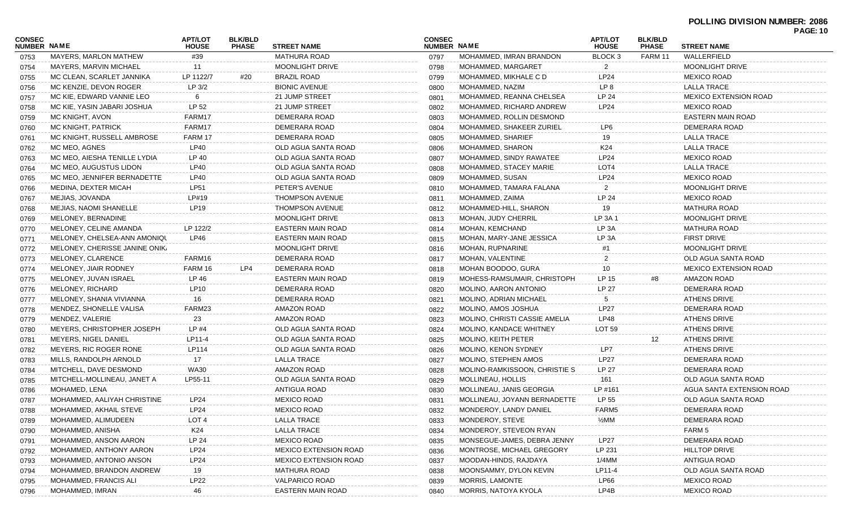| CONSEC<br>NUMBER NAME |                               | <b>APT/LOT</b>      | <b>BLK/BLD</b> |                                           | <b>CONSEC</b>       |                               | <b>APT/LOT</b>                     | <b>BLK/BLD</b>          |                                   | <b>PAGE: 10</b> |
|-----------------------|-------------------------------|---------------------|----------------|-------------------------------------------|---------------------|-------------------------------|------------------------------------|-------------------------|-----------------------------------|-----------------|
| 0753                  | <b>MAYERS, MARLON MATHEW</b>  | <b>HOUSE</b><br>#39 | <b>PHASE</b>   | <b>STREET NAME</b><br><b>MATHURA ROAD</b> | NUMBER NAME<br>0797 | MOHAMMED, IMRAN BRANDON       | <b>HOUSE</b><br>BLOCK <sub>3</sub> | <b>PHASE</b><br>FARM 11 | <b>STREET NAME</b><br>WALLERFIELD |                 |
| 0754                  | <b>MAYERS, MARVIN MICHAEL</b> | 11                  |                | MOONLIGHT DRIVE                           | 0798                | MOHAMMED, MARGARET            | $\mathbf{2}$                       |                         | <b>MOONLIGHT DRIVE</b>            |                 |
|                       | MC CLEAN, SCARLET JANNIKA     | LP 1122/7           | #20            | <b>BRAZIL ROAD</b>                        | 0799                | MOHAMMED, MIKHALE C D         | LP24                               |                         | <b>MEXICO ROAD</b>                |                 |
| 0755                  | MC KENZIE, DEVON ROGER        | LP 3/2              |                | <b>BIONIC AVENUE</b>                      |                     | MOHAMMED, NAZIM               | LP <sub>8</sub>                    |                         | LALLA TRACE                       |                 |
| 0756                  | MC KIE, EDWARD VANNIE LEO     |                     |                | 21 JUMP STREET                            | 0800                | MOHAMMED, REANNA CHELSEA      | LP 24                              |                         | <b>MEXICO EXTENSION ROAD</b>      |                 |
| 0757                  |                               | 6                   |                | 21 JUMP STREET                            | 0801                |                               |                                    |                         |                                   |                 |
| 0758                  | MC KIE, YASIN JABARI JOSHUA   | LP 52               |                |                                           | 0802                | MOHAMMED, RICHARD ANDREW      | LP24                               |                         | <b>MEXICO ROAD</b>                |                 |
| 0759                  | MC KNIGHT, AVON               | FARM17              |                | DEMERARA ROAD                             | 0803                | MOHAMMED, ROLLIN DESMOND      |                                    |                         | <b>EASTERN MAIN ROAD</b>          |                 |
| 0760                  | MC KNIGHT, PATRICK            | FARM17              |                | DEMERARA ROAD                             | 0804                | MOHAMMED, SHAKEER ZURIEL      | LP6                                |                         | DEMERARA ROAD                     |                 |
| 0761                  | MC KNIGHT, RUSSELL AMBROSE    | FARM 17             |                | DEMERARA ROAD                             | 0805                | MOHAMMED, SHARIEF             | 19                                 |                         | <b>LALLA TRACE</b>                |                 |
| 0762                  | MC MEO, AGNES                 | LP40                |                | OLD AGUA SANTA ROAD                       | 0806                | MOHAMMED, SHARON              | K24                                |                         | <b>LALLA TRACE</b>                |                 |
| 0763                  | MC MEO, AIESHA TENILLE LYDIA  | LP 40               |                | OLD AGUA SANTA ROAD                       | 0807                | MOHAMMED, SINDY RAWATEE       | LP24                               |                         | <b>MEXICO ROAD</b>                |                 |
| 0764                  | MC MEO, AUGUSTUS LIDON        | LP40                |                | OLD AGUA SANTA ROAD                       | 0808                | MOHAMMED, STACEY MARIE        | LOT4                               |                         | <b>LALLA TRACE</b>                |                 |
| 0765                  | MC MEO, JENNIFER BERNADETTE   | LP40                |                | OLD AGUA SANTA ROAD                       | 0809                | MOHAMMED, SUSAN               | LP24                               |                         | <b>MEXICO ROAD</b>                |                 |
| 0766                  | MEDINA, DEXTER MICAH          | <b>LP51</b>         |                | PETER'S AVENUE                            | 0810                | MOHAMMED, TAMARA FALANA       | 2                                  |                         | <b>MOONLIGHT DRIVE</b>            |                 |
| 0767                  | MEJIAS, JOVANDA               | LP#19               |                | <b>THOMPSON AVENUE</b>                    | 0811                | MOHAMMED, ZAIMA               | LP 24                              |                         | <b>MEXICO ROAD</b>                |                 |
| 0768                  | MEJIAS, NAOMI SHANELLE        | LP19                |                | THOMPSON AVENUE                           | 0812                | MOHAMMED-HILL, SHARON         | 19                                 |                         | <b>MATHURA ROAD</b>               |                 |
| 0769                  | MELONEY, BERNADINE            |                     |                | <b>MOONLIGHT DRIVE</b>                    | 0813                | MOHAN, JUDY CHERRIL           | LP 3A 1                            |                         | <b>MOONLIGHT DRIVE</b>            |                 |
| 0770                  | MELONEY, CELINE AMANDA        | LP 122/2            |                | EASTERN MAIN ROAD                         | 0814                | <b>MOHAN, KEMCHAND</b>        | LP 3A                              |                         | <b>MATHURA ROAD</b>               |                 |
| 0771                  | MELONEY, CHELSEA-ANN AMONIQU  | LP46                |                | EASTERN MAIN ROAD                         | 0815                | MOHAN, MARY-JANE JESSICA      | LP 3A                              |                         | <b>FIRST DRIVE</b>                |                 |
| 0772                  | MELONEY, CHERISSE JANINE ONIK |                     |                | MOONLIGHT DRIVE                           | 0816                | <b>MOHAN, RUPNARINE</b>       |                                    |                         | <b>MOONLIGHT DRIVE</b>            |                 |
| 0773                  | MELONEY, CLARENCE             | FARM16              |                | DEMERARA ROAD                             | 0817                | <b>MOHAN, VALENTINE</b>       | 2                                  |                         | OLD AGUA SANTA ROAD               |                 |
| 0774                  | MELONEY, JIAIR RODNEY         | FARM 16             | LP4            | DEMERARA ROAD                             | 0818                | MOHAN BOODOO, GURA            | 10                                 |                         | <b>MEXICO EXTENSION ROAD</b>      |                 |
| 0775                  | MELONEY, JUVAN ISRAEL         | LP 46               |                | <b>EASTERN MAIN ROAD</b>                  | 0819                | MOHESS-RAMSUMAIR, CHRISTOPH   | LP 15                              | #8                      | AMAZON ROAD                       |                 |
| 0776                  | MELONEY, RICHARD              | <b>LP10</b>         |                | DEMERARA ROAD                             | 0820                | MOLINO, AARON ANTONIO         | <b>LP 27</b>                       |                         | DEMERARA ROAD                     |                 |
| 0777                  | MELONEY, SHANIA VIVIANNA      | 16                  |                | DEMERARA ROAD                             | 0821                | MOLINO, ADRIAN MICHAEL        | 5                                  |                         | <b>ATHENS DRIVE</b>               |                 |
| 0778                  | MENDEZ, SHONELLE VALISA       | FARM23              |                | AMAZON ROAD                               | 0822                | MOLINO, AMOS JOSHUA           | <b>LP27</b>                        |                         | DEMERARA ROAD                     |                 |
| 0779                  | MENDEZ, VALERIE               | 23                  |                | AMAZON ROAD                               | 0823                | MOLINO, CHRISTI CASSIE AMELIA | LP48                               |                         | <b>ATHENS DRIVE</b>               |                 |
| 0780                  | MEYERS, CHRISTOPHER JOSEPH    | LP #4               |                | OLD AGUA SANTA ROAD                       | 0824                | MOLINO, KANDACE WHITNEY       | LOT 59                             |                         | <b>ATHENS DRIVE</b>               |                 |
| 0781                  | MEYERS, NIGEL DANIEL          | LP11-4              |                | OLD AGUA SANTA ROAD                       | 0825                | MOLINO, KEITH PETER           |                                    | 12                      | <b>ATHENS DRIVE</b>               |                 |
| 0782                  | MEYERS, RIC ROGER RONE        | LP114               |                | OLD AGUA SANTA ROAD                       | 0826                | MOLINO, KENON SYDNEY          | LP7                                |                         | <b>ATHENS DRIVE</b>               |                 |
| 0783                  | MILLS, RANDOLPH ARNOLD        | 17                  |                | LALLA TRACE                               | 0827                | MOLINO, STEPHEN AMOS          | <b>LP27</b>                        |                         | DEMERARA ROAD                     |                 |
| 0784                  | MITCHELL, DAVE DESMOND        | <b>WA30</b>         |                | AMAZON ROAD                               | 0828                | MOLINO-RAMKISSOON, CHRISTIE S | LP 27                              |                         | DEMERARA ROAD                     |                 |
| 0785                  | MITCHELL-MOLLINEAU, JANET A   | LP55-11             |                | OLD AGUA SANTA ROAD                       | 0829                | MOLLINEAU, HOLLIS             | 161                                |                         | OLD AGUA SANTA ROAD               |                 |
| 0786                  | MOHAMED, LENA                 |                     |                | <b>ANTIGUA ROAD</b>                       | 0830                | MOLLINEAU, JANIS GEORGIA      | LP #161                            |                         | AGUA SANTA EXTENSION ROAD         |                 |
| 0787                  | MOHAMMED, AALIYAH CHRISTINE   | LP24                |                | <b>MEXICO ROAD</b>                        | 0831                | MOLLINEAU, JOYANN BERNADETTE  | LP 55                              |                         | OLD AGUA SANTA ROAD               |                 |
| 0788                  | MOHAMMED, AKHAIL STEVE        | <b>LP24</b>         |                | <b>MEXICO ROAD</b>                        | 0832                | MONDEROY, LANDY DANIEL        | FARM5                              |                         | DEMERARA ROAD                     |                 |
| 0789                  | MOHAMMED, ALIMUDEEN           | LOT <sub>4</sub>    |                | <b>LALLA TRACE</b>                        | 0833                | MONDEROY, STEVE               | 1⁄2MM                              |                         | DEMERARA ROAD                     |                 |
| 0790                  | MOHAMMED, ANISHA              | K24                 |                | <b>LALLA TRACE</b>                        | 0834                | MONDEROY, STEVEON RYAN        |                                    |                         | FARM 5                            |                 |
| 0791                  | MOHAMMED, ANSON AARON         | LP 24               |                | <b>MEXICO ROAD</b>                        | 0835                | MONSEGUE-JAMES, DEBRA JENNY   | <b>LP27</b>                        |                         | DEMERARA ROAD                     |                 |
| 0792                  | MOHAMMED, ANTHONY AARON       | LP24                |                | <b>MEXICO EXTENSION ROAD</b>              | 0836                | MONTROSE, MICHAEL GREGORY     | LP 231                             |                         | <b>HILLTOP DRIVE</b>              |                 |
| 0793                  | MOHAMMED, ANTONIO ANSON       | LP24                |                | <b>MEXICO EXTENSION ROAD</b>              | 0837                | MOODAN-HINDS, RAJDAYA         | 1/4MM                              |                         | ANTIGUA ROAD                      |                 |
| 0794                  | MOHAMMED, BRANDON ANDREW      | 19                  |                | <b>MATHURA ROAD</b>                       | 0838                | MOONSAMMY, DYLON KEVIN        | LP11-4                             |                         | OLD AGUA SANTA ROAD               |                 |
| 0795                  | MOHAMMED, FRANCIS ALI         | <b>LP22</b>         |                | VALPARICO ROAD                            | 0839                | MORRIS, LAMONTE               | LP66                               |                         | <b>MEXICO ROAD</b>                |                 |
| 0796                  | MOHAMMED, IMRAN               | 46                  |                | EASTERN MAIN ROAD                         | 0840                | MORRIS, NATOYA KYOLA          | LP4B                               |                         | <b>MEXICO ROAD</b>                |                 |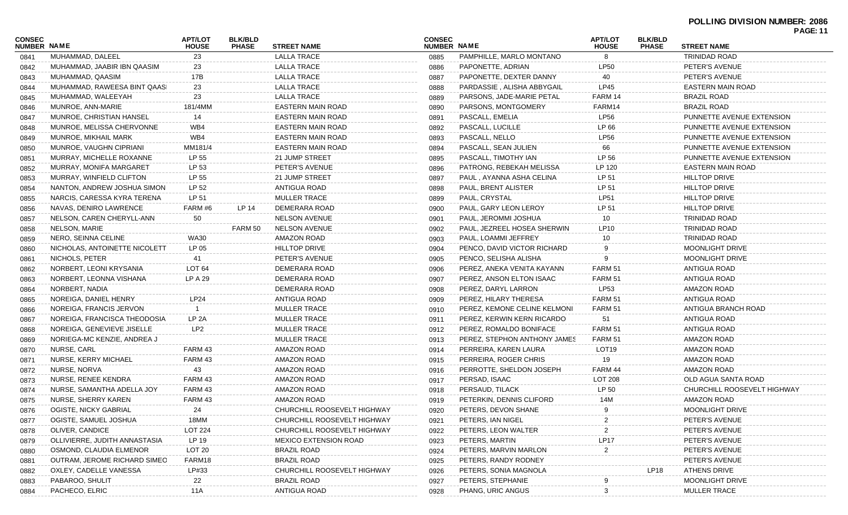|                              |                               |                         |                                |                             |                              |                              |                                |                                | <b>PAGE: 11</b>             |  |
|------------------------------|-------------------------------|-------------------------|--------------------------------|-----------------------------|------------------------------|------------------------------|--------------------------------|--------------------------------|-----------------------------|--|
| <b>CONSEC</b><br>NUMBER NAME |                               | APT/LOT<br><b>HOUSE</b> | <b>BLK/BLD</b><br><b>PHASE</b> | <b>STREET NAME</b>          | <b>CONSEC</b><br>NUMBER NAME |                              | <b>APT/LOT</b><br><b>HOUSE</b> | <b>BLK/BLD</b><br><b>PHASE</b> | <b>STREET NAME</b>          |  |
| 0841                         | MUHAMMAD, DALEEL              | 23                      |                                | <b>LALLA TRACE</b>          | 0885                         | PAMPHILLE, MARLO MONTANO     | 8                              |                                | TRINIDAD ROAD               |  |
| 0842                         | MUHAMMAD, JAABIR IBN QAASIM   | 23                      |                                | LALLA TRACE                 | 0886                         | PAPONETTE, ADRIAN            | <b>LP50</b>                    |                                | PETER'S AVENUE              |  |
| 0843                         | MUHAMMAD, QAASIM              | 17B                     |                                | <b>LALLA TRACE</b>          | 0887                         | PAPONETTE, DEXTER DANNY      | 40                             |                                | PETER'S AVENUE              |  |
| 0844                         | MUHAMMAD, RAWEESA BINT QAASI  | 23                      |                                | <b>LALLA TRACE</b>          | 0888                         | PARDASSIE, ALISHA ABBYGAIL   | LP45                           |                                | <b>EASTERN MAIN ROAD</b>    |  |
| 0845                         | MUHAMMAD, WALEEYAH            | 23                      |                                | <b>LALLA TRACE</b>          | 0889                         | PARSONS, JADE-MARIE PETAL    | FARM 14                        |                                | <b>BRAZIL ROAD</b>          |  |
| 0846                         | MUNROE, ANN-MARIE             | 181/4MM                 |                                | EASTERN MAIN ROAD           | 0890                         | PARSONS, MONTGOMERY          | FARM14                         |                                | <b>BRAZIL ROAD</b>          |  |
| 0847                         | MUNROE, CHRISTIAN HANSEL      | 14                      |                                | EASTERN MAIN ROAD           | 0891                         | PASCALL, EMELIA              | <b>LP56</b>                    |                                | PUNNETTE AVENUE EXTENSION   |  |
| 0848                         | MUNROE, MELISSA CHERVONNE     | WB4                     |                                | EASTERN MAIN ROAD           | 0892                         | PASCALL, LUCILLE             | LP 66                          |                                | PUNNETTE AVENUE EXTENSION   |  |
| 0849                         | MUNROE, MIKHAIL MARK          | WB4                     |                                | EASTERN MAIN ROAD           | 0893                         | PASCALL, NELLO               | <b>LP56</b>                    |                                | PUNNETTE AVENUE EXTENSION   |  |
| 0850                         | MUNROE, VAUGHN CIPRIANI       | MM181/4                 |                                | EASTERN MAIN ROAD           | 0894                         | PASCALL, SEAN JULIEN         | 66                             |                                | PUNNETTE AVENUE EXTENSION   |  |
| 0851                         | MURRAY, MICHELLE ROXANNE      | LP 55                   |                                | 21 JUMP STREET              | 0895                         | PASCALL, TIMOTHY IAN         | LP 56                          |                                | PUNNETTE AVENUE EXTENSION   |  |
| 0852                         | MURRAY, MONIFA MARGARET       | LP 53                   |                                | PETER'S AVENUE              | 0896                         | PATRONG, REBEKAH MELISSA     | LP 120                         |                                | EASTERN MAIN ROAD           |  |
| 0853                         | MURRAY, WINFIELD CLIFTON      | LP 55                   |                                | 21 JUMP STREET              | 0897                         | PAUL, AYANNA ASHA CELINA     | LP 51                          |                                | HILLTOP DRIVE               |  |
| 0854                         | NANTON, ANDREW JOSHUA SIMON   | LP 52                   |                                | ANTIGUA ROAD                | 0898                         | PAUL, BRENT ALISTER          | LP 51                          |                                | <b>HILLTOP DRIVE</b>        |  |
| 0855                         | NARCIS, CARESSA KYRA TERENA   | LP 51                   |                                | <b>MULLER TRACE</b>         | 0899                         | PAUL, CRYSTAL                | LP51                           |                                | <b>HILLTOP DRIVE</b>        |  |
| 0856                         | NAVAS, DENIRO LAWRENCE        | FARM #6                 | LP 14                          | DEMERARA ROAD               | 0900                         | PAUL, GARY LEON LEROY        | LP 51                          |                                | <b>HILLTOP DRIVE</b>        |  |
| 0857                         | NELSON, CAREN CHERYLL-ANN     | 50                      |                                | <b>NELSON AVENUE</b>        | 0901                         | PAUL, JEROMMI JOSHUA         | 10                             |                                | TRINIDAD ROAD               |  |
| 0858                         | NELSON, MARIE                 |                         | FARM 50                        | <b>NELSON AVENUE</b>        | 0902                         | PAUL, JEZREEL HOSEA SHERWIN  | LP10                           |                                | <b>TRINIDAD ROAD</b>        |  |
| 0859                         | NERO, SEINNA CELINE           | WA30                    |                                | <b>AMAZON ROAD</b>          | 0903                         | PAUL, LOAMMI JEFFREY         | 10                             |                                | TRINIDAD ROAD               |  |
| 0860                         | NICHOLAS, ANTOINETTE NICOLETT | LP 05                   |                                | <b>HILLTOP DRIVE</b>        | 0904                         | PENCO, DAVID VICTOR RICHARD  |                                |                                | <b>MOONLIGHT DRIVE</b>      |  |
| 0861                         | NICHOLS, PETER                | 41                      |                                | PETER'S AVENUE              | 0905                         | PENCO, SELISHA ALISHA        | 9                              |                                | <b>MOONLIGHT DRIVE</b>      |  |
| 0862                         | NORBERT, LEONI KRYSANIA       | LOT <sub>64</sub>       |                                | DEMERARA ROAD               | 0906                         | PEREZ, ANEKA VENITA KAYANN   | FARM 51                        |                                | ANTIGUA ROAD                |  |
| 0863                         | NORBERT, LEONNA VISHANA       | LP A 29                 |                                | DEMERARA ROAD               | 0907                         | PEREZ, ANSON ELTON ISAAC     | FARM 51                        |                                | ANTIGUA ROAD                |  |
| 0864                         | NORBERT, NADIA                |                         |                                | DEMERARA ROAD               | 0908                         | PEREZ, DARYL LARRON          | <b>LP53</b>                    |                                | AMAZON ROAD                 |  |
| 0865                         | NOREIGA, DANIEL HENRY         | <b>LP24</b>             |                                | ANTIGUA ROAD                | 0909                         | PEREZ, HILARY THERESA        | FARM 51                        |                                | ANTIGUA ROAD                |  |
| 0866                         | NOREIGA, FRANCIS JERVON       |                         |                                | <b>MULLER TRACE</b>         | 0910                         | PEREZ, KEMONE CELINE KELMONI | <b>FARM 51</b>                 |                                | ANTIGUA BRANCH ROAD         |  |
| 0867                         | NOREIGA, FRANCISCA THEODOSIA  | LP <sub>2A</sub>        |                                | <b>MULLER TRACE</b>         | 0911                         | PEREZ, KERWIN KERN RICARDO   | -51                            |                                | ANTIGUA ROAD                |  |
| 0868                         | NOREIGA, GENEVIEVE JISELLE    | LP <sub>2</sub>         |                                | <b>MULLER TRACE</b>         | 0912                         | PEREZ, ROMALDO BONIFACE      | <b>FARM 51</b>                 |                                | ANTIGUA ROAD                |  |
| 0869                         | NORIEGA-MC KENZIE, ANDREA J   |                         |                                | <b>MULLER TRACE</b>         | 0913                         | PEREZ, STEPHON ANTHONY JAMES | FARM 51                        |                                | AMAZON ROAD                 |  |
| 0870                         | NURSE, CARL                   | FARM 43                 |                                | <b>AMAZON ROAD</b>          | 0914                         | PERREIRA, KAREN LAURA        | LOT <sub>19</sub>              |                                | AMAZON ROAD                 |  |
| 0871                         | NURSE, KERRY MICHAEL          | FARM 43                 |                                | AMAZON ROAD                 | 0915                         | PERREIRA, ROGER CHRIS        | 19                             |                                | AMAZON ROAD                 |  |
| 0872                         | NURSE, NORVA                  | 43                      |                                | AMAZON ROAD                 | 0916                         | PERROTTE, SHELDON JOSEPH     | FARM 44                        |                                | <b>AMAZON ROAD</b>          |  |
| 0873                         | NURSE, RENEE KENDRA           | FARM 43                 |                                | AMAZON ROAD                 | 0917                         | PERSAD, ISAAC                | <b>LOT 208</b>                 |                                | OLD AGUA SANTA ROAD         |  |
| 0874                         | NURSE, SAMANTHA ADELLA JOY    | FARM 43                 |                                | AMAZON ROAD                 | 0918                         | PERSAUD, TILACK              | LP 50                          |                                | CHURCHILL ROOSEVELT HIGHWAY |  |
| 0875                         | NURSE, SHERRY KAREN           | FARM 43                 |                                | AMAZON ROAD                 | 0919                         | PETERKIN, DENNIS CLIFORD     | 14M                            |                                | <b>AMAZON ROAD</b>          |  |
| 0876                         | OGISTE, NICKY GABRIAL         | 24                      |                                | CHURCHILL ROOSEVELT HIGHWAY | 0920                         | PETERS, DEVON SHANE          |                                |                                | MOONLIGHT DRIVE             |  |
| 0877                         | OGISTE, SAMUEL JOSHUA         | 18MM                    |                                | CHURCHILL ROOSEVELT HIGHWAY | 0921                         | PETERS, IAN NIGEL            |                                |                                | PETER'S AVENUE              |  |
| 0878                         | OLIVER, CANDICE               | <b>LOT 224</b>          |                                | CHURCHILL ROOSEVELT HIGHWAY | 0922                         | PETERS, LEON WALTER          |                                |                                | PETER'S AVENUE              |  |
| 0879                         | OLLIVIERRE, JUDITH ANNASTASIA | LP 19                   |                                | MEXICO EXTENSION ROAD       | 0923                         | PETERS, MARTIN               | <b>LP17</b>                    |                                | PETER'S AVENUE              |  |
| 0880                         | OSMOND, CLAUDIA ELMENOR       | LOT 20                  |                                | <b>BRAZIL ROAD</b>          | 0924                         | PETERS, MARVIN MARLON        | 2                              |                                | PETER'S AVENUE              |  |
| 0881                         | OUTRAM, JEROME RICHARD SIMEO  | FARM18                  |                                | <b>BRAZIL ROAD</b>          | 0925                         | PETERS, RANDY RODNEY         |                                |                                | PETER'S AVENUE              |  |
| 0882                         | OXLEY, CADELLE VANESSA        | LP#33                   |                                | CHURCHILL ROOSEVELT HIGHWAY | 0926                         | PETERS, SONIA MAGNOLA        |                                | <b>LP18</b>                    | <b>ATHENS DRIVE</b>         |  |
| 0883                         | PABAROO, SHULIT               | 22                      |                                | <b>BRAZIL ROAD</b>          | 0927                         | PETERS, STEPHANIE            |                                |                                | MOONLIGHT DRIVE             |  |
| 0884                         | PACHECO, ELRIC                | 11A                     |                                | ANTIGUA ROAD                | 0928                         | PHANG, URIC ANGUS            | З                              |                                | <b>MULLER TRACE</b>         |  |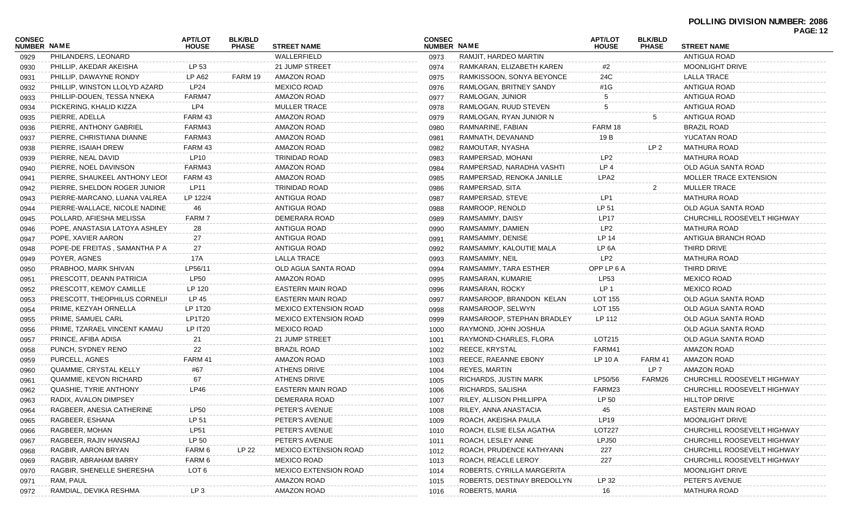## **POLLING DIVISION NUMBER: 2086**

| <b>CONSEC</b><br>NUMBER NAME |                                      | <b>APT/LOT</b><br><b>HOUSE</b> | <b>BLK/BLD</b><br><b>PHASE</b> | <b>STREET NAME</b>           | <b>CONSEC</b><br>NUMBER NAME |                              | <b>APT/LOT</b><br><b>HOUSE</b> | <b>BLK/BLD</b><br><b>PHASE</b> | FA JL. 14<br><b>STREET NAME</b> |
|------------------------------|--------------------------------------|--------------------------------|--------------------------------|------------------------------|------------------------------|------------------------------|--------------------------------|--------------------------------|---------------------------------|
| 0929                         | PHILANDERS, LEONARD                  |                                |                                | WALLERFIELD                  | 0973                         | RAMJIT, HARDEO MARTIN        |                                |                                | ANTIGUA ROAD                    |
| 0930                         | PHILLIP, AKEDAR AKEISHA              | LP 53                          |                                | 21 JUMP STREET               | 0974                         | RAMKARAN, ELIZABETH KAREN    | #2                             |                                | MOONLIGHT DRIVE                 |
| 0931                         | PHILLIP, DAWAYNE RONDY               | LP A62                         | FARM 19                        | <b>AMAZON ROAD</b>           | 0975                         | RAMKISSOON, SONYA BEYONCE    | 24C                            |                                | <b>LALLA TRACE</b>              |
| 0932                         | PHILLIP, WINSTON LLOLYD AZARD        | LP24                           |                                | <b>MEXICO ROAD</b>           | 0976                         | RAMLOGAN, BRITNEY SANDY      | #1G                            |                                | <b>ANTIGUA ROAD</b>             |
| 0933                         | PHILLIP-DOUEN, TESSA N'NEKA          | FARM47                         |                                | <b>AMAZON ROAD</b>           | 0977                         | RAMLOGAN, JUNIOR             |                                |                                | <b>ANTIGUA ROAD</b>             |
| 0934                         | PICKERING, KHALID KIZZA              | LP4                            |                                | <b>MULLER TRACE</b>          | 0978                         | RAMLOGAN, RUUD STEVEN        | 5                              |                                | <b>ANTIGUA ROAD</b>             |
| 0935                         | PIERRE, ADELLA                       | FARM 43                        |                                | <b>AMAZON ROAD</b>           | 0979                         | RAMLOGAN, RYAN JUNIOR N      |                                |                                | ANTIGUA ROAD                    |
| 0936                         | PIERRE, ANTHONY GABRIEL              | FARM43                         |                                | <b>AMAZON ROAD</b>           | 0980                         | RAMNARINE, FABIAN            | FARM 18                        |                                | <b>BRAZIL ROAD</b>              |
| 0937                         | PIERRE, CHRISTIANA DIANNE            | FARM43                         |                                | AMAZON ROAD                  | 0981                         | RAMNATH, DEVANAND            | 19 B                           |                                | YUCATAN ROAD                    |
| 0938                         | PIERRE, ISAIAH DREW                  | FARM 43                        |                                | <b>AMAZON ROAD</b>           | 0982                         | RAMOUTAR, NYASHA             |                                | LP <sub>2</sub>                | MATHURA ROAD                    |
| 0939                         | PIERRE, NEAL DAVID                   | <b>LP10</b>                    |                                | TRINIDAD ROAD                | 0983                         | RAMPERSAD, MOHANI            | LP <sub>2</sub>                |                                | <b>MATHURA ROAD</b>             |
| 0940                         | PIERRE, NOEL DAVINSON                | FARM43                         |                                | <b>AMAZON ROAD</b>           | 0984                         | RAMPERSAD, NARADHA VASHTI    | LP <sub>4</sub>                |                                | OLD AGUA SANTA ROAD             |
| 0941                         | PIERRE, SHAUKEEL ANTHONY LEOI        | FARM 43                        |                                | <b>AMAZON ROAD</b>           | 0985                         | RAMPERSAD, RENOKA JANILLE    | LPA2                           |                                | MOLLER TRACE EXTENSION          |
| 0942                         | PIERRE, SHELDON ROGER JUNIOR         | LP11                           |                                | TRINIDAD ROAD                | 0986                         | RAMPERSAD, SITA              |                                |                                | <b>MULLER TRACE</b>             |
| 0943                         | PIERRE-MARCANO, LUANA VALREA         | LP 122/4                       |                                | ANTIGUA ROAD                 | 0987                         | RAMPERSAD, STEVE             | LP1                            |                                | <b>MATHURA ROAD</b>             |
| 0944                         | PIERRE-WALLACE, NICOLE NADINE        | 46                             |                                | ANTIGUA ROAD                 | 0988                         | RAMROOP, RENOLD              | LP 51                          |                                | OLD AGUA SANTA ROAD             |
| 0945                         | POLLARD, AFIESHA MELISSA             | FARM 7                         |                                | DEMERARA ROAD                | 0989                         | RAMSAMMY, DAISY              | <b>LP17</b>                    |                                | CHURCHILL ROOSEVELT HIGHWAY     |
| 0946                         | POPE, ANASTASIA LATOYA ASHLEY        | 28                             |                                | ANTIGUA ROAD                 | 0990                         | RAMSAMMY, DAMIEN             | LP <sub>2</sub>                |                                | <b>MATHURA ROAD</b>             |
| 0947                         | POPE, XAVIER AARON                   | 27                             |                                | ANTIGUA ROAD                 | 0991                         | RAMSAMMY, DENISE             | LP 14                          |                                | ANTIGUA BRANCH ROAD             |
| 0948                         | POPE-DE FREITAS, SAMANTHA P A        | 27                             |                                | ANTIGUA ROAD                 | 0992                         | RAMSAMMY, KALOUTIE MALA      | LP 6A                          |                                | THIRD DRIVE                     |
| 0949                         | POYER, AGNES                         | 17A                            |                                | <b>LALLA TRACE</b>           | 0993                         | RAMSAMMY, NEIL               | LP <sub>2</sub>                |                                | <b>MATHURA ROAD</b>             |
| 0950                         | PRABHOO, MARK SHIVAN                 | LP56/11                        |                                | OLD AGUA SANTA ROAD          | 0994                         | RAMSAMMY, TARA ESTHER        | OPP LP 6 A                     |                                | THIRD DRIVE                     |
| 0951                         | PRESCOTT, DEANN PATRICIA             | <b>LP50</b>                    |                                | <b>AMAZON ROAD</b>           | 0995                         | RAMSARAN, KUMARIE            | LP53                           |                                | <b>MEXICO ROAD</b>              |
| 0952                         | PRESCOTT, KEMOY CAMILLE              | LP 120                         |                                | EASTERN MAIN ROAD            | 0996                         | RAMSARAN, ROCKY              | LP <sub>1</sub>                |                                | <b>MEXICO ROAD</b>              |
| 0953                         | <b>PRESCOTT, THEOPHILUS CORNELII</b> | LP 45                          |                                | EASTERN MAIN ROAD            | 0997                         | RAMSAROOP, BRANDON KELAN     | LOT 155                        |                                | OLD AGUA SANTA ROAD             |
| 0954                         | PRIME, KEZYAH ORNELLA                | LP 1T20                        |                                | <b>MEXICO EXTENSION ROAD</b> | 0998                         | RAMSAROOP, SELWYN            | LOT 155                        |                                | OLD AGUA SANTA ROAD             |
| 0955                         | PRIME, SAMUEL CARL                   | LP1T20                         |                                | <b>MEXICO EXTENSION ROAD</b> | 0999                         | RAMSAROOP, STEPHAN BRADLEY   | LP 112                         |                                | OLD AGUA SANTA ROAD             |
| 0956                         | PRIME, TZARAEL VINCENT KAMAU         | LP IT20                        |                                | <b>MEXICO ROAD</b>           | 1000                         | RAYMOND, JOHN JOSHUA         |                                |                                | OLD AGUA SANTA ROAD             |
| 0957                         | PRINCE, AFIBA ADISA                  | 21                             |                                | 21 JUMP STREET               | 1001                         | RAYMOND-CHARLES, FLORA       | LOT215                         |                                | OLD AGUA SANTA ROAD             |
| 0958                         | PUNCH, SYDNEY RENO                   | 22                             |                                | <b>BRAZIL ROAD</b>           | 1002                         | REECE, KRYSTAL               | FARM41                         |                                | AMAZON ROAD                     |
| 0959                         | PURCELL, AGNES                       | FARM 41                        |                                | <b>AMAZON ROAD</b>           | 1003                         | REECE, RAEANNE EBONY         | LP 10 A                        | FARM 41                        | AMAZON ROAD                     |
| 0960                         | QUAMMIE, CRYSTAL KELLY               | #67                            |                                | <b>ATHENS DRIVE</b>          | 1004                         | REYES, MARTIN                |                                | LP 7                           | AMAZON ROAD                     |
| 0961                         | QUAMMIE, KEVON RICHARD               | 67                             |                                | <b>ATHENS DRIVE</b>          | 1005                         | <b>RICHARDS, JUSTIN MARK</b> | LP50/56                        | FARM26                         | CHURCHILL ROOSEVELT HIGHWAY     |
| 0962                         | QUASHIE, TYRIE ANTHONY               | LP46                           |                                | <b>EASTERN MAIN ROAD</b>     | 1006                         | RICHARDS, SALISHA            | FARM23                         |                                | CHURCHILL ROOSEVELT HIGHWAY     |
| 0963                         | RADIX, AVALON DIMPSEY                |                                |                                | DEMERARA ROAD                | 1007                         | RILEY, ALLISON PHILLIPPA     | LP 50                          |                                | <b>HILLTOP DRIVE</b>            |
| 0964                         | RAGBEER, ANESIA CATHERINE            | <b>LP50</b>                    |                                | PETER'S AVENUE               | 1008                         | RILEY, ANNA ANASTACIA        | 45                             |                                | EASTERN MAIN ROAD               |
| 0965                         | RAGBEER, ESHANA                      | LP 51                          |                                | PETER'S AVENUE               | 1009                         | ROACH, AKEISHA PAULA         | LP19                           |                                | MOONLIGHT DRIVE                 |
| 0966                         | RAGBEER, MOHAN                       | <b>LP51</b>                    |                                | PETER'S AVENUE               | 1010                         | ROACH, ELSIE ELSA AGATHA     | LOT227                         |                                | CHURCHILL ROOSEVELT HIGHWAY     |
| 0967                         | RAGBEER, RAJIV HANSRAJ               | LP 50                          |                                | PETER'S AVENUE               | 1011                         | ROACH, LESLEY ANNE           | LPJ50                          |                                | CHURCHILL ROOSEVELT HIGHWAY     |
| 0968                         | RAGBIR, AARON BRYAN                  | FARM 6                         | LP 22                          | <b>MEXICO EXTENSION ROAD</b> | 1012                         | ROACH, PRUDENCE KATHYANN     | 227                            |                                | CHURCHILL ROOSEVELT HIGHWAY     |
| 0969                         | RAGBIR, ABRAHAM BARRY                | FARM 6                         |                                | <b>MEXICO ROAD</b>           | 1013                         | ROACH, REACLE LEROY          | 227                            |                                | CHURCHILL ROOSEVELT HIGHWAY     |
| 0970                         | RAGBIR, SHENELLE SHERESHA            | LOT 6                          |                                | <b>MEXICO EXTENSION ROAD</b> | 1014                         | ROBERTS, CYRILLA MARGERITA   |                                |                                | MOONLIGHT DRIVE                 |
| 0971                         | RAM, PAUL                            |                                |                                | AMAZON ROAD                  | 1015                         | ROBERTS, DESTINAY BREDOLLYN  | LP 32                          |                                | PETER'S AVENUE                  |
| 0972                         | RAMDIAL, DEVIKA RESHMA               | LP <sub>3</sub>                |                                | AMAZON ROAD                  | 1016                         | <b>ROBERTS, MARIA</b>        | 16                             |                                | <b>MATHURA ROAD</b>             |
|                              |                                      |                                |                                |                              |                              |                              |                                |                                |                                 |

**PAGE: 12**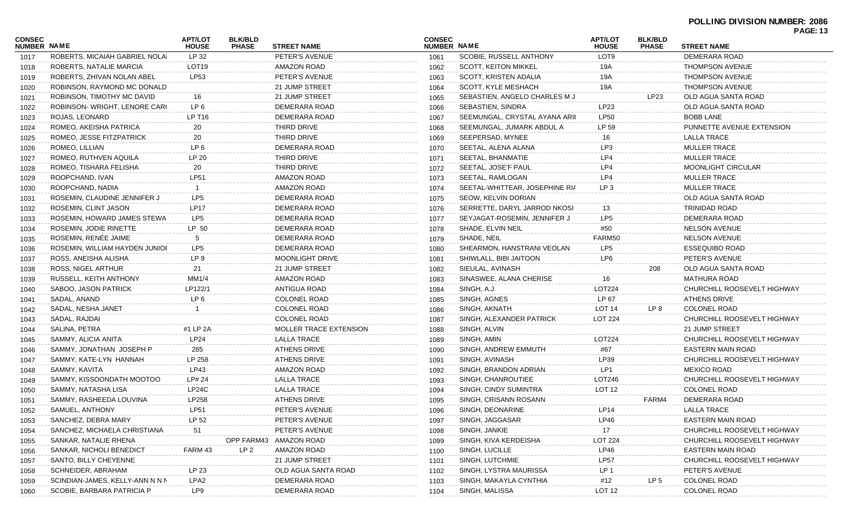### **POLLING DIVISION NUMBER: 2086**

|                              |                                 |                                |                                |                               |                              |                                |                                |                                | <b>PAGE: 13</b>             |
|------------------------------|---------------------------------|--------------------------------|--------------------------------|-------------------------------|------------------------------|--------------------------------|--------------------------------|--------------------------------|-----------------------------|
| <b>CONSEC</b><br>NUMBER NAME |                                 | <b>APT/LOT</b><br><b>HOUSE</b> | <b>BLK/BLD</b><br><b>PHASE</b> | <b>STREET NAME</b>            | <b>CONSEC</b><br>NUMBER NAME |                                | <b>APT/LOT</b><br><b>HOUSE</b> | <b>BLK/BLD</b><br><b>PHASE</b> | <b>STREET NAME</b>          |
| 1017                         | ROBERTS, MICAIAH GABRIEL NOLAI  | LP 32                          |                                | PETER'S AVENUE                | 1061                         | <b>SCOBIE, RUSSELL ANTHONY</b> | LOT <sub>9</sub>               |                                | DEMERARA ROAD               |
| 1018                         | ROBERTS, NATALIE MARCIA         | LOT <sub>19</sub>              |                                | AMAZON ROAD                   | 1062                         | <b>SCOTT, KEITON MIKKEL</b>    | 19A                            |                                | <b>THOMPSON AVENUE</b>      |
| 1019                         | ROBERTS, ZHIVAN NOLAN ABEL      | LP53                           |                                | PETER'S AVENUE                | 1063                         | SCOTT, KRISTEN ADALIA          | 19A                            |                                | <b>THOMPSON AVENUE</b>      |
| 1020                         | ROBINSON, RAYMOND MC DONALD     |                                |                                | 21 JUMP STREET                | 1064                         | SCOTT, KYLE MESHACH            | 19A                            |                                | <b>THOMPSON AVENUE</b>      |
| 1021                         | ROBINSON, TIMOTHY MC DAVID      | 16                             |                                | 21 JUMP STREET                | 1065                         | SEBASTIEN, ANGELO CHARLES M J  |                                | LP23                           | OLD AGUA SANTA ROAD         |
| 1022                         | ROBINSON-WRIGHT, LENORE CARO    | LP 6                           |                                | DEMERARA ROAD                 | 1066                         | <b>SEBASTIEN, SINDRA</b>       | LP23                           |                                | OLD AGUA SANTA ROAD         |
| 1023                         | ROJAS, LEONARD                  | LP T16                         |                                | DEMERARA ROAD                 | 1067                         | SEEMUNGAL, CRYSTAL AYANA ARII  | <b>LP50</b>                    |                                | <b>BOBB LANE</b>            |
| 1024                         | ROMEO, AKEISHA PATRICA          | 20                             |                                | THIRD DRIVE                   | 1068                         | SEEMUNGAL, JUMARK ABDUL A      | LP 59                          |                                | PUNNETTE AVENUE EXTENSION   |
| 1025                         | ROMEO, JESSE FITZPATRICK        | 20                             |                                | THIRD DRIVE                   | 1069                         | SEEPERSAD, MYNEE               | 16                             |                                | <b>LALLA TRACE</b>          |
| 1026                         | ROMEO, LILLIAN                  | LP 6                           |                                | DEMERARA ROAD                 | 1070                         | SEETAL, ALENA ALANA            | LP3                            |                                | <b>MULLER TRACE</b>         |
| 1027                         | ROMEO, RUTHVEN AQUILA           | LP 20                          |                                | THIRD DRIVE                   | 1071                         | SEETAL, BHANMATIE              | LP4                            |                                | <b>MULLER TRACE</b>         |
| 1028                         | ROMEO, TISHARA FELISHA          | 20                             |                                | THIRD DRIVE                   | 1072                         | SEETAL, JOSE'F PAUL            | LP4                            |                                | <b>MOONLIGHT CIRCULAR</b>   |
| 1029                         | ROOPCHAND, IVAN                 | LP51                           |                                | AMAZON ROAD                   | 1073                         | SEETAL, RAMLOGAN               | LP4                            |                                | <b>MULLER TRACE</b>         |
| 1030                         | ROOPCHAND, NADIA                | $\overline{1}$                 |                                | AMAZON ROAD                   | 1074                         | SEETAL-WHITTEAR, JOSEPHINE RIA | LP <sub>3</sub>                |                                | <b>MULLER TRACE</b>         |
| 1031                         | ROSEMIN, CLAUDINE JENNIFER J    | LP5                            |                                | DEMERARA ROAD                 | 1075                         | SEOW, KELVIN DORIAN            |                                |                                | OLD AGUA SANTA ROAD         |
| 1032                         | ROSEMIN, CLINT JASON            | <b>LP17</b>                    |                                | DEMERARA ROAD                 | 1076                         | SERRETTE, DARYL JARROD NKOSI   | 13                             |                                | <b>TRINIDAD ROAD</b>        |
| 1033                         | ROSEMIN, HOWARD JAMES STEWA     | LP <sub>5</sub>                |                                | DEMERARA ROAD                 | 1077                         | SEYJAGAT-ROSEMIN, JENNIFER J   | LP <sub>5</sub>                |                                | DEMERARA ROAD               |
| 1034                         | ROSEMIN, JODIE RINETTE          | LP 50                          |                                | DEMERARA ROAD                 | 1078                         | SHADE, ELVIN NEIL              | #50                            |                                | <b>NELSON AVENUE</b>        |
| 1035                         | ROSEMIN, RENÉE JAIME            | 5                              |                                | DEMERARA ROAD                 | 1079                         | SHADE, NEIL                    | FARM50                         |                                | <b>NELSON AVENUE</b>        |
| 1036                         | ROSEMIN, WILLIAM HAYDEN JUNIOR  | LP <sub>5</sub>                |                                | DEMERARA ROAD                 | 1080                         | SHEARMON, HANSTRANI VEOLAN     | LP <sub>5</sub>                |                                | <b>ESSEQUIBO ROAD</b>       |
| 1037                         | ROSS, ANEISHA ALISHA            | LP 9                           |                                | <b>MOONLIGHT DRIVE</b>        | 1081                         | SHIWLALL, BIBI JAITOON         | LP <sub>6</sub>                |                                | PETER'S AVENUE              |
| 1038                         | ROSS, NIGEL ARTHUR              | 21                             |                                | 21 JUMP STREET                | 1082                         | SIEULAL, AVINASH               |                                | 208                            | OLD AGUA SANTA ROAD         |
| 1039                         | RUSSELL, KEITH ANTHONY          | MM1/4                          |                                | AMAZON ROAD                   | 1083                         | SINASWEE, ALANA CHERISE        | 16                             |                                | <b>MATHURA ROAD</b>         |
| 1040                         | SABOO, JASON PATRICK            | LP122/1                        |                                | <b>ANTIGUA ROAD</b>           | 1084                         | SINGH, A.J                     | LOT224                         |                                | CHURCHILL ROOSEVELT HIGHWAY |
| 1041                         | SADAL, ANAND                    | LP <sub>6</sub>                |                                | <b>COLONEL ROAD</b>           | 1085                         | SINGH, AGNES                   | LP 67                          |                                | <b>ATHENS DRIVE</b>         |
| 1042                         | SADAL, NESHA JANET              |                                |                                | COLONEL ROAD                  | 1086                         | SINGH, AKNATH                  | LOT <sub>14</sub>              | LP 8                           | <b>COLONEL ROAD</b>         |
| 1043                         | SADAL, RAJDAI                   |                                |                                | <b>COLONEL ROAD</b>           | 1087                         | SINGH, ALEXANDER PATRICK       | <b>LOT 224</b>                 |                                | CHURCHILL ROOSEVELT HIGHWAY |
| 1044                         | SALINA, PETRA                   | #1 LP 2A                       |                                | <b>MOLLER TRACE EXTENSION</b> | 1088                         | SINGH, ALVIN                   |                                |                                | 21 JUMP STREET              |
| 1045                         | SAMMY, ALICIA ANITA             | LP24                           |                                | LALLA TRACE                   | 1089                         | SINGH, AMIN                    | LOT224                         |                                | CHURCHILL ROOSEVELT HIGHWAY |
| 1046                         | SAMMY, JONATHAN JOSEPH P        | 285                            |                                | <b>ATHENS DRIVE</b>           | 1090                         | SINGH, ANDREW EMMUTH           | #67                            |                                | EASTERN MAIN ROAD           |
| 1047                         | SAMMY, KATE-LYN HANNAH          | LP 258                         |                                | <b>ATHENS DRIVE</b>           | 1091                         | SINGH, AVINASH                 | LP39                           |                                | CHURCHILL ROOSEVELT HIGHWAY |
| 1048                         | SAMMY, KAVITA                   | LP43                           |                                | AMAZON ROAD                   | 1092                         | SINGH, BRANDON ADRIAN          | LP1                            |                                | <b>MEXICO ROAD</b>          |
| 1049                         | SAMMY, KISSOONDATH MOOTOO       | LP# 24                         |                                | <b>LALLA TRACE</b>            | 1093                         | SINGH, CHANROUTIEE             | LOT246                         |                                | CHURCHILL ROOSEVELT HIGHWAY |
| 1050                         | SAMMY, NATASHA LISA             | LP24C                          |                                | <b>LALLA TRACE</b>            | 1094                         | SINGH, CINDY SUMINTRA          | LOT <sub>12</sub>              |                                | <b>COLONEL ROAD</b>         |
| 1051                         | SAMMY, RASHEEDA LOUVINA         | LP258                          |                                | ATHENS DRIVE                  | 1095                         | SINGH, CRISANN ROSANN          |                                | FARM4                          | DEMERARA ROAD               |
| 1052                         | SAMUEL, ANTHONY                 | <b>LP51</b>                    |                                | PETER'S AVENUE                | 1096                         | SINGH, DEONARINE               | LP14                           |                                | <b>LALLA TRACE</b>          |
| 1053                         | SANCHEZ, DEBRA MARY             | LP 52                          |                                | PETER'S AVENUE                | 1097                         | SINGH, JAGGASAR                | LP46                           |                                | <b>EASTERN MAIN ROAD</b>    |
| 1054                         | SANCHEZ, MICHAELA CHRISTIANA    | 51                             |                                | PETER'S AVENUE                | 1098                         | SINGH, JANKIE                  | 17                             |                                | CHURCHILL ROOSEVELT HIGHWAY |
| 1055                         | SANKAR, NATALIE RHENA           |                                | OPP FARM43                     | AMAZON ROAD                   | 1099                         | SINGH, KIVA KERDEISHA          | LOT 224                        |                                | CHURCHILL ROOSEVELT HIGHWAY |
| 1056                         | SANKAR, NICHOLI BENEDICT        | FARM 43                        | LP 2                           | AMAZON ROAD                   | 1100                         | SINGH, LUCILLE                 | LP46                           |                                | EASTERN MAIN ROAD           |
| 1057                         | SANTO, BILLY CHEYENNE           |                                |                                | 21 JUMP STREET                | 1101                         | SINGH, LUTCHMIE                | <b>LP57</b>                    |                                | CHURCHILL ROOSEVELT HIGHWAY |
| 1058                         | SCHNEIDER, ABRAHAM              | LP 23                          |                                | OLD AGUA SANTA ROAD           | 1102                         | SINGH, LYSTRA MAURISSA         | LP <sub>1</sub>                |                                | PETER'S AVENUE              |
| 1059                         | SCINDIAN-JAMES, KELLY-ANN N N N | LPA2                           |                                | DEMERARA ROAD                 | 1103                         | SINGH, MAKAYLA CYNTHIA         | #12                            | LP 5                           | <b>COLONEL ROAD</b>         |
| 1060                         | SCOBIE, BARBARA PATRICIA P      | LP9                            |                                | DEMERARA ROAD                 | 1104                         | SINGH, MALISSA                 | LOT <sub>12</sub>              |                                | COLONEL ROAD                |
|                              |                                 |                                |                                |                               |                              |                                |                                |                                |                             |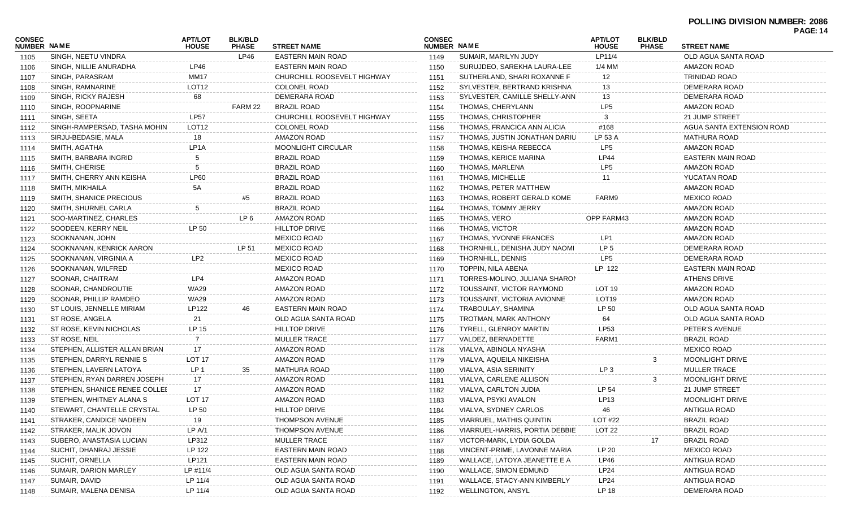|                       |                               |                                |                                |                             |                                     |                                |                                |                                | <b>PAGE: 14</b>           |  |
|-----------------------|-------------------------------|--------------------------------|--------------------------------|-----------------------------|-------------------------------------|--------------------------------|--------------------------------|--------------------------------|---------------------------|--|
| CONSEC<br>NUMBER NAME |                               | <b>APT/LOT</b><br><b>HOUSE</b> | <b>BLK/BLD</b><br><b>PHASE</b> | <b>STREET NAME</b>          | <b>CONSEC</b><br><b>NUMBER NAME</b> |                                | <b>APT/LOT</b><br><b>HOUSE</b> | <b>BLK/BLD</b><br><b>PHASE</b> | <b>STREET NAME</b>        |  |
| 1105                  | SINGH, NEETU VINDRA           |                                | LP46                           | <b>EASTERN MAIN ROAD</b>    | 1149                                | SUMAIR, MARILYN JUDY           | LP11/4                         |                                | OLD AGUA SANTA ROAD       |  |
| 1106                  | SINGH, NILLIE ANURADHA        | LP46                           |                                | <b>EASTERN MAIN ROAD</b>    | 1150                                | SURUJDEO, SAREKHA LAURA-LEE    | 1/4 MM                         |                                | <b>AMAZON ROAD</b>        |  |
| 1107                  | SINGH, PARASRAM               | <b>MM17</b>                    |                                | CHURCHILL ROOSEVELT HIGHWAY | 1151                                | SUTHERLAND, SHARI ROXANNE F    | 12                             |                                | <b>TRINIDAD ROAD</b>      |  |
| 1108                  | SINGH, RAMNARINE              | LOT <sub>12</sub>              |                                | <b>COLONEL ROAD</b>         | 1152                                | SYLVESTER, BERTRAND KRISHNA    | 13                             |                                | DEMERARA ROAD             |  |
| 1109                  | SINGH, RICKY RAJESH           | 68                             |                                | DEMERARA ROAD               | 1153                                | SYLVESTER, CAMILLE SHELLY-ANN  | 13                             |                                | DEMERARA ROAD             |  |
| 1110                  | SINGH, ROOPNARINE             |                                | FARM 22                        | <b>BRAZIL ROAD</b>          | 1154                                | THOMAS, CHERYLANN              | LP <sub>5</sub>                |                                | <b>AMAZON ROAD</b>        |  |
| 1111                  | SINGH, SEETA                  | <b>LP57</b>                    |                                | CHURCHILL ROOSEVELT HIGHWAY | 1155                                | THOMAS, CHRISTOPHER            | 3                              |                                | 21 JUMP STREET            |  |
| 1112                  | SINGH-RAMPERSAD, TASHA MOHIN  | LOT <sub>12</sub>              |                                | <b>COLONEL ROAD</b>         | 1156                                | THOMAS, FRANCICA ANN ALICIA    | #168                           |                                | AGUA SANTA EXTENSION ROAD |  |
| 1113                  | SIRJU-BEDASIE, MALA           | 18                             |                                | AMAZON ROAD                 | 1157                                | THOMAS, JUSTIN JONATHAN DARIU  | LP 53 A                        |                                | <b>MATHURA ROAD</b>       |  |
| 1114                  | SMITH, AGATHA                 | LP <sub>1</sub> A              |                                | <b>MOONLIGHT CIRCULAR</b>   | 1158                                | THOMAS, KEISHA REBECCA         | LP <sub>5</sub>                |                                | <b>AMAZON ROAD</b>        |  |
| 1115                  | SMITH, BARBARA INGRID         | 5                              |                                | <b>BRAZIL ROAD</b>          | 1159                                | THOMAS, KERICE MARINA          | <b>LP44</b>                    |                                | <b>EASTERN MAIN ROAD</b>  |  |
| 1116                  | SMITH, CHERISE                | 5                              |                                | <b>BRAZIL ROAD</b>          | 1160                                | THOMAS, MARLENA                | LP <sub>5</sub>                |                                | <b>AMAZON ROAD</b>        |  |
| 1117                  | SMITH, CHERRY ANN KEISHA      | <b>LP60</b>                    |                                | <b>BRAZIL ROAD</b>          | 1161                                | THOMAS, MICHELLE               | 11                             |                                | YUCATAN ROAD              |  |
| 1118                  | SMITH, MIKHAILA               | 5A                             |                                | <b>BRAZIL ROAD</b>          | 1162                                | THOMAS, PETER MATTHEW          |                                |                                | <b>AMAZON ROAD</b>        |  |
| 1119                  | SMITH, SHANICE PRECIOUS       |                                | #5                             | <b>BRAZIL ROAD</b>          | 1163                                | THOMAS, ROBERT GERALD KOME     | FARM9                          |                                | <b>MEXICO ROAD</b>        |  |
| 1120                  | SMITH, SHURNEL CARLA          | 5                              |                                | <b>BRAZIL ROAD</b>          | 1164                                | THOMAS, TOMMY JERRY            |                                |                                | <b>AMAZON ROAD</b>        |  |
| 1121                  | SOO-MARTINEZ, CHARLES         |                                | LP 6                           | <b>AMAZON ROAD</b>          | 1165                                | THOMAS, VERO                   | <b>OPP FARM43</b>              |                                | <b>AMAZON ROAD</b>        |  |
| 1122                  | SOODEEN, KERRY NEIL           | LP 50                          |                                | <b>HILLTOP DRIVE</b>        | 1166                                | THOMAS, VICTOR                 |                                |                                | <b>AMAZON ROAD</b>        |  |
| 1123                  | SOOKNANAN, JOHN               |                                |                                | <b>MEXICO ROAD</b>          | 1167                                | THOMAS, YVONNE FRANCES         | LP1                            |                                | <b>AMAZON ROAD</b>        |  |
| 1124                  | SOOKNANAN, KENRICK AARON      |                                | LP 51                          | <b>MEXICO ROAD</b>          | 1168                                | THORNHILL, DENISHA JUDY NAOMI  | LP <sub>5</sub>                |                                | DEMERARA ROAD             |  |
| 1125                  | SOOKNANAN, VIRGINIA A         | LP <sub>2</sub>                |                                | <b>MEXICO ROAD</b>          | 1169                                | THORNHILL, DENNIS              | LP <sub>5</sub>                |                                | DEMERARA ROAD             |  |
| 1126                  | SOOKNANAN, WILFRED            |                                |                                | <b>MEXICO ROAD</b>          | 1170                                | TOPPIN, NILA ABENA             | LP 122                         |                                | EASTERN MAIN ROAD         |  |
| 1127                  | SOONAR, CHAITRAM              | LP4                            |                                | <b>AMAZON ROAD</b>          | 1171                                | TORRES-MOLINO, JULIANA SHARON  |                                |                                | <b>ATHENS DRIVE</b>       |  |
| 1128                  | SOONAR, CHANDROUTIE           | <b>WA29</b>                    |                                | AMAZON ROAD                 | 1172                                | TOUSSAINT, VICTOR RAYMOND      | LOT 19                         |                                | <b>AMAZON ROAD</b>        |  |
| 1129                  | SOONAR, PHILLIP RAMDEO        | WA29                           |                                | AMAZON ROAD                 | 1173                                | TOUSSAINT, VICTORIA AVIONNE    | LOT <sub>19</sub>              |                                | <b>AMAZON ROAD</b>        |  |
| 1130                  | ST LOUIS, JENNELLE MIRIAM     | LP122                          | 46                             | EASTERN MAIN ROAD           | 1174                                | TRABOULAY, SHAMINA             | LP 50                          |                                | OLD AGUA SANTA ROAD       |  |
| 1131                  | ST ROSE, ANGELA               | 21                             |                                | OLD AGUA SANTA ROAD         | 1175                                | TROTMAN, MARK ANTHONY          | 64                             |                                | OLD AGUA SANTA ROAD       |  |
| 1132                  | ST ROSE, KEVIN NICHOLAS       | LP 15                          |                                | <b>HILLTOP DRIVE</b>        | 1176                                | TYRELL, GLENROY MARTIN         | LP53                           |                                | PETER'S AVENUE            |  |
| 1133                  | ST ROSE, NEIL                 | 7                              |                                | <b>MULLER TRACE</b>         | 1177                                | VALDEZ, BERNADETTE             | FARM1                          |                                | <b>BRAZIL ROAD</b>        |  |
| 1134                  | STEPHEN, ALLISTER ALLAN BRIAN | 17                             |                                | <b>AMAZON ROAD</b>          | 1178                                | VIALVA, ABINOLA NYASHA         |                                |                                | <b>MEXICO ROAD</b>        |  |
| 1135                  | STEPHEN, DARRYL RENNIE S      | LOT 17                         |                                | <b>AMAZON ROAD</b>          | 1179                                | VIALVA, AQUEILA NIKEISHA       |                                | 3                              | <b>MOONLIGHT DRIVE</b>    |  |
| 1136                  | STEPHEN, LAVERN LATOYA        | LP <sub>1</sub>                | 35                             | <b>MATHURA ROAD</b>         | 1180                                | VIALVA, ASIA SERINITY          | LP <sub>3</sub>                |                                | <b>MULLER TRACE</b>       |  |
| 1137                  | STEPHEN, RYAN DARREN JOSEPH   | 17                             |                                | <b>AMAZON ROAD</b>          | 1181                                | VIALVA, CARLENE ALLISON        |                                | 3                              | <b>MOONLIGHT DRIVE</b>    |  |
| 1138                  | STEPHEN, SHANICE RENEE COLLEI | 17                             |                                | AMAZON ROAD                 | 1182                                | VIALVA, CARLTON JUDIA          | LP 54                          |                                | 21 JUMP STREET            |  |
|                       | STEPHEN, WHITNEY ALANA S      | LOT <sub>17</sub>              |                                | AMAZON ROAD                 | 1183                                | VIALVA, PSYKI AVALON           | LP13                           |                                | MOONLIGHT DRIVE           |  |
| 1139                  | STEWART, CHANTELLE CRYSTAL    | LP 50                          |                                | <b>HILLTOP DRIVE</b>        |                                     | VIALVA, SYDNEY CARLOS          | 46                             |                                | ANTIGUA ROAD              |  |
| 1140                  |                               |                                |                                | <b>THOMPSON AVENUE</b>      | 1184                                |                                | <b>LOT #22</b>                 |                                | <b>BRAZIL ROAD</b>        |  |
| 1141                  | STRAKER, CANDICE NADEEN       | 19                             |                                |                             | 1185                                | VIARRUEL, MATHIS QUINTIN       |                                |                                |                           |  |
| 1142                  | STRAKER, MALIK JOVON          | LP A/1                         |                                | THOMPSON AVENUE             | 1186                                | VIARRUEL-HARRIS, PORTIA DEBBIE | LOT 22                         |                                | <b>BRAZIL ROAD</b>        |  |
| 1143                  | SUBERO, ANASTASIA LUCIAN      | LP312                          |                                | <b>MULLER TRACE</b>         | 1187                                | VICTOR-MARK, LYDIA GOLDA       |                                | 17                             | BRAZIL ROAD               |  |
| 1144                  | SUCHIT, DHANRAJ JESSIE        | LP 122                         |                                | EASTERN MAIN ROAD           | 1188                                | VINCENT-PRIME, LAVONNE MARIA   | LP 20                          |                                | MEXICO ROAD               |  |
| 1145                  | SUCHIT, ORNELLA               | LP121                          |                                | EASTERN MAIN ROAD           | 1189                                | WALLACE, LATOYA JEANETTE E A   | LP46                           |                                | ANTIGUA ROAD              |  |
| 1146                  | SUMAIR, DARION MARLEY         | LP #11/4                       |                                | OLD AGUA SANTA ROAD         | 1190                                | WALLACE, SIMON EDMUND          | LP24                           |                                | ANTIGUA ROAD              |  |
| 1147                  | SUMAIR, DAVID                 | LP 11/4                        |                                | OLD AGUA SANTA ROAD         | 1191                                | WALLACE, STACY-ANN KIMBERLY    | LP24                           |                                | ANTIGUA ROAD              |  |
| 1148                  | SUMAIR, MALENA DENISA         | LP 11/4                        |                                | OLD AGUA SANTA ROAD         | 1192                                | <b>WELLINGTON, ANSYL</b>       | LP 18                          |                                | DEMERARA ROAD             |  |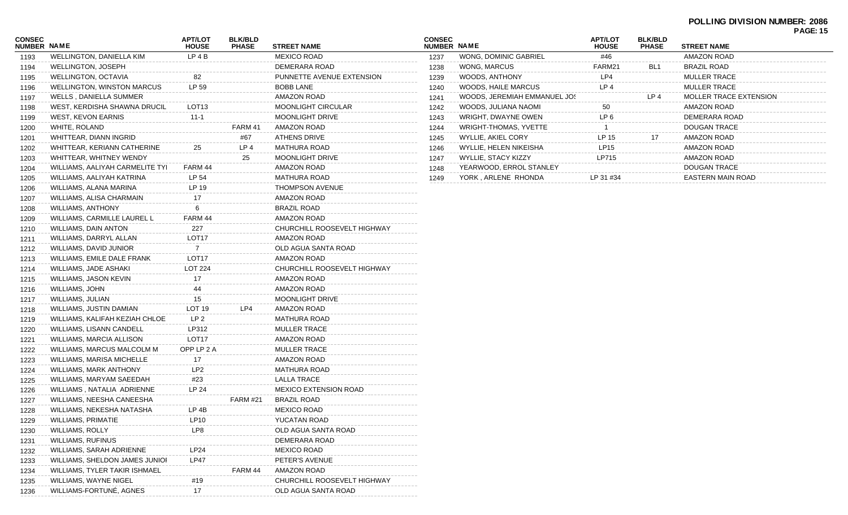| <b>CONSEC</b><br><b>NUMBER NAME</b> |                                   | <b>APT/LOT</b><br><b>HOUSE</b> | <b>BLK/BLD</b><br><b>PHASE</b> | <b>STREET NAME</b>           |
|-------------------------------------|-----------------------------------|--------------------------------|--------------------------------|------------------------------|
| 1193                                | WELLINGTON, DANIELLA KIM          | LP 4 B                         |                                | <b>MEXICO ROAD</b>           |
| 1194                                | WELLINGTON, JOSEPH                |                                |                                | DEMERARA ROAD                |
| 1195                                | <b>WELLINGTON, OCTAVIA</b>        | 82                             |                                | PUNNETTE AVENUE EXTENSION    |
| 1196                                | <b>WELLINGTON, WINSTON MARCUS</b> | LP 59                          |                                | <b>BOBB LANE</b>             |
| 1197                                | WELLS, DANIELLA SUMMER            |                                |                                | AMAZON ROAD                  |
| 1198                                | WEST, KERDISHA SHAWNA DRUCILI     | LOT <sub>13</sub>              |                                | <b>MOONLIGHT CIRCULAR</b>    |
| 1199                                | WEST, KEVON EARNIS                | $11 - 1$                       |                                | <b>MOONLIGHT DRIVE</b>       |
| 1200                                | WHITE, ROLAND                     |                                | FARM 41                        | AMAZON ROAD                  |
| 1201                                | WHITTEAR, DIANN INGRID            |                                | #67                            | <b>ATHENS DRIVE</b>          |
| 1202                                | WHITTEAR, KERIANN CATHERINE       | 25                             | LP 4                           | <b>MATHURA ROAD</b>          |
| 1203                                | WHITTEAR, WHITNEY WENDY           |                                | 25                             | <b>MOONLIGHT DRIVE</b>       |
| 1204                                | WILLIAMS, AALIYAH CARMELITE TYI   | FARM 44                        |                                | AMAZON ROAD                  |
| 1205                                | WILLIAMS, AALIYAH KATRINA         | LP 54                          |                                | <b>MATHURA ROAD</b>          |
| 1206                                | WILLIAMS, ALANA MARINA            | LP 19                          |                                | <b>THOMPSON AVENUE</b>       |
| 1207                                | WILLIAMS, ALISA CHARMAIN          | 17                             |                                | AMAZON ROAD                  |
| 1208                                | WILLIAMS, ANTHONY                 | 6                              |                                | <b>BRAZIL ROAD</b>           |
| 1209                                | WILLIAMS, CARMILLE LAUREL L       | FARM 44                        |                                | AMAZON ROAD                  |
| 1210                                | WILLIAMS, DAIN ANTON              | 227                            |                                | CHURCHILL ROOSEVELT HIGHWAY  |
| 1211                                | WILLIAMS, DARRYL ALLAN            | LOT <sub>17</sub>              |                                | <b>AMAZON ROAD</b>           |
| 1212                                | WILLIAMS, DAVID JUNIOR            | $\overline{7}$                 |                                | OLD AGUA SANTA ROAD          |
| 1213                                | WILLIAMS, EMILE DALE FRANK        | LOT <sub>17</sub>              |                                | <b>AMAZON ROAD</b>           |
| 1214                                | WILLIAMS, JADE ASHAKI             | <b>LOT 224</b>                 |                                | CHURCHILL ROOSEVELT HIGHWAY  |
| 1215                                | WILLIAMS, JASON KEVIN             | 17                             |                                | AMAZON ROAD                  |
| 1216                                | WILLIAMS, JOHN                    | 44                             |                                | AMAZON ROAD                  |
| 1217                                | WILLIAMS, JULIAN                  | 15                             |                                | <b>MOONLIGHT DRIVE</b>       |
| 1218                                | WILLIAMS, JUSTIN DAMIAN           | LOT <sub>19</sub>              | LP4                            | AMAZON ROAD                  |
| 1219                                | WILLIAMS, KALIFAH KEZIAH CHLOE    | LP <sub>2</sub>                |                                | MATHURA ROAD                 |
| 1220                                | WILLIAMS, LISANN CANDELL          | LP312                          |                                | <b>MULLER TRACE</b>          |
| 1221                                | WILLIAMS, MARCIA ALLISON          | LOT <sub>17</sub>              |                                | AMAZON ROAD                  |
| 1222                                | WILLIAMS, MARCUS MALCOLM M        | OPP LP 2 A                     |                                | <b>MULLER TRACE</b>          |
| 1223                                | WILLIAMS, MARISA MICHELLE         | 17                             |                                | AMAZON ROAD                  |
| 1224                                | WILLIAMS, MARK ANTHONY            | LP <sub>2</sub>                |                                | <b>MATHURA ROAD</b>          |
| 1225                                | WILLIAMS, MARYAM SAEEDAH          | #23                            |                                | <b>LALLA TRACE</b>           |
| 1226                                | WILLIAMS, NATALIA ADRIENNE        | LP 24                          |                                | <b>MEXICO EXTENSION ROAD</b> |
| 1227                                | WILLIAMS, NEESHA CANEESHA         |                                | <b>FARM #21</b>                | <b>BRAZIL ROAD</b>           |
| 1228                                | WILLIAMS, NEKESHA NATASHA         | LP 4B                          |                                | <b>MEXICO ROAD</b>           |
| 1229                                | WILLIAMS, PRIMATIE                | LP10                           |                                | YUCATAN ROAD                 |
| 1230                                | WILLIAMS, ROLLY                   | LP8                            |                                | OLD AGUA SANTA ROAD          |
| 1231                                | WILLIAMS, RUFINUS                 |                                |                                | DEMERARA ROAD                |
| 1232                                | WILLIAMS, SARAH ADRIENNE          | LP24                           |                                | <b>MEXICO ROAD</b>           |
| 1233                                | WILLIAMS, SHELDON JAMES JUNIOI    | <b>LP47</b>                    |                                | PETER'S AVENUE               |
| 1234                                | WILLIAMS, TYLER TAKIR ISHMAEL     |                                | FARM 44                        | AMAZON ROAD                  |
| 1235                                | WILLIAMS, WAYNE NIGEL             | #19                            |                                | CHURCHILL ROOSEVELT HIGHWAY  |
| 1236                                | WILLIAMS-FORTUNÉ, AGNES           | 17                             |                                | OLD AGUA SANTA ROAD          |
|                                     |                                   |                                |                                |                              |

| <b>CONSEC</b><br>NUMBER NAME |                              | <b>APT/LOT</b><br><b>HOUSE</b> | <b>BLK/BLD</b><br><b>PHASE</b> | <b>STREET NAME</b>            |
|------------------------------|------------------------------|--------------------------------|--------------------------------|-------------------------------|
| 1237                         | <b>WONG. DOMINIC GABRIEL</b> | #46                            |                                | AMAZON ROAD                   |
| 1238                         | WONG, MARCUS                 | FARM21                         | BL <sub>1</sub>                | <b>BRAZIL ROAD</b>            |
| 1239                         | WOODS, ANTHONY               | LP4                            |                                | <b>MULLER TRACE</b>           |
| 1240                         | WOODS, HAILE MARCUS          | LP <sub>4</sub>                |                                | <b>MULLER TRACE</b>           |
| 1241                         | WOODS. JEREMIAH EMMANUEL JOS |                                | LP <sub>4</sub>                | <b>MOLLER TRACE EXTENSION</b> |
| 1242                         | WOODS, JULIANA NAOMI         | 50                             |                                | AMAZON ROAD                   |
| 1243                         | WRIGHT, DWAYNE OWEN          | LP 6                           |                                | DEMERARA ROAD                 |
| 1244                         | <b>WRIGHT-THOMAS, YVETTE</b> |                                |                                | <b>DOUGAN TRACE</b>           |
| 1245                         | WYLLIE, AKIEL CORY           | LP 15                          | 17                             | AMAZON ROAD                   |
| 1246                         | WYLLIE, HELEN NIKEISHA       | LP15                           |                                | AMAZON ROAD                   |
| 1247                         | WYLLIE, STACY KIZZY          | LP715                          |                                | AMAZON ROAD                   |
| 1248                         | YEARWOOD, ERROL STANLEY      |                                |                                | DOUGAN TRACE                  |
| 1249                         | YORK, ARLENE RHONDA          | LP 31 #34                      |                                | <b>EASTERN MAIN ROAD</b>      |